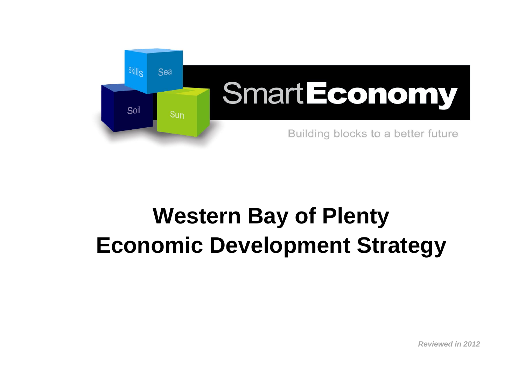

# **Western Bay of Plenty Economic Development Strategy**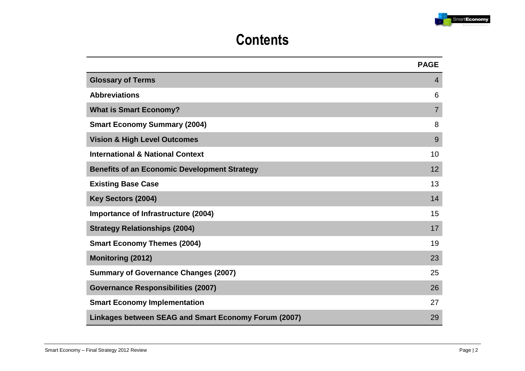

# **Contents**

|                                                      | <b>PAGE</b>    |
|------------------------------------------------------|----------------|
| <b>Glossary of Terms</b>                             | $\overline{4}$ |
| <b>Abbreviations</b>                                 | 6              |
| <b>What is Smart Economy?</b>                        | $\overline{7}$ |
| <b>Smart Economy Summary (2004)</b>                  | 8              |
| <b>Vision &amp; High Level Outcomes</b>              | 9              |
| <b>International &amp; National Context</b>          | 10             |
| <b>Benefits of an Economic Development Strategy</b>  | 12             |
| <b>Existing Base Case</b>                            | 13             |
| Key Sectors (2004)                                   | 14             |
| Importance of Infrastructure (2004)                  | 15             |
| <b>Strategy Relationships (2004)</b>                 | 17             |
| <b>Smart Economy Themes (2004)</b>                   | 19             |
| <b>Monitoring (2012)</b>                             | 23             |
| <b>Summary of Governance Changes (2007)</b>          | 25             |
| <b>Governance Responsibilities (2007)</b>            | 26             |
| <b>Smart Economy Implementation</b>                  | 27             |
| Linkages between SEAG and Smart Economy Forum (2007) | 29             |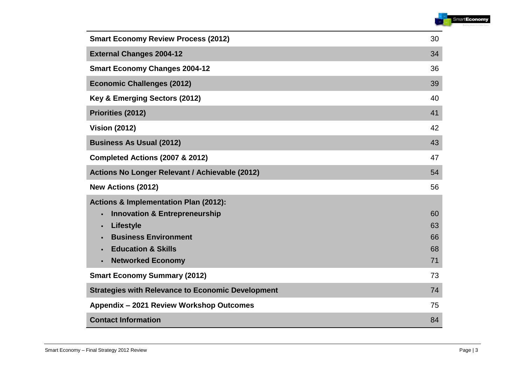

| <b>Smart Economy Review Process (2012)</b>               | 30 |
|----------------------------------------------------------|----|
| <b>External Changes 2004-12</b>                          | 34 |
| <b>Smart Economy Changes 2004-12</b>                     | 36 |
| <b>Economic Challenges (2012)</b>                        | 39 |
| Key & Emerging Sectors (2012)                            | 40 |
| Priorities (2012)                                        | 41 |
| <b>Vision (2012)</b>                                     | 42 |
| <b>Business As Usual (2012)</b>                          | 43 |
| Completed Actions (2007 & 2012)                          | 47 |
| Actions No Longer Relevant / Achievable (2012)           | 54 |
|                                                          |    |
| <b>New Actions (2012)</b>                                | 56 |
| <b>Actions &amp; Implementation Plan (2012):</b>         |    |
| <b>Innovation &amp; Entrepreneurship</b>                 | 60 |
| <b>Lifestyle</b><br>$\blacksquare$                       | 63 |
| <b>Business Environment</b>                              | 66 |
| <b>Education &amp; Skills</b>                            | 68 |
| <b>Networked Economy</b><br>$\blacksquare$               | 71 |
| <b>Smart Economy Summary (2012)</b>                      | 73 |
| <b>Strategies with Relevance to Economic Development</b> | 74 |
| Appendix - 2021 Review Workshop Outcomes                 | 75 |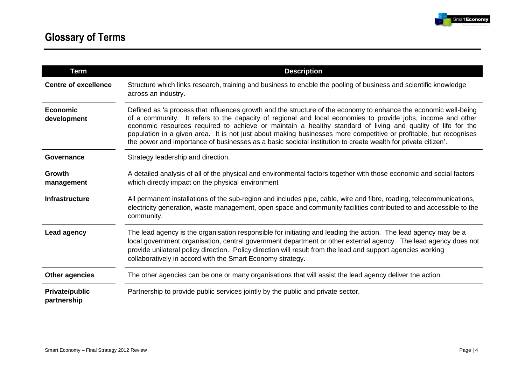

| <b>Term</b>                          | <b>Description</b>                                                                                                                                                                                                                                                                                                                                                                                                                                                                                                                                                                   |
|--------------------------------------|--------------------------------------------------------------------------------------------------------------------------------------------------------------------------------------------------------------------------------------------------------------------------------------------------------------------------------------------------------------------------------------------------------------------------------------------------------------------------------------------------------------------------------------------------------------------------------------|
| <b>Centre of excellence</b>          | Structure which links research, training and business to enable the pooling of business and scientific knowledge<br>across an industry.                                                                                                                                                                                                                                                                                                                                                                                                                                              |
| <b>Economic</b><br>development       | Defined as 'a process that influences growth and the structure of the economy to enhance the economic well-being<br>of a community. It refers to the capacity of regional and local economies to provide jobs, income and other<br>economic resources required to achieve or maintain a healthy standard of living and quality of life for the<br>population in a given area. It is not just about making businesses more competitive or profitable, but recognises<br>the power and importance of businesses as a basic societal institution to create wealth for private citizen'. |
| Governance                           | Strategy leadership and direction.                                                                                                                                                                                                                                                                                                                                                                                                                                                                                                                                                   |
| Growth<br>management                 | A detailed analysis of all of the physical and environmental factors together with those economic and social factors<br>which directly impact on the physical environment                                                                                                                                                                                                                                                                                                                                                                                                            |
| <b>Infrastructure</b>                | All permanent installations of the sub-region and includes pipe, cable, wire and fibre, roading, telecommunications,<br>electricity generation, waste management, open space and community facilities contributed to and accessible to the<br>community.                                                                                                                                                                                                                                                                                                                             |
| <b>Lead agency</b>                   | The lead agency is the organisation responsible for initiating and leading the action. The lead agency may be a<br>local government organisation, central government department or other external agency. The lead agency does not<br>provide unilateral policy direction. Policy direction will result from the lead and support agencies working<br>collaboratively in accord with the Smart Economy strategy.                                                                                                                                                                     |
| <b>Other agencies</b>                | The other agencies can be one or many organisations that will assist the lead agency deliver the action.                                                                                                                                                                                                                                                                                                                                                                                                                                                                             |
| <b>Private/public</b><br>partnership | Partnership to provide public services jointly by the public and private sector.                                                                                                                                                                                                                                                                                                                                                                                                                                                                                                     |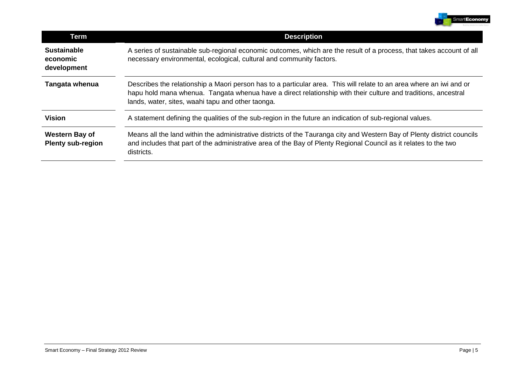

| <b>Term</b>                                       | <b>Description</b>                                                                                                                                                                                                                                                                        |
|---------------------------------------------------|-------------------------------------------------------------------------------------------------------------------------------------------------------------------------------------------------------------------------------------------------------------------------------------------|
| <b>Sustainable</b><br>economic<br>development     | A series of sustainable sub-regional economic outcomes, which are the result of a process, that takes account of all<br>necessary environmental, ecological, cultural and community factors.                                                                                              |
| Tangata whenua                                    | Describes the relationship a Maori person has to a particular area. This will relate to an area where an iwi and or<br>hapu hold mana whenua. Tangata whenua have a direct relationship with their culture and traditions, ancestral<br>lands, water, sites, waahi tapu and other taonga. |
| <b>Vision</b>                                     | A statement defining the qualities of the sub-region in the future an indication of sub-regional values.                                                                                                                                                                                  |
| <b>Western Bay of</b><br><b>Plenty sub-region</b> | Means all the land within the administrative districts of the Tauranga city and Western Bay of Plenty district councils<br>and includes that part of the administrative area of the Bay of Plenty Regional Council as it relates to the two<br>districts.                                 |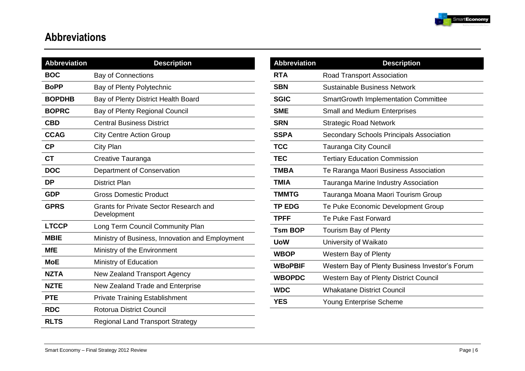

# **Abbreviations**

| <b>Abbreviation</b> | <b>Description</b>                                           |
|---------------------|--------------------------------------------------------------|
| <b>BOC</b>          | <b>Bay of Connections</b>                                    |
| <b>BoPP</b>         | Bay of Plenty Polytechnic                                    |
| <b>BOPDHB</b>       | Bay of Plenty District Health Board                          |
| <b>BOPRC</b>        | Bay of Plenty Regional Council                               |
| <b>CBD</b>          | <b>Central Business District</b>                             |
| <b>CCAG</b>         | <b>City Centre Action Group</b>                              |
| <b>CP</b>           | <b>City Plan</b>                                             |
| <b>CT</b>           | Creative Tauranga                                            |
| <b>DOC</b>          | Department of Conservation                                   |
| <b>DP</b>           | <b>District Plan</b>                                         |
| <b>GDP</b>          | <b>Gross Domestic Product</b>                                |
| <b>GPRS</b>         | <b>Grants for Private Sector Research and</b><br>Development |
| <b>LTCCP</b>        | Long Term Council Community Plan                             |
| <b>MBIE</b>         | Ministry of Business, Innovation and Employment              |
| <b>MfE</b>          | Ministry of the Environment                                  |
| <b>MoE</b>          | Ministry of Education                                        |
| <b>NZTA</b>         | New Zealand Transport Agency                                 |
| <b>NZTE</b>         | New Zealand Trade and Enterprise                             |
| <b>PTE</b>          | <b>Private Training Establishment</b>                        |
| <b>RDC</b>          | <b>Rotorua District Council</b>                              |
| <b>RLTS</b>         | <b>Regional Land Transport Strategy</b>                      |

| <b>Abbreviation</b> | <b>Description</b>                              |
|---------------------|-------------------------------------------------|
| RTA                 | <b>Road Transport Association</b>               |
| <b>SBN</b>          | Sustainable Business Network                    |
| <b>SGIC</b>         | <b>SmartGrowth Implementation Committee</b>     |
| <b>SME</b>          | <b>Small and Medium Enterprises</b>             |
| <b>SRN</b>          | <b>Strategic Road Network</b>                   |
| <b>SSPA</b>         | <b>Secondary Schools Principals Association</b> |
| <b>TCC</b>          | <b>Tauranga City Council</b>                    |
| <b>TEC</b>          | <b>Tertiary Education Commission</b>            |
| TMBA                | Te Raranga Maori Business Association           |
| <b>TMIA</b>         | Tauranga Marine Industry Association            |
| <b>TMMTG</b>        | Tauranga Moana Maori Tourism Group              |
| <b>TP EDG</b>       | Te Puke Economic Development Group              |
| <b>TPFF</b>         | Te Puke Fast Forward                            |
| <b>Tsm BOP</b>      | Tourism Bay of Plenty                           |
| UoW                 | University of Waikato                           |
| <b>WBOP</b>         | Western Bay of Plenty                           |
| <b>WBoPBIF</b>      | Western Bay of Plenty Business Investor's Forum |
| <b>WBOPDC</b>       | <b>Western Bay of Plenty District Council</b>   |
| <b>WDC</b>          | <b>Whakatane District Council</b>               |
| <b>YES</b>          | Young Enterprise Scheme                         |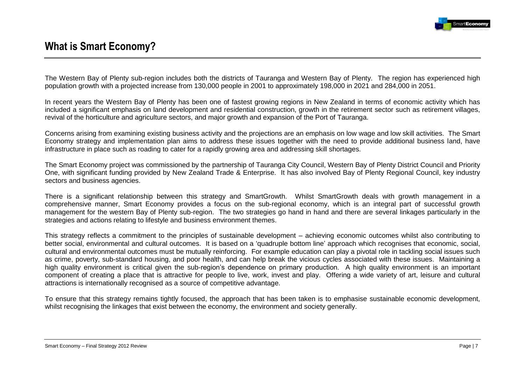

# **What is Smart Economy?**

The Western Bay of Plenty sub-region includes both the districts of Tauranga and Western Bay of Plenty. The region has experienced high population growth with a projected increase from 130,000 people in 2001 to approximately 198,000 in 2021 and 284,000 in 2051.

In recent years the Western Bay of Plenty has been one of fastest growing regions in New Zealand in terms of economic activity which has included a significant emphasis on land development and residential construction, growth in the retirement sector such as retirement villages, revival of the horticulture and agriculture sectors, and major growth and expansion of the Port of Tauranga.

Concerns arising from examining existing business activity and the projections are an emphasis on low wage and low skill activities. The Smart Economy strategy and implementation plan aims to address these issues together with the need to provide additional business land, have infrastructure in place such as roading to cater for a rapidly growing area and addressing skill shortages.

The Smart Economy project was commissioned by the partnership of Tauranga City Council, Western Bay of Plenty District Council and Priority One, with significant funding provided by New Zealand Trade & Enterprise. It has also involved Bay of Plenty Regional Council, key industry sectors and business agencies.

There is a significant relationship between this strategy and SmartGrowth. Whilst SmartGrowth deals with growth management in a comprehensive manner, Smart Economy provides a focus on the sub-regional economy, which is an integral part of successful growth management for the western Bay of Plenty sub-region. The two strategies go hand in hand and there are several linkages particularly in the strategies and actions relating to lifestyle and business environment themes.

This strategy reflects a commitment to the principles of sustainable development – achieving economic outcomes whilst also contributing to better social, environmental and cultural outcomes. It is based on a "quadruple bottom line" approach which recognises that economic, social, cultural and environmental outcomes must be mutually reinforcing. For example education can play a pivotal role in tackling social issues such as crime, poverty, sub-standard housing, and poor health, and can help break the vicious cycles associated with these issues. Maintaining a high quality environment is critical given the sub-region's dependence on primary production. A high quality environment is an important component of creating a place that is attractive for people to live, work, invest and play. Offering a wide variety of art, leisure and cultural attractions is internationally recognised as a source of competitive advantage.

To ensure that this strategy remains tightly focused, the approach that has been taken is to emphasise sustainable economic development, whilst recognising the linkages that exist between the economy, the environment and society generally.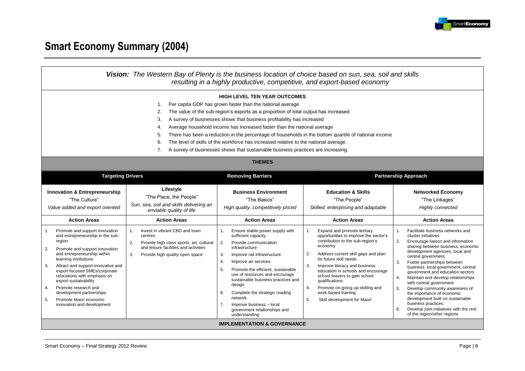

# **Smart Economy Summary (2004)**

| Vision: The Western Bay of Plenty is the business location of choice based on sun, sea, soil and skills<br>resulting in a highly productive, competitive, and export-based economy                                                                                                                                                                                                                                                                                                                                                                                                                                                                                         |                                                                                                                                                                                                                                                                                                                           |                                                                                                                                                                                                                                                                                                                                          |                                                                                                                                                                                                                                                                                                                                                                                              |                                                                                                                                                                                                                                                                                                                                                                              |
|----------------------------------------------------------------------------------------------------------------------------------------------------------------------------------------------------------------------------------------------------------------------------------------------------------------------------------------------------------------------------------------------------------------------------------------------------------------------------------------------------------------------------------------------------------------------------------------------------------------------------------------------------------------------------|---------------------------------------------------------------------------------------------------------------------------------------------------------------------------------------------------------------------------------------------------------------------------------------------------------------------------|------------------------------------------------------------------------------------------------------------------------------------------------------------------------------------------------------------------------------------------------------------------------------------------------------------------------------------------|----------------------------------------------------------------------------------------------------------------------------------------------------------------------------------------------------------------------------------------------------------------------------------------------------------------------------------------------------------------------------------------------|------------------------------------------------------------------------------------------------------------------------------------------------------------------------------------------------------------------------------------------------------------------------------------------------------------------------------------------------------------------------------|
| <b>HIGH LEVEL TEN YEAR OUTCOMES</b><br>Per capita GDP has grown faster than the national average<br>1.<br>The value of the sub-region's exports as a proportion of total output has increased<br>2.<br>A survey of businesses shows that business profitability has increased<br>3.<br>Average household income has increased faster than the national average<br>4.<br>There has been a reduction in the percentage of households in the bottom quartile of national income<br>5.<br>The level of skills of the workforce has increased relative to the national average.<br>6.<br>A survey of businesses shows that sustainable business practices are increasing.<br>7. |                                                                                                                                                                                                                                                                                                                           |                                                                                                                                                                                                                                                                                                                                          |                                                                                                                                                                                                                                                                                                                                                                                              |                                                                                                                                                                                                                                                                                                                                                                              |
|                                                                                                                                                                                                                                                                                                                                                                                                                                                                                                                                                                                                                                                                            | <b>THEMES</b><br><b>Targeting Drivers</b><br><b>Removing Barriers</b><br><b>Partnership Approach</b>                                                                                                                                                                                                                      |                                                                                                                                                                                                                                                                                                                                          |                                                                                                                                                                                                                                                                                                                                                                                              |                                                                                                                                                                                                                                                                                                                                                                              |
| <b>Innovation &amp; Entrepreneurship</b><br>"The Culture"<br>Value added and export oriented<br><b>Action Areas</b><br>Promote and support innovation<br>1.<br>and entrepreneurship in the sub-<br>region<br>Promote and support innovation<br>2.<br>and entrepreneurship within<br>learning institutions<br>Attract and support innovative and<br>3.<br>export focused SMEs/corporate                                                                                                                                                                                                                                                                                     | Lifestyle<br>"The Place, the People"<br>Sun, sea, soil and skills delivering an<br>enviable quality of life<br><b>Action Areas</b><br>Invest in vibrant CBD and town<br>1.<br>centres<br>Provide high class sports, art, cultural<br>2.<br>and leisure facilities and activities<br>3.<br>Provide high quality open space | <b>Business Environment</b><br>"The Basics"<br>High quality, competitively priced<br><b>Action Areas</b><br>Ensure stable power supply with<br>1.<br>sufficient capacity<br>2.<br>Provide communication<br>infrastructure<br>Improve rail infrastructure<br>3.<br>Improve air services<br>4.<br>5.<br>Promote the efficient, sustainable | <b>Education &amp; Skills</b><br>"The People"<br>Skilled, enterprising and adaptable<br><b>Action Areas</b><br>Expand and promote tertiary<br>1.<br>opportunities to improve the sector's<br>contribution to the sub-region's<br>economy<br>Address current skill gaps and plan<br>2.<br>for future skill needs<br>Improve literacy and business<br>3.<br>education in schools and encourage | <b>Networked Economy</b><br>"The Linkages"<br>Highly connected<br><b>Action Areas</b><br>1.<br>Facilitate business networks and<br>cluster initiatives<br>2.<br>Encourage liaison and information<br>sharing between business, economic<br>development agencies, local and<br>central government<br>3.<br>Foster partnerships between<br>business, local government, central |
| relocations with emphasis on<br>export sustainability<br>Promote research and<br>4.<br>development partnerships<br>5.<br>Promote Maori economic<br>innovation and development                                                                                                                                                                                                                                                                                                                                                                                                                                                                                              |                                                                                                                                                                                                                                                                                                                           | use of resources and encourage<br>sustainable business practices and<br>design<br>6.<br>Complete the strategic roading<br>network<br>7.<br>Improve business - local<br>government relationships and<br>understanding<br><b>IMPLEMENTATION &amp; GOVERNANCE</b>                                                                           | school leavers to gain school<br>qualifications<br>Promote on-going up-skilling and<br>4.<br>work-based training<br>5.<br>Skill development for Maori                                                                                                                                                                                                                                        | government and education sectors<br>Maintain and develop relationships<br>4.<br>with central government<br>5.<br>Develop community awareness of<br>the importance of economic<br>development built on sustainable<br>business practices.<br>Develop joint initiatives with the rest<br>6.<br>of the region/other regions                                                     |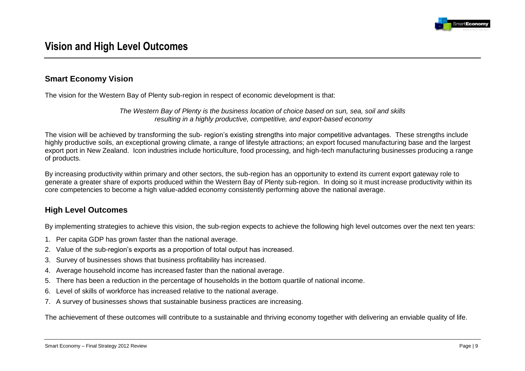

# **Smart Economy Vision**

The vision for the Western Bay of Plenty sub-region in respect of economic development is that:

*The Western Bay of Plenty is the business location of choice based on sun, sea, soil and skills resulting in a highly productive, competitive, and export-based economy*

The vision will be achieved by transforming the sub- region"s existing strengths into major competitive advantages. These strengths include highly productive soils, an exceptional growing climate, a range of lifestyle attractions; an export focused manufacturing base and the largest export port in New Zealand. Icon industries include horticulture, food processing, and high-tech manufacturing businesses producing a range of products.

By increasing productivity within primary and other sectors, the sub-region has an opportunity to extend its current export gateway role to generate a greater share of exports produced within the Western Bay of Plenty sub-region. In doing so it must increase productivity within its core competencies to become a high value-added economy consistently performing above the national average.

# **High Level Outcomes**

By implementing strategies to achieve this vision, the sub-region expects to achieve the following high level outcomes over the next ten years:

- 1. Per capita GDP has grown faster than the national average.
- 2. Value of the sub-region"s exports as a proportion of total output has increased.
- 3. Survey of businesses shows that business profitability has increased.
- 4. Average household income has increased faster than the national average.
- 5. There has been a reduction in the percentage of households in the bottom quartile of national income.
- 6. Level of skills of workforce has increased relative to the national average.
- 7. A survey of businesses shows that sustainable business practices are increasing.

The achievement of these outcomes will contribute to a sustainable and thriving economy together with delivering an enviable quality of life.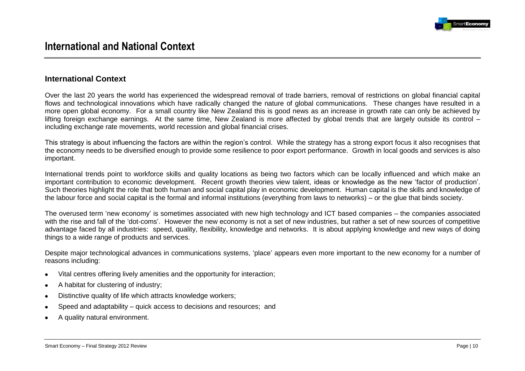

### **International Context**

Over the last 20 years the world has experienced the widespread removal of trade barriers, removal of restrictions on global financial capital flows and technological innovations which have radically changed the nature of global communications. These changes have resulted in a more open global economy. For a small country like New Zealand this is good news as an increase in growth rate can only be achieved by lifting foreign exchange earnings. At the same time, New Zealand is more affected by global trends that are largely outside its control – including exchange rate movements, world recession and global financial crises.

This strategy is about influencing the factors are within the region"s control. While the strategy has a strong export focus it also recognises that the economy needs to be diversified enough to provide some resilience to poor export performance. Growth in local goods and services is also important.

International trends point to workforce skills and quality locations as being two factors which can be locally influenced and which make an important contribution to economic development. Recent growth theories view talent, ideas or knowledge as the new "factor of production". Such theories highlight the role that both human and social capital play in economic development. Human capital is the skills and knowledge of the labour force and social capital is the formal and informal institutions (everything from laws to networks) – or the glue that binds society.

The overused term "new economy" is sometimes associated with new high technology and ICT based companies – the companies associated with the rise and fall of the 'dot-coms'. However the new economy is not a set of new industries, but rather a set of new sources of competitive advantage faced by all industries: speed, quality, flexibility, knowledge and networks. It is about applying knowledge and new ways of doing things to a wide range of products and services.

Despite major technological advances in communications systems, "place" appears even more important to the new economy for a number of reasons including:

- Vital centres offering lively amenities and the opportunity for interaction;  $\bullet$
- A habitat for clustering of industry;  $\bullet$
- Distinctive quality of life which attracts knowledge workers;  $\bullet$
- Speed and adaptability quick access to decisions and resources; and
- A quality natural environment.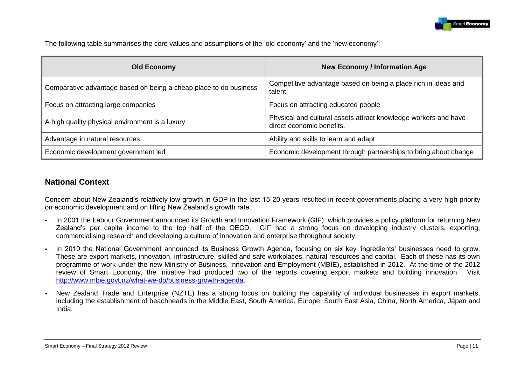

The following table summarises the core values and assumptions of the 'old economy' and the 'new economy':

| <b>Old Economy</b>                                                | <b>New Economy / Information Age</b>                                                         |
|-------------------------------------------------------------------|----------------------------------------------------------------------------------------------|
| Comparative advantage based on being a cheap place to do business | Competitive advantage based on being a place rich in ideas and<br>talent                     |
| Focus on attracting large companies                               | Focus on attracting educated people                                                          |
| A high quality physical environment is a luxury                   | Physical and cultural assets attract knowledge workers and have<br>direct economic benefits. |
| Advantage in natural resources                                    | Ability and skills to learn and adapt                                                        |
| Economic development government led                               | Economic development through partnerships to bring about change                              |

## **National Context**

Concern about New Zealand"s relatively low growth in GDP in the last 15-20 years resulted in recent governments placing a very high priority on economic development and on lifting New Zealand"s growth rate.

- In 2001 the Labour Government announced its Growth and Innovation Framework (GIF), which provides a policy platform for returning New Zealand"s per capita income to the top half of the OECD. GIF had a strong focus on developing industry clusters, exporting, commercialising research and developing a culture of innovation and enterprise throughout society.
- In 2010 the National Government announced its Business Growth Agenda, focusing on six key 'ingredients' businesses need to grow. These are export markets, innovation, infrastructure, skilled and safe workplaces, natural resources and capital. Each of these has its own programme of work under the new Ministry of Business, Innovation and Employment (MBIE), established in 2012. At the time of the 2012 review of Smart Economy, the initiative had produced two of the reports covering export markets and building innovation. Visit [http://www.mbie.govt.nz/what-we-do/business-growth-agenda.](http://www.mbie.govt.nz/what-we-do/business-growth-agenda)
- New Zealand Trade and Enterprise (NZTE) has a strong focus on building the capability of individual businesses in export markets, including the establishment of beachheads in the Middle East, South America, Europe, South East Asia, China, North America, Japan and India.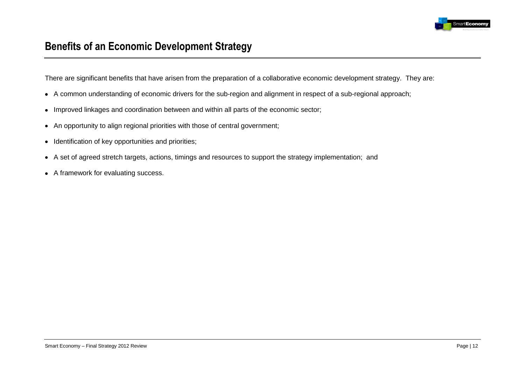

# **Benefits of an Economic Development Strategy**

There are significant benefits that have arisen from the preparation of a collaborative economic development strategy. They are:

- A common understanding of economic drivers for the sub-region and alignment in respect of a sub-regional approach;  $\bullet$
- Improved linkages and coordination between and within all parts of the economic sector;  $\bullet$
- An opportunity to align regional priorities with those of central government;
- Identification of key opportunities and priorities;  $\bullet$
- A set of agreed stretch targets, actions, timings and resources to support the strategy implementation; and  $\bullet$
- A framework for evaluating success.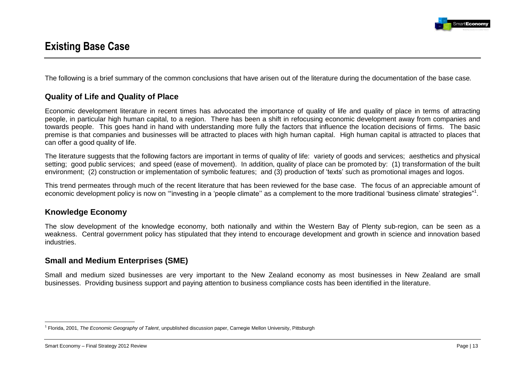

# **Existing Base Case**

The following is a brief summary of the common conclusions that have arisen out of the literature during the documentation of the base case*.*

# **Quality of Life and Quality of Place**

Economic development literature in recent times has advocated the importance of quality of life and quality of place in terms of attracting people, in particular high human capital, to a region. There has been a shift in refocusing economic development away from companies and towards people. This goes hand in hand with understanding more fully the factors that influence the location decisions of firms. The basic premise is that companies and businesses will be attracted to places with high human capital. High human capital is attracted to places that can offer a good quality of life.

The literature suggests that the following factors are important in terms of quality of life: variety of goods and services; aesthetics and physical setting; good public services; and speed (ease of movement). In addition, quality of place can be promoted by: (1) transformation of the built environment; (2) construction or implementation of symbolic features; and (3) production of "texts" such as promotional images and logos.

This trend permeates through much of the recent literature that has been reviewed for the base case. The focus of an appreciable amount of economic development policy is now on "investing in a 'people climate" as a complement to the more traditional 'business climate' strategies"<sup>1</sup>.

### **Knowledge Economy**

The slow development of the knowledge economy, both nationally and within the Western Bay of Plenty sub-region, can be seen as a weakness. Central government policy has stipulated that they intend to encourage development and growth in science and innovation based industries.

# **Small and Medium Enterprises (SME)**

Small and medium sized businesses are very important to the New Zealand economy as most businesses in New Zealand are small businesses. Providing business support and paying attention to business compliance costs has been identified in the literature.

<sup>&</sup>lt;u>.</u> 1 Florida, 2001, *The Economic Geography of Talent*, unpublished discussion paper, Carnegie Mellon University, Pittsburgh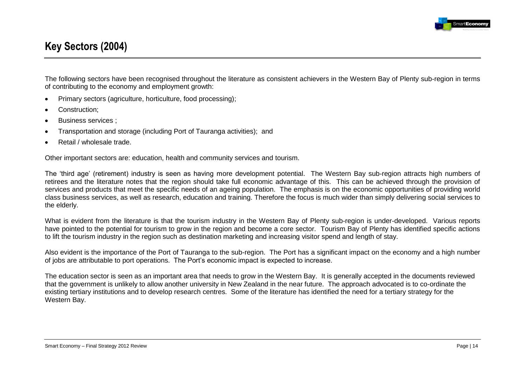

# **Key Sectors (2004)**

The following sectors have been recognised throughout the literature as consistent achievers in the Western Bay of Plenty sub-region in terms of contributing to the economy and employment growth:

- Primary sectors (agriculture, horticulture, food processing);  $\bullet$
- Construction;
- Business services ;  $\bullet$
- Transportation and storage (including Port of Tauranga activities); and  $\bullet$
- Retail / wholesale trade.

Other important sectors are: education, health and community services and tourism.

The "third age" (retirement) industry is seen as having more development potential. The Western Bay sub-region attracts high numbers of retirees and the literature notes that the region should take full economic advantage of this. This can be achieved through the provision of services and products that meet the specific needs of an ageing population. The emphasis is on the economic opportunities of providing world class business services, as well as research, education and training. Therefore the focus is much wider than simply delivering social services to the elderly.

What is evident from the literature is that the tourism industry in the Western Bay of Plenty sub-region is under-developed. Various reports have pointed to the potential for tourism to grow in the region and become a core sector. Tourism Bay of Plenty has identified specific actions to lift the tourism industry in the region such as destination marketing and increasing visitor spend and length of stay.

Also evident is the importance of the Port of Tauranga to the sub-region. The Port has a significant impact on the economy and a high number of jobs are attributable to port operations. The Port"s economic impact is expected to increase.

The education sector is seen as an important area that needs to grow in the Western Bay. It is generally accepted in the documents reviewed that the government is unlikely to allow another university in New Zealand in the near future. The approach advocated is to co-ordinate the existing tertiary institutions and to develop research centres. Some of the literature has identified the need for a tertiary strategy for the Western Bay.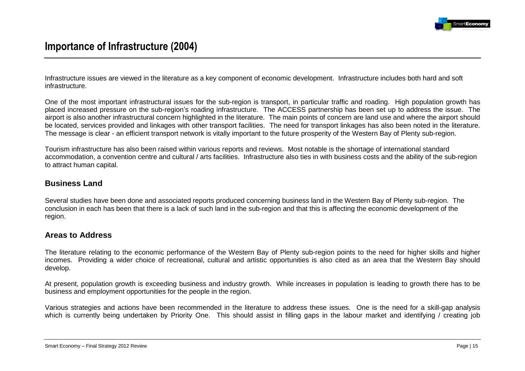

# **Importance of Infrastructure (2004)**

Infrastructure issues are viewed in the literature as a key component of economic development. Infrastructure includes both hard and soft infrastructure.

One of the most important infrastructural issues for the sub-region is transport, in particular traffic and roading. High population growth has placed increased pressure on the sub-region's roading infrastructure. The ACCESS partnership has been set up to address the issue. The airport is also another infrastructural concern highlighted in the literature. The main points of concern are land use and where the airport should be located, services provided and linkages with other transport facilities. The need for transport linkages has also been noted in the literature. The message is clear - an efficient transport network is vitally important to the future prosperity of the Western Bay of Plenty sub-region.

Tourism infrastructure has also been raised within various reports and reviews. Most notable is the shortage of international standard accommodation, a convention centre and cultural / arts facilities. Infrastructure also ties in with business costs and the ability of the sub-region to attract human capital.

### **Business Land**

Several studies have been done and associated reports produced concerning business land in the Western Bay of Plenty sub-region. The conclusion in each has been that there is a lack of such land in the sub-region and that this is affecting the economic development of the region.

### **Areas to Address**

The literature relating to the economic performance of the Western Bay of Plenty sub-region points to the need for higher skills and higher incomes. Providing a wider choice of recreational, cultural and artistic opportunities is also cited as an area that the Western Bay should develop.

At present, population growth is exceeding business and industry growth. While increases in population is leading to growth there has to be business and employment opportunities for the people in the region.

Various strategies and actions have been recommended in the literature to address these issues. One is the need for a skill-gap analysis which is currently being undertaken by Priority One. This should assist in filling gaps in the labour market and identifying / creating job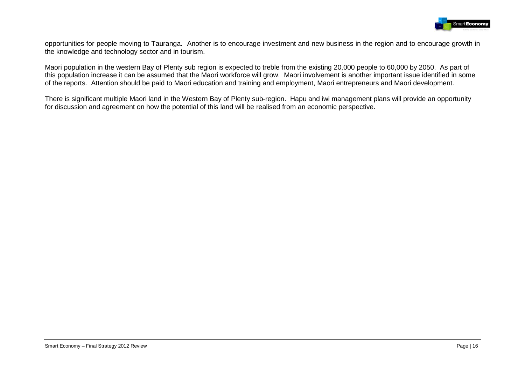

opportunities for people moving to Tauranga. Another is to encourage investment and new business in the region and to encourage growth in the knowledge and technology sector and in tourism.

Maori population in the western Bay of Plenty sub region is expected to treble from the existing 20,000 people to 60,000 by 2050. As part of this population increase it can be assumed that the Maori workforce will grow. Maori involvement is another important issue identified in some of the reports. Attention should be paid to Maori education and training and employment, Maori entrepreneurs and Maori development.

There is significant multiple Maori land in the Western Bay of Plenty sub-region. Hapu and iwi management plans will provide an opportunity for discussion and agreement on how the potential of this land will be realised from an economic perspective.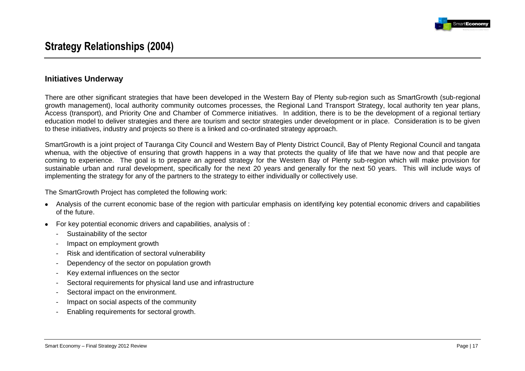

# **Strategy Relationships (2004)**

#### **Initiatives Underway**

There are other significant strategies that have been developed in the Western Bay of Plenty sub-region such as SmartGrowth (sub-regional growth management), local authority community outcomes processes, the Regional Land Transport Strategy, local authority ten year plans, Access (transport), and Priority One and Chamber of Commerce initiatives. In addition, there is to be the development of a regional tertiary education model to deliver strategies and there are tourism and sector strategies under development or in place. Consideration is to be given to these initiatives, industry and projects so there is a linked and co-ordinated strategy approach.

SmartGrowth is a joint project of Tauranga City Council and Western Bay of Plenty District Council, Bay of Plenty Regional Council and tangata whenua, with the objective of ensuring that growth happens in a way that protects the quality of life that we have now and that people are coming to experience. The goal is to prepare an agreed strategy for the Western Bay of Plenty sub-region which will make provision for sustainable urban and rural development, specifically for the next 20 years and generally for the next 50 years. This will include ways of implementing the strategy for any of the partners to the strategy to either individually or collectively use.

The SmartGrowth Project has completed the following work:

- Analysis of the current economic base of the region with particular emphasis on identifying key potential economic drivers and capabilities of the future.
- For key potential economic drivers and capabilities, analysis of :  $\bullet$ 
	- Sustainability of the sector
	- Impact on employment growth
	- Risk and identification of sectoral vulnerability
	- Dependency of the sector on population growth
	- Key external influences on the sector
	- Sectoral requirements for physical land use and infrastructure
	- Sectoral impact on the environment.
	- Impact on social aspects of the community
	- Enabling requirements for sectoral growth.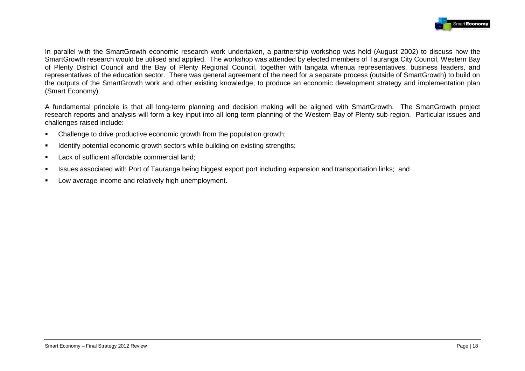

In parallel with the SmartGrowth economic research work undertaken, a partnership workshop was held (August 2002) to discuss how the SmartGrowth research would be utilised and applied. The workshop was attended by elected members of Tauranga City Council, Western Bay of Plenty District Council and the Bay of Plenty Regional Council, together with tangata whenua representatives, business leaders, and representatives of the education sector. There was general agreement of the need for a separate process (outside of SmartGrowth) to build on the outputs of the SmartGrowth work and other existing knowledge, to produce an economic development strategy and implementation plan (Smart Economy).

A fundamental principle is that all long-term planning and decision making will be aligned with SmartGrowth. The SmartGrowth project research reports and analysis will form a key input into all long term planning of the Western Bay of Plenty sub-region. Particular issues and challenges raised include:

- Challenge to drive productive economic growth from the population growth;
- **IDENTIFY FOREOT IDENTIFY IDENTIFY IDENTIFY IDENTIFY IDENTIFY IDENTIFY IDENTIFY IDENTIFY IDENTIFY IDENTIFY IDENTIFY IDENTIFY IDENTIFY IDENTIFY IDENTIFY IDENTIFY IDENTIFY IDENTIFY IDENTIFY**
- Lack of sufficient affordable commercial land:
- Issues associated with Port of Tauranga being biggest export port including expansion and transportation links; and
- **Low average income and relatively high unemployment.**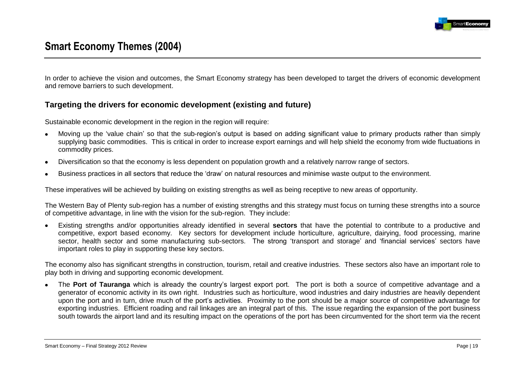

# **Smart Economy Themes (2004)**

In order to achieve the vision and outcomes, the Smart Economy strategy has been developed to target the drivers of economic development and remove barriers to such development.

# **Targeting the drivers for economic development (existing and future)**

Sustainable economic development in the region in the region will require:

- Moving up the "value chain" so that the sub-region"s output is based on adding significant value to primary products rather than simply supplying basic commodities. This is critical in order to increase export earnings and will help shield the economy from wide fluctuations in commodity prices.
- Diversification so that the economy is less dependent on population growth and a relatively narrow range of sectors.  $\bullet$
- Business practices in all sectors that reduce the "draw" on natural resources and minimise waste output to the environment.

These imperatives will be achieved by building on existing strengths as well as being receptive to new areas of opportunity.

The Western Bay of Plenty sub-region has a number of existing strengths and this strategy must focus on turning these strengths into a source of competitive advantage, in line with the vision for the sub-region. They include:

Existing strengths and/or opportunities already identified in several **sectors** that have the potential to contribute to a productive and  $\bullet$ competitive, export based economy. Key sectors for development include horticulture, agriculture, dairying, food processing, marine sector, health sector and some manufacturing sub-sectors. The strong 'transport and storage' and 'financial services' sectors have important roles to play in supporting these key sectors.

The economy also has significant strengths in construction, tourism, retail and creative industries. These sectors also have an important role to play both in driving and supporting economic development.

The **Port of Tauranga** which is already the country"s largest export port. The port is both a source of competitive advantage and a  $\bullet$ generator of economic activity in its own right. Industries such as horticulture, wood industries and dairy industries are heavily dependent upon the port and in turn, drive much of the port"s activities. Proximity to the port should be a major source of competitive advantage for exporting industries. Efficient roading and rail linkages are an integral part of this. The issue regarding the expansion of the port business south towards the airport land and its resulting impact on the operations of the port has been circumvented for the short term via the recent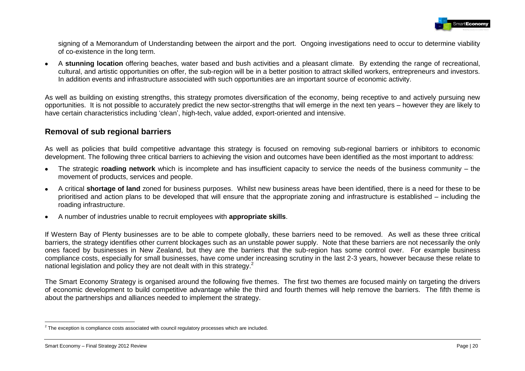

signing of a Memorandum of Understanding between the airport and the port. Ongoing investigations need to occur to determine viability of co-existence in the long term.

A **stunning location** offering beaches, water based and bush activities and a pleasant climate. By extending the range of recreational,  $\bullet$ cultural, and artistic opportunities on offer, the sub-region will be in a better position to attract skilled workers, entrepreneurs and investors. In addition events and infrastructure associated with such opportunities are an important source of economic activity.

As well as building on existing strengths, this strategy promotes diversification of the economy, being receptive to and actively pursuing new opportunities. It is not possible to accurately predict the new sector-strengths that will emerge in the next ten years – however they are likely to have certain characteristics including "clean", high-tech, value added, export-oriented and intensive.

### **Removal of sub regional barriers**

As well as policies that build competitive advantage this strategy is focused on removing sub-regional barriers or inhibitors to economic development. The following three critical barriers to achieving the vision and outcomes have been identified as the most important to address:

- The strategic **roading network** which is incomplete and has insufficient capacity to service the needs of the business community the  $\bullet$ movement of products, services and people.
- A critical **shortage of land** zoned for business purposes. Whilst new business areas have been identified, there is a need for these to be  $\bullet$ prioritised and action plans to be developed that will ensure that the appropriate zoning and infrastructure is established – including the roading infrastructure.
- A number of industries unable to recruit employees with **appropriate skills**.  $\bullet$

If Western Bay of Plenty businesses are to be able to compete globally, these barriers need to be removed. As well as these three critical barriers, the strategy identifies other current blockages such as an unstable power supply. Note that these barriers are not necessarily the only ones faced by businesses in New Zealand, but they are the barriers that the sub-region has some control over. For example business compliance costs, especially for small businesses, have come under increasing scrutiny in the last 2-3 years, however because these relate to national legislation and policy they are not dealt with in this strategy.<sup>2</sup>

The Smart Economy Strategy is organised around the following five themes. The first two themes are focused mainly on targeting the drivers of economic development to build competitive advantage while the third and fourth themes will help remove the barriers. The fifth theme is about the partnerships and alliances needed to implement the strategy.

<u>.</u>

 $2$  The exception is compliance costs associated with council regulatory processes which are included.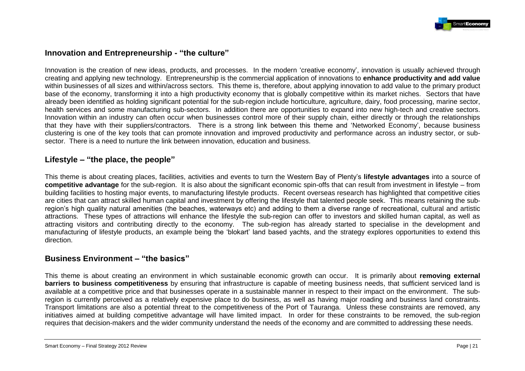

### **Innovation and Entrepreneurship - "the culture"**

Innovation is the creation of new ideas, products, and processes. In the modern "creative economy", innovation is usually achieved through creating and applying new technology. Entrepreneurship is the commercial application of innovations to **enhance productivity and add value** within businesses of all sizes and within/across sectors. This theme is, therefore, about applying innovation to add value to the primary product base of the economy, transforming it into a high productivity economy that is globally competitive within its market niches. Sectors that have already been identified as holding significant potential for the sub-region include horticulture, agriculture, dairy, food processing, marine sector, health services and some manufacturing sub-sectors. In addition there are opportunities to expand into new high-tech and creative sectors. Innovation within an industry can often occur when businesses control more of their supply chain, either directly or through the relationships that they have with their suppliers/contractors. There is a strong link between this theme and "Networked Economy", because business clustering is one of the key tools that can promote innovation and improved productivity and performance across an industry sector, or subsector. There is a need to nurture the link between innovation, education and business.

### **Lifestyle – "the place, the people"**

This theme is about creating places, facilities, activities and events to turn the Western Bay of Plenty"s **lifestyle advantages** into a source of **competitive advantage** for the sub-region. It is also about the significant economic spin-offs that can result from investment in lifestyle – from building facilities to hosting major events, to manufacturing lifestyle products. Recent overseas research has highlighted that competitive cities are cities that can attract skilled human capital and investment by offering the lifestyle that talented people seek. This means retaining the subregion"s high quality natural amenities (the beaches, waterways etc) and adding to them a diverse range of recreational, cultural and artistic attractions. These types of attractions will enhance the lifestyle the sub-region can offer to investors and skilled human capital, as well as attracting visitors and contributing directly to the economy. The sub-region has already started to specialise in the development and manufacturing of lifestyle products, an example being the "blokart" land based yachts, and the strategy explores opportunities to extend this direction.

### **Business Environment – "the basics"**

This theme is about creating an environment in which sustainable economic growth can occur. It is primarily about **removing external barriers to business competitiveness** by ensuring that infrastructure is capable of meeting business needs, that sufficient serviced land is available at a competitive price and that businesses operate in a sustainable manner in respect to their impact on the environment. The subregion is currently perceived as a relatively expensive place to do business, as well as having major roading and business land constraints. Transport limitations are also a potential threat to the competitiveness of the Port of Tauranga. Unless these constraints are removed, any initiatives aimed at building competitive advantage will have limited impact. In order for these constraints to be removed, the sub-region requires that decision-makers and the wider community understand the needs of the economy and are committed to addressing these needs.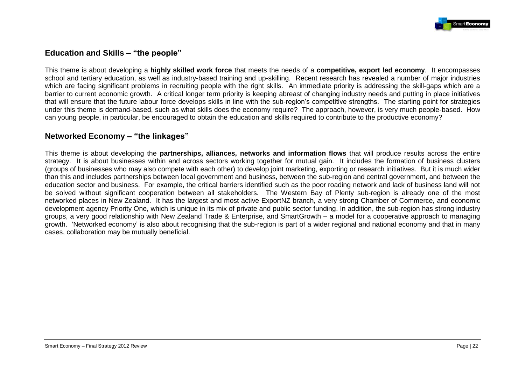

# **Education and Skills – "the people"**

This theme is about developing a **highly skilled work force** that meets the needs of a **competitive, export led economy**. It encompasses school and tertiary education, as well as industry-based training and up-skilling. Recent research has revealed a number of major industries which are facing significant problems in recruiting people with the right skills. An immediate priority is addressing the skill-gaps which are a barrier to current economic growth. A critical longer term priority is keeping abreast of changing industry needs and putting in place initiatives that will ensure that the future labour force develops skills in line with the sub-region"s competitive strengths. The starting point for strategies under this theme is demand-based, such as what skills does the economy require? The approach, however, is very much people-based. How can young people, in particular, be encouraged to obtain the education and skills required to contribute to the productive economy?

### **Networked Economy – "the linkages"**

This theme is about developing the **partnerships, alliances, networks and information flows** that will produce results across the entire strategy. It is about businesses within and across sectors working together for mutual gain. It includes the formation of business clusters (groups of businesses who may also compete with each other) to develop joint marketing, exporting or research initiatives. But it is much wider than this and includes partnerships between local government and business, between the sub-region and central government, and between the education sector and business. For example, the critical barriers identified such as the poor roading network and lack of business land will not be solved without significant cooperation between all stakeholders. The Western Bay of Plenty sub-region is already one of the most networked places in New Zealand. It has the largest and most active ExportNZ branch, a very strong Chamber of Commerce, and economic development agency Priority One, which is unique in its mix of private and public sector funding. In addition, the sub-region has strong industry groups, a very good relationship with New Zealand Trade & Enterprise, and SmartGrowth – a model for a cooperative approach to managing growth. "Networked economy" is also about recognising that the sub-region is part of a wider regional and national economy and that in many cases, collaboration may be mutually beneficial.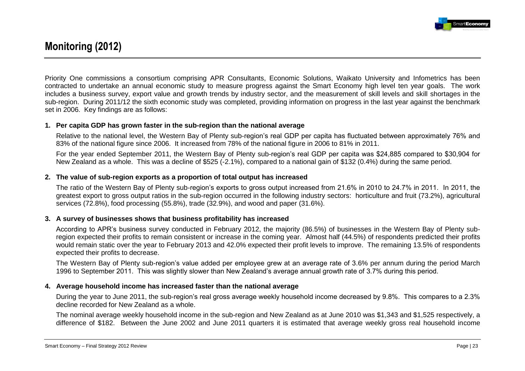

# **Monitoring (2012)**

Priority One commissions a consortium comprising APR Consultants, Economic Solutions, Waikato University and Infometrics has been contracted to undertake an annual economic study to measure progress against the Smart Economy high level ten year goals. The work includes a business survey, export value and growth trends by industry sector, and the measurement of skill levels and skill shortages in the sub-region. During 2011/12 the sixth economic study was completed, providing information on progress in the last year against the benchmark set in 2006. Key findings are as follows:

#### **1. Per capita GDP has grown faster in the sub-region than the national average**

Relative to the national level, the Western Bay of Plenty sub-region"s real GDP per capita has fluctuated between approximately 76% and 83% of the national figure since 2006. It increased from 78% of the national figure in 2006 to 81% in 2011.

For the year ended September 2011, the Western Bay of Plenty sub-region"s real GDP per capita was \$24,885 compared to \$30,904 for New Zealand as a whole. This was a decline of \$525 (-2.1%), compared to a national gain of \$132 (0.4%) during the same period.

#### **2. The value of sub-region exports as a proportion of total output has increased**

The ratio of the Western Bay of Plenty sub-region"s exports to gross output increased from 21.6% in 2010 to 24.7% in 2011. In 2011, the greatest export to gross output ratios in the sub-region occurred in the following industry sectors: horticulture and fruit (73.2%), agricultural services (72.8%), food processing (55.8%), trade (32.9%), and wood and paper (31.6%).

#### **3. A survey of businesses shows that business profitability has increased**

According to APR"s business survey conducted in February 2012, the majority (86.5%) of businesses in the Western Bay of Plenty subregion expected their profits to remain consistent or increase in the coming year. Almost half (44.5%) of respondents predicted their profits would remain static over the year to February 2013 and 42.0% expected their profit levels to improve. The remaining 13.5% of respondents expected their profits to decrease.

The Western Bay of Plenty sub-region"s value added per employee grew at an average rate of 3.6% per annum during the period March 1996 to September 2011. This was slightly slower than New Zealand"s average annual growth rate of 3.7% during this period.

#### **4. Average household income has increased faster than the national average**

During the year to June 2011, the sub-region's real gross average weekly household income decreased by 9.8%. This compares to a 2.3% decline recorded for New Zealand as a whole.

The nominal average weekly household income in the sub-region and New Zealand as at June 2010 was \$1,343 and \$1,525 respectively, a difference of \$182. Between the June 2002 and June 2011 quarters it is estimated that average weekly gross real household income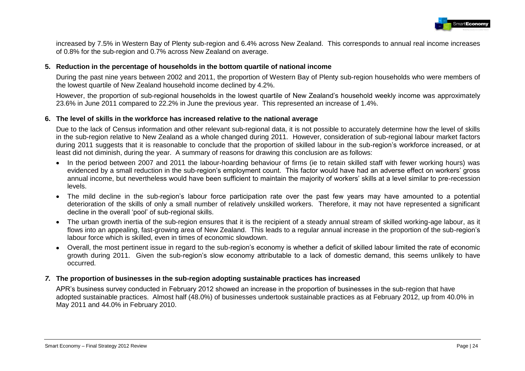

increased by 7.5% in Western Bay of Plenty sub-region and 6.4% across New Zealand. This corresponds to annual real income increases of 0.8% for the sub-region and 0.7% across New Zealand on average.

#### **5. Reduction in the percentage of households in the bottom quartile of national income**

During the past nine years between 2002 and 2011, the proportion of Western Bay of Plenty sub-region households who were members of the lowest quartile of New Zealand household income declined by 4.2%.

However, the proportion of sub-regional households in the lowest quartile of New Zealand"s household weekly income was approximately 23.6% in June 2011 compared to 22.2% in June the previous year. This represented an increase of 1.4%.

#### **6. The level of skills in the workforce has increased relative to the national average**

Due to the lack of Census information and other relevant sub-regional data, it is not possible to accurately determine how the level of skills in the sub-region relative to New Zealand as a whole changed during 2011. However, consideration of sub-regional labour market factors during 2011 suggests that it is reasonable to conclude that the proportion of skilled labour in the sub-region"s workforce increased, or at least did not diminish, during the year. A summary of reasons for drawing this conclusion are as follows:

- In the period between 2007 and 2011 the labour-hoarding behaviour of firms (ie to retain skilled staff with fewer working hours) was evidenced by a small reduction in the sub-region's employment count. This factor would have had an adverse effect on workers' gross annual income, but nevertheless would have been sufficient to maintain the majority of workers' skills at a level similar to pre-recession levels.
- The mild decline in the sub-region's labour force participation rate over the past few years may have amounted to a potential deterioration of the skills of only a small number of relatively unskilled workers. Therefore, it may not have represented a significant decline in the overall "pool" of sub-regional skills.
- The urban growth inertia of the sub-region ensures that it is the recipient of a steady annual stream of skilled working-age labour, as it flows into an appealing, fast-growing area of New Zealand. This leads to a regular annual increase in the proportion of the sub-region's labour force which is skilled, even in times of economic slowdown.
- Overall, the most pertinent issue in regard to the sub-region"s economy is whether a deficit of skilled labour limited the rate of economic growth during 2011. Given the sub-region's slow economy attributable to a lack of domestic demand, this seems unlikely to have occurred.

#### *7.* **The proportion of businesses in the sub-region adopting sustainable practices has increased**

APR"s business survey conducted in February 2012 showed an increase in the proportion of businesses in the sub-region that have adopted sustainable practices. Almost half (48.0%) of businesses undertook sustainable practices as at February 2012, up from 40.0% in May 2011 and 44.0% in February 2010.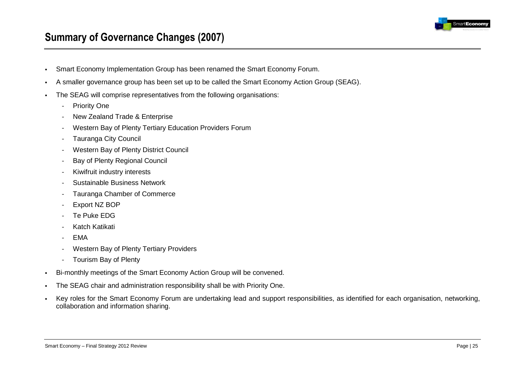

# **Summary of Governance Changes (2007)**

- Smart Economy Implementation Group has been renamed the Smart Economy Forum.
- A smaller governance group has been set up to be called the Smart Economy Action Group (SEAG).
- The SEAG will comprise representatives from the following organisations:
	- Priority One
	- New Zealand Trade & Enterprise
	- Western Bay of Plenty Tertiary Education Providers Forum
	- Tauranga City Council
	- Western Bay of Plenty District Council
	- Bay of Plenty Regional Council
	- Kiwifruit industry interests
	- Sustainable Business Network
	- Tauranga Chamber of Commerce
	- Export NZ BOP
	- Te Puke EDG
	- Katch Katikati
	- EMA
	- Western Bay of Plenty Tertiary Providers
	- Tourism Bay of Plenty
- Bi-monthly meetings of the Smart Economy Action Group will be convened.
- The SEAG chair and administration responsibility shall be with Priority One.
- Key roles for the Smart Economy Forum are undertaking lead and support responsibilities, as identified for each organisation, networking, collaboration and information sharing.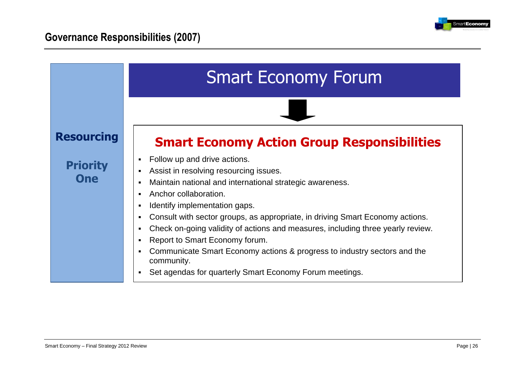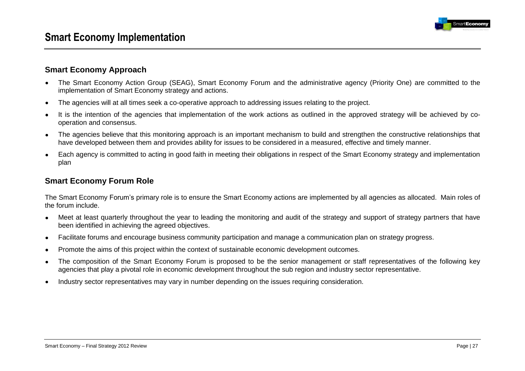# **Smart Economy Approach**

- The Smart Economy Action Group (SEAG), Smart Economy Forum and the administrative agency (Priority One) are committed to the  $\bullet$ implementation of Smart Economy strategy and actions.
- The agencies will at all times seek a co-operative approach to addressing issues relating to the project.  $\bullet$
- It is the intention of the agencies that implementation of the work actions as outlined in the approved strategy will be achieved by co- $\bullet$ operation and consensus.
- The agencies believe that this monitoring approach is an important mechanism to build and strengthen the constructive relationships that  $\bullet$ have developed between them and provides ability for issues to be considered in a measured, effective and timely manner.
- Each agency is committed to acting in good faith in meeting their obligations in respect of the Smart Economy strategy and implementation  $\bullet$ plan

# **Smart Economy Forum Role**

The Smart Economy Forum"s primary role is to ensure the Smart Economy actions are implemented by all agencies as allocated. Main roles of the forum include.

- Meet at least quarterly throughout the year to leading the monitoring and audit of the strategy and support of strategy partners that have  $\bullet$ been identified in achieving the agreed objectives.
- Facilitate forums and encourage business community participation and manage a communication plan on strategy progress.  $\bullet$
- Promote the aims of this project within the context of sustainable economic development outcomes.  $\bullet$
- The composition of the Smart Economy Forum is proposed to be the senior management or staff representatives of the following key  $\bullet$ agencies that play a pivotal role in economic development throughout the sub region and industry sector representative.
- Industry sector representatives may vary in number depending on the issues requiring consideration. $\bullet$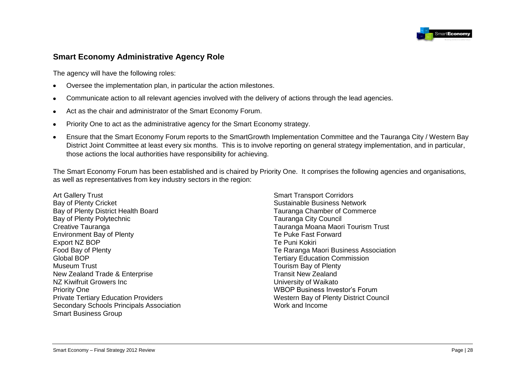

# **Smart Economy Administrative Agency Role**

The agency will have the following roles:

- Oversee the implementation plan, in particular the action milestones.  $\bullet$
- Communicate action to all relevant agencies involved with the delivery of actions through the lead agencies.  $\bullet$
- Act as the chair and administrator of the Smart Economy Forum.  $\bullet$
- Priority One to act as the administrative agency for the Smart Economy strategy.  $\bullet$
- Ensure that the Smart Economy Forum reports to the SmartGrowth Implementation Committee and the Tauranga City / Western Bay  $\bullet$ District Joint Committee at least every six months. This is to involve reporting on general strategy implementation, and in particular, those actions the local authorities have responsibility for achieving.

The Smart Economy Forum has been established and is chaired by Priority One. It comprises the following agencies and organisations, as well as representatives from key industry sectors in the region:

Art Gallery Trust Bay of Plenty Cricket Bay of Plenty District Health Board Bay of Plenty Polytechnic Creative Tauranga Environment Bay of Plenty Export NZ BOP Food Bay of Plenty Global BOP Museum Trust New Zealand Trade & Enterprise NZ Kiwifruit Growers Inc Priority One Private Tertiary Education Providers Secondary Schools Principals Association Smart Business Group

Smart Transport Corridors Sustainable Business Network Tauranga Chamber of Commerce Tauranga City Council Tauranga Moana Maori Tourism Trust Te Puke Fast Forward Te Puni Kokiri Te Raranga Maori Business Association Tertiary Education Commission Tourism Bay of Plenty Transit New Zealand University of Waikato WBOP Business Investor"s Forum Western Bay of Plenty District Council Work and Income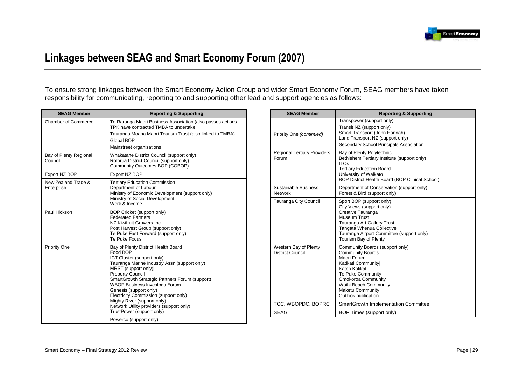

# **Linkages between SEAG and Smart Economy Forum (2007)**

To ensure strong linkages between the Smart Economy Action Group and wider Smart Economy Forum, SEAG members have taken responsibility for communicating, reporting to and supporting other lead and support agencies as follows:

| <b>SEAG Member</b>                | <b>Reporting &amp; Supporting</b>                                                                                                                                                                                                                                                                                                                                                                                                                                                |
|-----------------------------------|----------------------------------------------------------------------------------------------------------------------------------------------------------------------------------------------------------------------------------------------------------------------------------------------------------------------------------------------------------------------------------------------------------------------------------------------------------------------------------|
| Chamber of Commerce               | Te Raranga Maori Business Association (also passes actions<br>TPK have contracted TMBA to undertake<br>Tauranga Moana Maori Tourism Trust (also linked to TMBA)<br>Global BOP<br>Mainstreet organisations                                                                                                                                                                                                                                                                        |
| Bay of Plenty Regional<br>Council | Whakatane District Council (support only)<br>Rotorua District Council (support only)<br>Community Outcomes BOP (COBOP)                                                                                                                                                                                                                                                                                                                                                           |
| Export NZ BOP                     | Export NZ BOP                                                                                                                                                                                                                                                                                                                                                                                                                                                                    |
| New Zealand Trade &<br>Enterprise | <b>Tertiary Education Commission</b><br>Department of Labour<br>Ministry of Economic Development (support only)<br>Ministry of Social Development<br>Work & Income                                                                                                                                                                                                                                                                                                               |
| Paul Hickson                      | BOP Cricket (support only)<br><b>Federated Farmers</b><br>NZ Kiwifruit Growers Inc.<br>Post Harvest Group (support only)<br>Te Puke Fast Forward (support only)<br>Te Puke Focus                                                                                                                                                                                                                                                                                                 |
| Priority One                      | Bay of Plenty District Health Board<br>Food BOP<br>ICT Cluster (support only)<br>Tauranga Marine Industry Assn (support only)<br>MRST (support only) <br><b>Property Council</b><br>SmartGrowth Strategic Partners Forum (support)<br><b>WBOP Business Investor's Forum</b><br>Genesis (support only)<br>Electricity Commission (support only)<br>Mighty River (support only)<br>Network Utility providers (support only)<br>TrustPower (support only)<br>Powerco (support only) |
|                                   |                                                                                                                                                                                                                                                                                                                                                                                                                                                                                  |

| <b>SEAG Member</b>                               | <b>Reporting &amp; Supporting</b>                                                                                                                                                                                                |
|--------------------------------------------------|----------------------------------------------------------------------------------------------------------------------------------------------------------------------------------------------------------------------------------|
| Priority One (continued)                         | Transpower (support only)<br>Transit NZ (support only)<br>Smart Transport (John Hannah)<br>Land Transport NZ (support only)<br>Secondary School Principals Association                                                           |
| <b>Regional Tertiary Providers</b><br>Forum      | Bay of Plenty Polytechnic<br>Bethlehem Tertiary Institute (support only)<br><b>ITOs</b><br><b>Tertiary Education Board</b><br>University of Waikato<br>BOP District Health Board (BOP Clinical School)                           |
| Sustainable Business<br>Network                  | Department of Conservation (support only)<br>Forest & Bird (support only)                                                                                                                                                        |
| Tauranga City Council                            | Sport BOP (support only)<br>City Views (support only)<br>Creative Tauranga<br>Museum Trust<br>Tauranga Art Gallery Trust<br>Tangata Whenua Collective<br>Tauranga Airport Committee (support only)<br>Tourism Bay of Plenty      |
| Western Bay of Plenty<br><b>District Council</b> | Community Boards (support only)<br><b>Community Boards</b><br>Maori Forum<br>Katikati Community<br>Katch Katikati<br>Te Puke Community<br>Omokoroa Community<br>Waihi Beach Community<br>Maketu Community<br>Outlook publication |
| TCC, WBOPDC, BOPRC                               | SmartGrowth Implementation Committee                                                                                                                                                                                             |
| <b>SEAG</b>                                      | BOP Times (support only)                                                                                                                                                                                                         |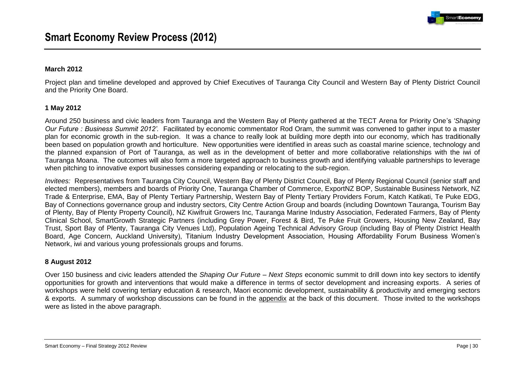

#### **March 2012**

Project plan and timeline developed and approved by Chief Executives of Tauranga City Council and Western Bay of Plenty District Council and the Priority One Board.

#### **1 May 2012**

Around 250 business and civic leaders from Tauranga and the Western Bay of Plenty gathered at the TECT Arena for Priority One"s *'Shaping Our Future : Business Summit 2012'.* Facilitated by economic commentator Rod Oram, the summit was convened to gather input to a master plan for economic growth in the sub-region. It was a chance to really look at building more depth into our economy, which has traditionally been based on population growth and horticulture. New opportunities were identified in areas such as coastal marine science, technology and the planned expansion of Port of Tauranga, as well as in the development of better and more collaborative relationships with the iwi of Tauranga Moana. The outcomes will also form a more targeted approach to business growth and identifying valuable partnerships to leverage when pitching to innovative export businesses considering expanding or relocating to the sub-region.

*Invitees:* Representatives from Tauranga City Council, Western Bay of Plenty District Council, Bay of Plenty Regional Council (senior staff and elected members), members and boards of Priority One, Tauranga Chamber of Commerce, ExportNZ BOP, Sustainable Business Network, NZ Trade & Enterprise, EMA, Bay of Plenty Tertiary Partnership, Western Bay of Plenty Tertiary Providers Forum, Katch Katikati, Te Puke EDG, Bay of Connections governance group and industry sectors, City Centre Action Group and boards (including Downtown Tauranga, Tourism Bay of Plenty, Bay of Plenty Property Council), NZ Kiwifruit Growers Inc, Tauranga Marine Industry Association, Federated Farmers, Bay of Plenty Clinical School, SmartGrowth Strategic Partners (including Grey Power, Forest & Bird, Te Puke Fruit Growers, Housing New Zealand, Bay Trust, Sport Bay of Plenty, Tauranga City Venues Ltd), Population Ageing Technical Advisory Group (including Bay of Plenty District Health Board, Age Concern, Auckland University), Titanium Industry Development Association, Housing Affordability Forum Business Women"s Network, iwi and various young professionals groups and forums.

#### **8 August 2012**

Over 150 business and civic leaders attended the *Shaping Our Future – Next Steps* economic summit to drill down into key sectors to identify opportunities for growth and interventions that would make a difference in terms of sector development and increasing exports. A series of workshops were held covering tertiary education & research, Maori economic development, sustainability & productivity and emerging sectors & exports. A summary of workshop discussions can be found in the appendix at the back of this document. Those invited to the workshops were as listed in the above paragraph.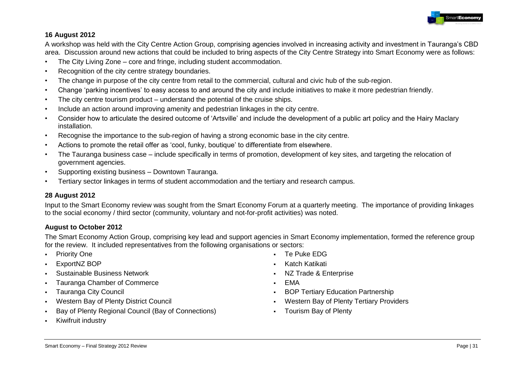

#### **16 August 2012**

A workshop was held with the City Centre Action Group, comprising agencies involved in increasing activity and investment in Tauranga"s CBD area. Discussion around new actions that could be included to bring aspects of the City Centre Strategy into Smart Economy were as follows:

- The City Living Zone core and fringe, including student accommodation.
- Recognition of the city centre strategy boundaries.
- The change in purpose of the city centre from retail to the commercial, cultural and civic hub of the sub-region.
- Change "parking incentives" to easy access to and around the city and include initiatives to make it more pedestrian friendly.
- The city centre tourism product understand the potential of the cruise ships.
- Include an action around improving amenity and pedestrian linkages in the city centre.
- Consider how to articulate the desired outcome of "Artsville" and include the development of a public art policy and the Hairy Maclary installation.
- Recognise the importance to the sub-region of having a strong economic base in the city centre.
- Actions to promote the retail offer as 'cool, funky, boutique' to differentiate from elsewhere.
- The Tauranga business case include specifically in terms of promotion, development of key sites, and targeting the relocation of government agencies.
- Supporting existing business Downtown Tauranga.
- Tertiary sector linkages in terms of student accommodation and the tertiary and research campus.

### **28 August 2012**

Input to the Smart Economy review was sought from the Smart Economy Forum at a quarterly meeting. The importance of providing linkages to the social economy / third sector (community, voluntary and not-for-profit activities) was noted.

#### **August to October 2012**

The Smart Economy Action Group, comprising key lead and support agencies in Smart Economy implementation, formed the reference group for the review. It included representatives from the following organisations or sectors:

- Priority One
- ExportNZ BOP
- Sustainable Business Network
- Tauranga Chamber of Commerce
- Tauranga City Council
- Western Bay of Plenty District Council
- Bay of Plenty Regional Council (Bay of Connections)
- Kiwifruit industry
- Te Puke EDG
- Katch Katikati
- NZ Trade & Enterprise
- EMA
- **BOP Tertiary Education Partnership**
- Western Bay of Plenty Tertiary Providers
- Tourism Bay of Plenty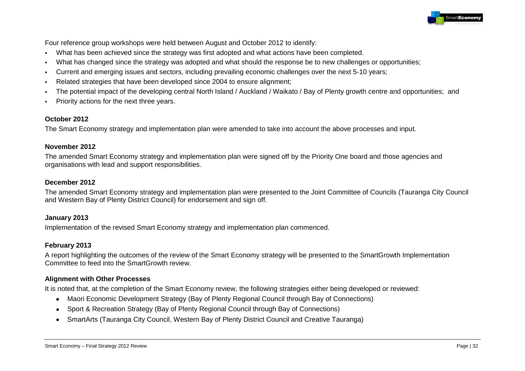

Four reference group workshops were held between August and October 2012 to identify:

- What has been achieved since the strategy was first adopted and what actions have been completed.
- What has changed since the strategy was adopted and what should the response be to new challenges or opportunities;
- Current and emerging issues and sectors, including prevailing economic challenges over the next 5-10 years;
- Related strategies that have been developed since 2004 to ensure alignment;
- The potential impact of the developing central North Island / Auckland / Waikato / Bay of Plenty growth centre and opportunities; and
- Priority actions for the next three years.

#### **October 2012**

The Smart Economy strategy and implementation plan were amended to take into account the above processes and input.

#### **November 2012**

The amended Smart Economy strategy and implementation plan were signed off by the Priority One board and those agencies and organisations with lead and support responsibilities.

#### **December 2012**

The amended Smart Economy strategy and implementation plan were presented to the Joint Committee of Councils (Tauranga City Council and Western Bay of Plenty District Council) for endorsement and sign off.

#### **January 2013**

Implementation of the revised Smart Economy strategy and implementation plan commenced.

#### **February 2013**

A report highlighting the outcomes of the review of the Smart Economy strategy will be presented to the SmartGrowth Implementation Committee to feed into the SmartGrowth review.

#### **Alignment with Other Processes**

It is noted that, at the completion of the Smart Economy review, the following strategies either being developed or reviewed:

- Maori Economic Development Strategy (Bay of Plenty Regional Council through Bay of Connections)
- Sport & Recreation Strategy (Bay of Plenty Regional Council through Bay of Connections)
- SmartArts (Tauranga City Council, Western Bay of Plenty District Council and Creative Tauranga)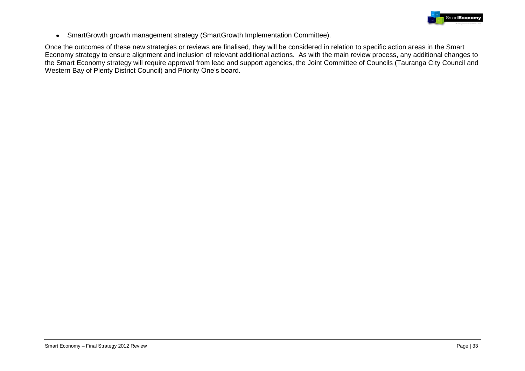

SmartGrowth growth management strategy (SmartGrowth Implementation Committee).  $\bullet$ 

Once the outcomes of these new strategies or reviews are finalised, they will be considered in relation to specific action areas in the Smart Economy strategy to ensure alignment and inclusion of relevant additional actions. As with the main review process, any additional changes to the Smart Economy strategy will require approval from lead and support agencies, the Joint Committee of Councils (Tauranga City Council and Western Bay of Plenty District Council) and Priority One's board.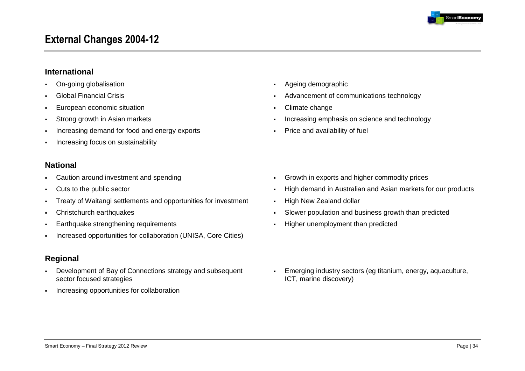

# **External Changes 2004-12**

### **International**

- On-going globalisation
- Global Financial Crisis
- European economic situation
- **Strong growth in Asian markets**
- Increasing demand for food and energy exports
- **Increasing focus on sustainability**

### **National**

- Caution around investment and spending
- Cuts to the public sector
- Treaty of Waitangi settlements and opportunities for investment
- Christchurch earthquakes
- **Earthquake strengthening requirements**
- Increased opportunities for collaboration (UNISA, Core Cities)

# **Regional**

- Development of Bay of Connections strategy and subsequent sector focused strategies
- **Increasing opportunities for collaboration**
- Ageing demographic
- Advancement of communications technology
- Climate change
- Increasing emphasis on science and technology
- Price and availability of fuel

- Growth in exports and higher commodity prices
- High demand in Australian and Asian markets for our products
- High New Zealand dollar
- Slower population and business growth than predicted
- Higher unemployment than predicted

 Emerging industry sectors (eg titanium, energy, aquaculture, ICT, marine discovery)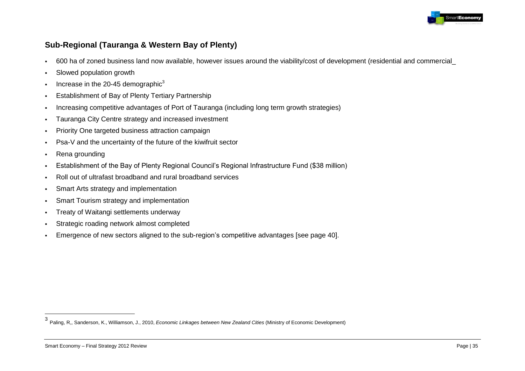

# **Sub-Regional (Tauranga & Western Bay of Plenty)**

- 600 ha of zoned business land now available, however issues around the viability/cost of development (residential and commercial\_
- Slowed population growth
- Increase in the 20-45 demographic<sup>3</sup>
- **Establishment of Bay of Plenty Tertiary Partnership**
- Increasing competitive advantages of Port of Tauranga (including long term growth strategies)
- **Tauranga City Centre strategy and increased investment**
- **Priority One targeted business attraction campaign**
- Psa-V and the uncertainty of the future of the kiwifruit sector
- Rena grounding
- Establishment of the Bay of Plenty Regional Council"s Regional Infrastructure Fund (\$38 million)
- Roll out of ultrafast broadband and rural broadband services
- Smart Arts strategy and implementation
- **Smart Tourism strategy and implementation**
- **Treaty of Waitangi settlements underway**
- Strategic roading network almost completed
- Emergence of new sectors aligned to the sub-region"s competitive advantages [see page 40].

 $\frac{1}{3}$ Paling, R,, Sanderson, K., Williamson, J., 2010, *Economic Linkages between New Zealand Cities* (Ministry of Economic Development)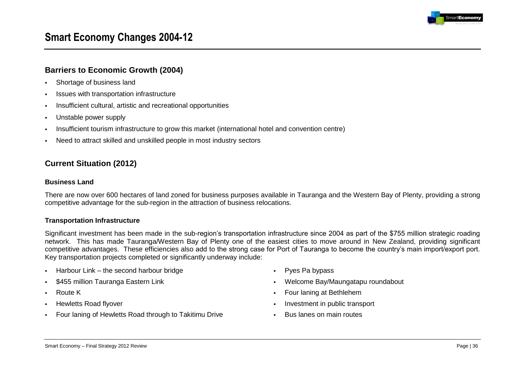

# **Smart Economy Changes 2004-12**

### **Barriers to Economic Growth (2004)**

- **Shortage of business land**
- Issues with transportation infrastructure
- Insufficient cultural, artistic and recreational opportunities
- Unstable power supply
- Insufficient tourism infrastructure to grow this market (international hotel and convention centre)
- Need to attract skilled and unskilled people in most industry sectors

# **Current Situation (2012)**

#### **Business Land**

There are now over 600 hectares of land zoned for business purposes available in Tauranga and the Western Bay of Plenty, providing a strong competitive advantage for the sub-region in the attraction of business relocations.

#### **Transportation Infrastructure**

Significant investment has been made in the sub-region"s transportation infrastructure since 2004 as part of the \$755 million strategic roading network. This has made Tauranga/Western Bay of Plenty one of the easiest cities to move around in New Zealand, providing significant competitive advantages. These efficiencies also add to the strong case for Port of Tauranga to become the country"s main import/export port. Key transportation projects completed or significantly underway include:

- Harbour Link the second harbour bridge
- \$455 million Tauranga Eastern Link
- Route K
- Hewletts Road flyover
- Four laning of Hewletts Road through to Takitimu Drive
- Pyes Pa bypass
- Welcome Bay/Maungatapu roundabout
- Four laning at Bethlehem
- Investment in public transport
- **Bus lanes on main routes**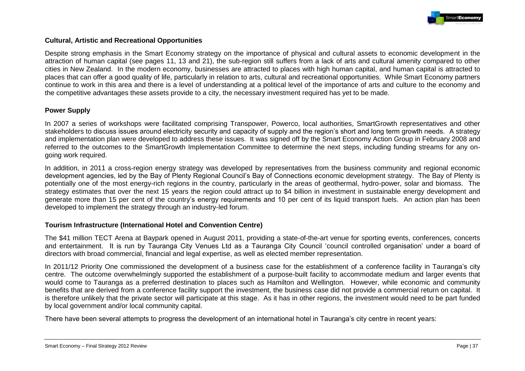

#### **Cultural, Artistic and Recreational Opportunities**

Despite strong emphasis in the Smart Economy strategy on the importance of physical and cultural assets to economic development in the attraction of human capital (see pages 11, 13 and 21), the sub-region still suffers from a lack of arts and cultural amenity compared to other cities in New Zealand. In the modern economy, businesses are attracted to places with high human capital, and human capital is attracted to places that can offer a good quality of life, particularly in relation to arts, cultural and recreational opportunities. While Smart Economy partners continue to work in this area and there is a level of understanding at a political level of the importance of arts and culture to the economy and the competitive advantages these assets provide to a city, the necessary investment required has yet to be made.

#### **Power Supply**

In 2007 a series of workshops were facilitated comprising Transpower, Powerco, local authorities, SmartGrowth representatives and other stakeholders to discuss issues around electricity security and capacity of supply and the region"s short and long term growth needs. A strategy and implementation plan were developed to address these issues. It was signed off by the Smart Economy Action Group in February 2008 and referred to the outcomes to the SmartGrowth Implementation Committee to determine the next steps, including funding streams for any ongoing work required.

In addition, in 2011 a cross-region energy strategy was developed by representatives from the business community and regional economic development agencies, led by the Bay of Plenty Regional Council"s Bay of Connections economic development strategy. The Bay of Plenty is potentially one of the most energy-rich regions in the country, particularly in the areas of geothermal, hydro-power, solar and biomass. The strategy estimates that over the next 15 years the region could attract up to \$4 billion in investment in sustainable energy development and generate more than 15 per cent of the country"s energy requirements and 10 per cent of its liquid transport fuels. An action plan has been developed to implement the strategy through an industry-led forum.

#### **Tourism Infrastructure (International Hotel and Convention Centre)**

The \$41 million TECT Arena at Baypark opened in August 2011, providing a state-of-the-art venue for sporting events, conferences, concerts and entertainment. It is run by Tauranga City Venues Ltd as a Tauranga City Council "council controlled organisation" under a board of directors with broad commercial, financial and legal expertise, as well as elected member representation.

In 2011/12 Priority One commissioned the development of a business case for the establishment of a conference facility in Tauranga"s city centre. The outcome overwhelmingly supported the establishment of a purpose-built facility to accommodate medium and larger events that would come to Tauranga as a preferred destination to places such as Hamilton and Wellington. However, while economic and community benefits that are derived from a conference facility support the investment, the business case did not provide a commercial return on capital. It is therefore unlikely that the private sector will participate at this stage. As it has in other regions, the investment would need to be part funded by local government and/or local community capital.

There have been several attempts to progress the development of an international hotel in Tauranga's city centre in recent years: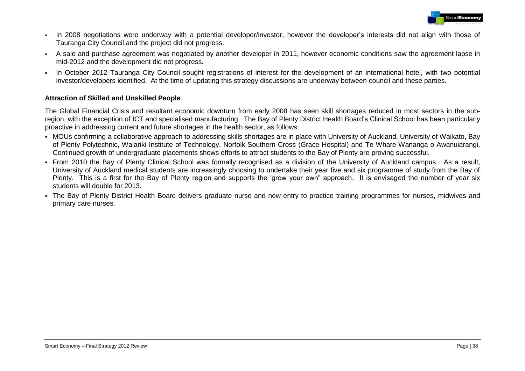

- In 2008 negotiations were underway with a potential developer/investor, however the developer"s interests did not align with those of Tauranga City Council and the project did not progress.
- A sale and purchase agreement was negotiated by another developer in 2011, however economic conditions saw the agreement lapse in mid-2012 and the development did not progress.
- In October 2012 Tauranga City Council sought registrations of interest for the development of an international hotel, with two potential investor/developers identified. At the time of updating this strategy discussions are underway between council and these parties.

#### **Attraction of Skilled and Unskilled People**

The Global Financial Crisis and resultant economic downturn from early 2008 has seen skill shortages reduced in most sectors in the subregion, with the exception of ICT and specialised manufacturing. The Bay of Plenty District Health Board"s Clinical School has been particularly proactive in addressing current and future shortages in the health sector, as follows:

- MOUs confirming a collaborative approach to addressing skills shortages are in place with University of Auckland, University of Waikato, Bay of Plenty Polytechnic, Waiariki Institute of Technology, Norfolk Southern Cross (Grace Hospital) and Te Whare Wananga o Awanuiarangi. Continued growth of undergraduate placements shows efforts to attract students to the Bay of Plenty are proving successful.
- From 2010 the Bay of Plenty Clinical School was formally recognised as a division of the University of Auckland campus. As a result, University of Auckland medical students are increasingly choosing to undertake their year five and six programme of study from the Bay of Plenty. This is a first for the Bay of Plenty region and supports the 'grow your own" approach. It is envisaged the number of year six students will double for 2013.
- The Bay of Plenty District Health Board delivers graduate nurse and new entry to practice training programmes for nurses, midwives and primary care nurses.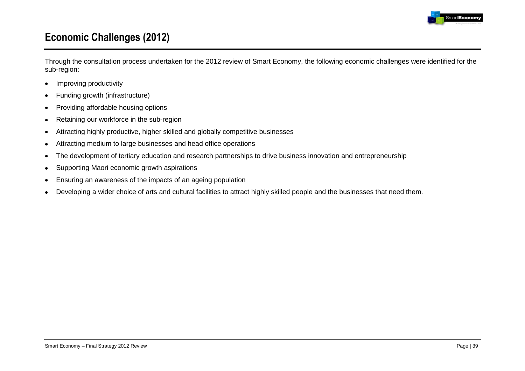

## **Economic Challenges (2012)**

Through the consultation process undertaken for the 2012 review of Smart Economy, the following economic challenges were identified for the sub-region:

- Improving productivity  $\bullet$
- Funding growth (infrastructure)  $\bullet$
- Providing affordable housing options  $\bullet$
- Retaining our workforce in the sub-region  $\bullet$
- Attracting highly productive, higher skilled and globally competitive businesses  $\bullet$
- Attracting medium to large businesses and head office operations  $\bullet$
- The development of tertiary education and research partnerships to drive business innovation and entrepreneurship  $\bullet$
- Supporting Maori economic growth aspirations  $\bullet$
- Ensuring an awareness of the impacts of an ageing population  $\bullet$
- Developing a wider choice of arts and cultural facilities to attract highly skilled people and the businesses that need them. $\bullet$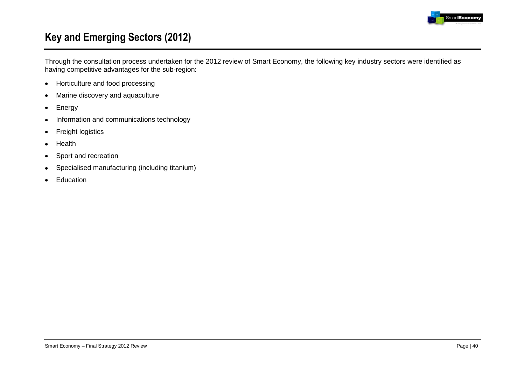

## **Key and Emerging Sectors (2012)**

Through the consultation process undertaken for the 2012 review of Smart Economy, the following key industry sectors were identified as having competitive advantages for the sub-region:

- Horticulture and food processing  $\bullet$
- Marine discovery and aquaculture  $\bullet$
- Energy  $\bullet$
- Information and communications technology  $\bullet$
- Freight logistics  $\bullet$
- Health  $\bullet$
- Sport and recreation  $\bullet$
- Specialised manufacturing (including titanium)  $\bullet$
- Education $\bullet$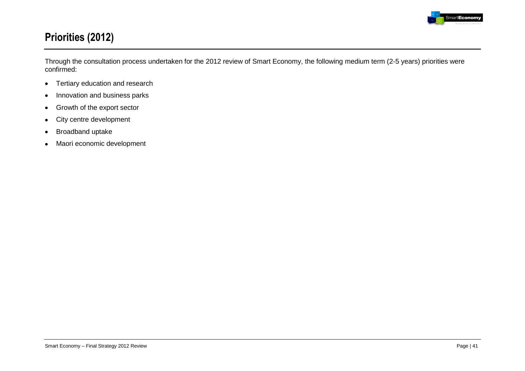

## **Priorities (2012)**

Through the consultation process undertaken for the 2012 review of Smart Economy, the following medium term (2-5 years) priorities were confirmed:

- Tertiary education and research  $\bullet$
- Innovation and business parks  $\bullet$
- Growth of the export sector  $\bullet$
- City centre development  $\bullet$
- Broadband uptake  $\bullet$
- Maori economic development $\bullet$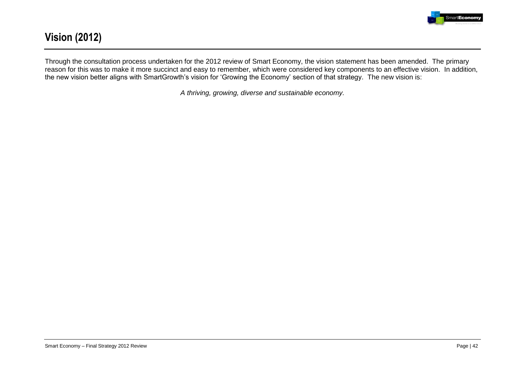

## **Vision (2012)**

Through the consultation process undertaken for the 2012 review of Smart Economy, the vision statement has been amended. The primary reason for this was to make it more succinct and easy to remember, which were considered key components to an effective vision. In addition, the new vision better aligns with SmartGrowth"s vision for "Growing the Economy" section of that strategy. The new vision is:

*A thriving, growing, diverse and sustainable economy.*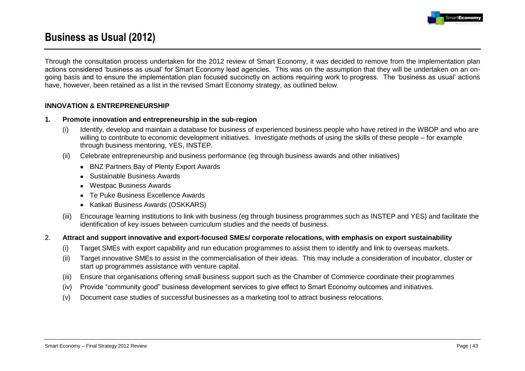

## **Business as Usual (2012)**

Through the consultation process undertaken for the 2012 review of Smart Economy, it was decided to remove from the implementation plan actions considered "business as usual" for Smart Economy lead agencies. This was on the assumption that they will be undertaken on an ongoing basis and to ensure the implementation plan focused succinctly on actions requiring work to progress. The "business as usual" actions have, however, been retained as a list in the revised Smart Economy strategy, as outlined below.

#### **INNOVATION & ENTREPRENEURSHIP**

- **1. Promote innovation and entrepreneurship in the sub-region**
	- (i) Identify, develop and maintain a database for business of experienced business people who have retired in the WBOP and who are willing to contribute to economic development initiatives. Investigate methods of using the skills of these people – for example through business mentoring, YES, INSTEP.
	- (ii) Celebrate entrepreneurship and business performance (eg through business awards and other initiatives)
		- BNZ Partners Bay of Plenty Export Awards
		- Sustainable Business Awards
		- Westpac Business Awards
		- Te Puke Business Excellence Awards
		- Katikati Business Awards (OSKKARS)
	- (iii) Encourage learning institutions to link with business (eg through business programmes such as INSTEP and YES) and facilitate the identification of key issues between curriculum studies and the needs of business.

#### 2. **Attract and support innovative and export-focused SMEs/ corporate relocations, with emphasis on export sustainability**

- (i) Target SMEs with export capability and run education programmes to assist them to identify and link to overseas markets.
- (ii) Target innovative SMEs to assist in the commercialisation of their ideas. This may include a consideration of incubator, cluster or start up programmes assistance with venture capital.
- (iii) Ensure that organisations offering small business support such as the Chamber of Commerce coordinate their programmes
- (iv) Provide "community good" business development services to give effect to Smart Economy outcomes and initiatives.
- (v) Document case studies of successful businesses as a marketing tool to attract business relocations.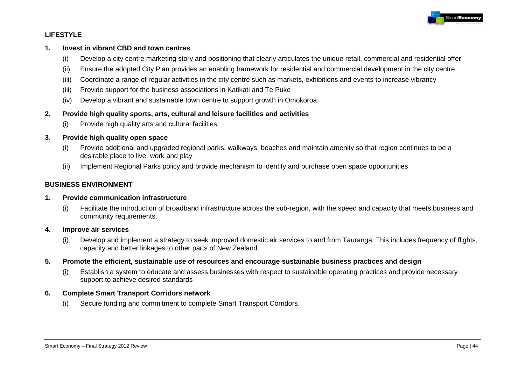

#### **LIFESTYLE**

#### **1. Invest in vibrant CBD and town centres**

- (i) Develop a city centre marketing story and positioning that clearly articulates the unique retail, commercial and residential offer
- (ii) Ensure the adopted City Plan provides an enabling framework for residential and commercial development in the city centre
- (iii) Coordinate a range of regular activities in the city centre such as markets, exhibitions and events to increase vibrancy
- (iii) Provide support for the business associations in Katikati and Te Puke
- (iv) Develop a vibrant and sustainable town centre to support growth in Omokoroa

#### **2. Provide high quality sports, arts, cultural and leisure facilities and activities**

(i) Provide high quality arts and cultural facilities

#### **3. Provide high quality open space**

- (i) Provide additional and upgraded regional parks, walkways, beaches and maintain amenity so that region continues to be a desirable place to live, work and play
- (ii) Implement Regional Parks policy and provide mechanism to identify and purchase open space opportunities

#### **BUSINESS ENVIRONMENT**

#### **1. Provide communication infrastructure**

(i) Facilitate the introduction of broadband infrastructure across the sub-region, with the speed and capacity that meets business and community requirements.

#### **4. Improve air services**

- (i) Develop and implement a strategy to seek improved domestic air services to and from Tauranga. This includes frequency of flights, capacity and better linkages to other parts of New Zealand.
- **5. Promote the efficient, sustainable use of resources and encourage sustainable business practices and design**
	- (i) Establish a system to educate and assess businesses with respect to sustainable operating practices and provide necessary support to achieve desired standards

#### **6. Complete Smart Transport Corridors network**

(i) Secure funding and commitment to complete Smart Transport Corridors.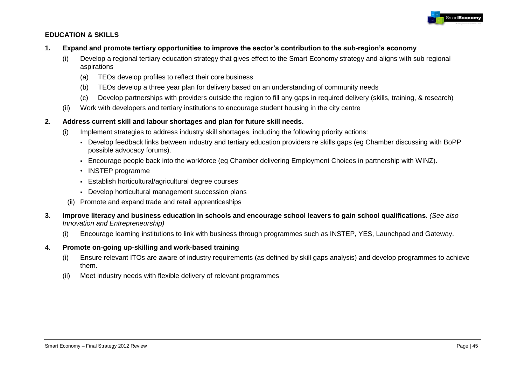

#### **EDUCATION & SKILLS**

- **1. Expand and promote tertiary opportunities to improve the sector's contribution to the sub-region's economy**
	- (i) Develop a regional tertiary education strategy that gives effect to the Smart Economy strategy and aligns with sub regional aspirations
		- (a) TEOs develop profiles to reflect their core business
		- (b) TEOs develop a three year plan for delivery based on an understanding of community needs
		- (c) Develop partnerships with providers outside the region to fill any gaps in required delivery (skills, training, & research)
	- (ii) Work with developers and tertiary institutions to encourage student housing in the city centre

#### **2. Address current skill and labour shortages and plan for future skill needs.**

- (i) Implement strategies to address industry skill shortages, including the following priority actions:
	- Develop feedback links between industry and tertiary education providers re skills gaps (eg Chamber discussing with BoPP possible advocacy forums).
	- Encourage people back into the workforce (eg Chamber delivering Employment Choices in partnership with WINZ).
	- INSTEP programme
	- Establish horticultural/agricultural degree courses
	- Develop horticultural management succession plans
- (ii) Promote and expand trade and retail apprenticeships
- **3. Improve literacy and business education in schools and encourage school leavers to gain school qualifications.** *(See also Innovation and Entrepreneurship)*
	- (i) Encourage learning institutions to link with business through programmes such as INSTEP, YES, Launchpad and Gateway.
- 4. **Promote on-going up-skilling and work-based training**
	- (i) Ensure relevant ITOs are aware of industry requirements (as defined by skill gaps analysis) and develop programmes to achieve them.
	- (ii) Meet industry needs with flexible delivery of relevant programmes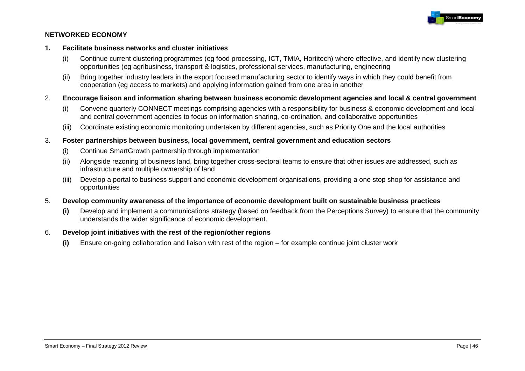

#### **NETWORKED ECONOMY**

#### **1. Facilitate business networks and cluster initiatives**

- (i) Continue current clustering programmes (eg food processing, ICT, TMIA, Hortitech) where effective, and identify new clustering opportunities (eg agribusiness, transport & logistics, professional services, manufacturing, engineering
- (ii) Bring together industry leaders in the export focused manufacturing sector to identify ways in which they could benefit from cooperation (eg access to markets) and applying information gained from one area in another
- 2. **Encourage liaison and information sharing between business economic development agencies and local & central government**
	- (i) Convene quarterly CONNECT meetings comprising agencies with a responsibility for business & economic development and local and central government agencies to focus on information sharing, co-ordination, and collaborative opportunities
	- (iii) Coordinate existing economic monitoring undertaken by different agencies, such as Priority One and the local authorities

#### 3. **Foster partnerships between business, local government, central government and education sectors**

- (i) Continue SmartGrowth partnership through implementation
- (ii) Alongside rezoning of business land, bring together cross-sectoral teams to ensure that other issues are addressed, such as infrastructure and multiple ownership of land
- (iii) Develop a portal to business support and economic development organisations, providing a one stop shop for assistance and opportunities
- 5. **Develop community awareness of the importance of economic development built on sustainable business practices**
	- **(i)** Develop and implement a communications strategy (based on feedback from the Perceptions Survey) to ensure that the community understands the wider significance of economic development.

#### 6. **Develop joint initiatives with the rest of the region/other regions**

**(i)** Ensure on-going collaboration and liaison with rest of the region – for example continue joint cluster work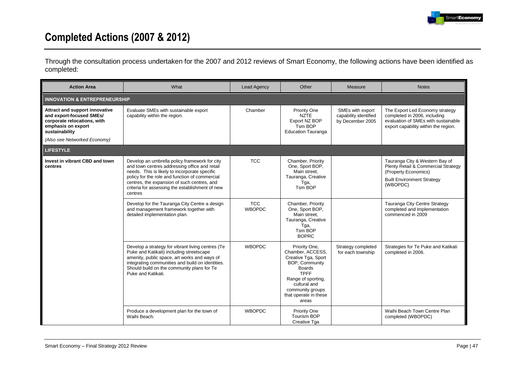

# **Completed Actions (2007 & 2012)**

Through the consultation process undertaken for the 2007 and 2012 reviews of Smart Economy, the following actions have been identified as completed:

| <b>Action Area</b>                                                                                                                | What                                                                                                                                                                                                                                                                                                           | <b>Lead Agency</b>          | Other                                                                                                                                                                                                  | Measure                                                       | <b>Notes</b>                                                                                                                                   |  |  |  |  |
|-----------------------------------------------------------------------------------------------------------------------------------|----------------------------------------------------------------------------------------------------------------------------------------------------------------------------------------------------------------------------------------------------------------------------------------------------------------|-----------------------------|--------------------------------------------------------------------------------------------------------------------------------------------------------------------------------------------------------|---------------------------------------------------------------|------------------------------------------------------------------------------------------------------------------------------------------------|--|--|--|--|
| <b>INNOVATION &amp; ENTREPRENEURSHIP</b>                                                                                          |                                                                                                                                                                                                                                                                                                                |                             |                                                                                                                                                                                                        |                                                               |                                                                                                                                                |  |  |  |  |
| Attract and support innovative<br>and export-focused SMEs/<br>corporate relocations, with<br>emphasis on export<br>sustainability | Evaluate SMEs with sustainable export<br>capability within the region.                                                                                                                                                                                                                                         | Chamber                     | Priority One<br><b>NZTE</b><br>Export NZ BOP<br>Tsm BOP<br><b>Education Tauranga</b>                                                                                                                   | SMEs with export<br>capability identified<br>by December 2005 | The Export Led Economy strategy<br>completed in 2006, including<br>evaluation of SMEs with sustainable<br>export capability within the region. |  |  |  |  |
| (Also see Networked Economy)                                                                                                      |                                                                                                                                                                                                                                                                                                                |                             |                                                                                                                                                                                                        |                                                               |                                                                                                                                                |  |  |  |  |
| <b>LIFESTYLE</b>                                                                                                                  |                                                                                                                                                                                                                                                                                                                |                             |                                                                                                                                                                                                        |                                                               |                                                                                                                                                |  |  |  |  |
| Invest in vibrant CBD and town<br>centres                                                                                         | Develop an umbrella policy framework for city<br>and town centres addressing office and retail<br>needs. This is likely to incorporate specific<br>policy for the role and function of commercial<br>centres, the expansion of such centres, and<br>criteria for assessing the establishment of new<br>centres | <b>TCC</b>                  | Chamber, Priority<br>One, Sport BOP,<br>Main street,<br>Tauranga, Creative<br>Tga,<br>Tsm BOP                                                                                                          |                                                               | Tauranga City & Western Bay of<br>Plenty Retail & Commercial Strategy<br>(Property Economics)<br><b>Built Environment Strategy</b><br>(WBOPDC) |  |  |  |  |
|                                                                                                                                   | Develop for the Tauranga City Centre a design<br>and management framework together with<br>detailed implementation plan.                                                                                                                                                                                       | <b>TCC</b><br><b>WBOPDC</b> | Chamber, Priority<br>One, Sport BOP,<br>Main street.<br>Tauranga, Creative<br>Tga,<br>Tsm BOP<br><b>BOPRC</b>                                                                                          |                                                               | Tauranga City Centre Strategy<br>completed and implementation<br>commenced in 2009                                                             |  |  |  |  |
|                                                                                                                                   | Develop a strategy for vibrant living centres (Te<br>Puke and Katikati) including streetscape<br>amenity, public space, art works and ways of<br>integrating communities and build on identities.<br>Should build on the community plans for Te<br>Puke and Katikati.                                          | <b>WBOPDC</b>               | Priority One,<br>Chamber, ACCESS,<br>Creative Tga, Sport<br>BOP, Community<br><b>Boards</b><br><b>TPFF</b><br>Range of sporting,<br>cultural and<br>community groups<br>that operate in these<br>areas | Strategy completed<br>for each township                       | Strategies for Te Puke and Katikati<br>completed in 2006.                                                                                      |  |  |  |  |
|                                                                                                                                   | Produce a development plan for the town of<br>Waihi Beach.                                                                                                                                                                                                                                                     | <b>WBOPDC</b>               | Priority One<br><b>Tourism BOP</b><br>Creative Tga                                                                                                                                                     |                                                               | Waihi Beach Town Centre Plan<br>completed (WBOPDC)                                                                                             |  |  |  |  |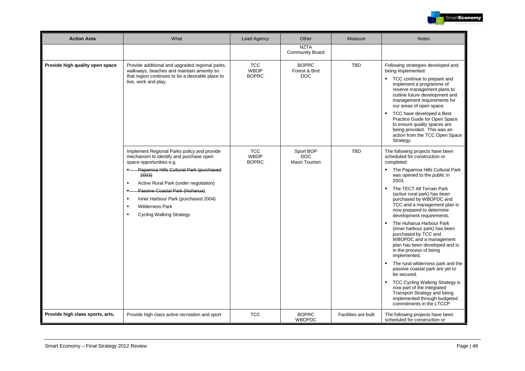

| <b>Action Area</b>               | What                                                                                                                                                                                                                                                                                                                                                                                              | <b>Lead Agency</b>                        | Other                                       | Measure              | <b>Notes</b>                                                                                                                                                                                                                                                                                                                                                                                                                                                                                                                                                                                                                                                                                                                                                                                         |
|----------------------------------|---------------------------------------------------------------------------------------------------------------------------------------------------------------------------------------------------------------------------------------------------------------------------------------------------------------------------------------------------------------------------------------------------|-------------------------------------------|---------------------------------------------|----------------------|------------------------------------------------------------------------------------------------------------------------------------------------------------------------------------------------------------------------------------------------------------------------------------------------------------------------------------------------------------------------------------------------------------------------------------------------------------------------------------------------------------------------------------------------------------------------------------------------------------------------------------------------------------------------------------------------------------------------------------------------------------------------------------------------------|
|                                  |                                                                                                                                                                                                                                                                                                                                                                                                   |                                           | <b>NZTA</b><br>Community Board              |                      |                                                                                                                                                                                                                                                                                                                                                                                                                                                                                                                                                                                                                                                                                                                                                                                                      |
| Provide high quality open space  | Provide additional and upgraded regional parks,<br>walkways, beaches and maintain amenity so<br>that region continues to be a desirable place to<br>live, work and play.                                                                                                                                                                                                                          | <b>TCC</b><br><b>WBOP</b><br><b>BOPRC</b> | <b>BOPRC</b><br>Forest & Bird<br><b>DOC</b> | <b>TBD</b>           | Following strategies developed and<br>being implemented:<br>TCC continue to prepare and<br>implement a programme of<br>reserve management plans to<br>outline future development and<br>management requirements for<br>our areas of open space.<br>TCC have developed a Best<br>Practice Guide for Open Space<br>to ensure quality spaces are<br>being provided. This was an<br>action from the TCC Open Space<br>Strategy.                                                                                                                                                                                                                                                                                                                                                                          |
|                                  | Implement Regional Parks policy and provide<br>mechanism to identify and purchase open<br>space opportunities e.g.<br><b>E</b> Papamoa Hills Cultural Park (purchased<br>2003)<br>Active Rural Park (under negotiation)<br>$\blacksquare$<br>Passive Coastal Park (Huharua)<br>Inner Harbour Park (purchased 2004)<br><b>Wilderness Park</b><br>$\blacksquare$<br><b>Cycling Walking Strategy</b> | <b>TCC</b><br><b>WBOP</b><br><b>BOPRC</b> | Sport BOP<br><b>DOC</b><br>Maori Tourism    | <b>TBD</b>           | The following projects have been<br>scheduled for construction or<br>completed:<br>• The Papamoa Hills Cultural Park<br>was opened to the public in<br>2003.<br>The TECT All Terrain Park<br>(active rural park) has been<br>purchased by WBOPDC and<br>TCC and a management plan is<br>now prepared to determine<br>development requirements.<br>The Huharua Harbour Park<br>(inner harbour park) has been<br>purchased by TCC and<br>WBOPDC and a management<br>plan has been developed and is<br>in the process of being<br>implemented.<br>The rural wilderness park and the<br>٠<br>passive coastal park are yet to<br>be secured.<br>TCC Cycling Walking Strategy is<br>now part of the Integrated<br>Transport Strategy and being<br>implemented through budgeted<br>commitments in the LTCCP |
| Provide high class sports, arts, | Provide high class active recreation and sport                                                                                                                                                                                                                                                                                                                                                    | <b>TCC</b>                                | <b>BOPRC</b><br><b>WBOPDC</b>               | Facilities are built | The following projects have been<br>scheduled for construction or                                                                                                                                                                                                                                                                                                                                                                                                                                                                                                                                                                                                                                                                                                                                    |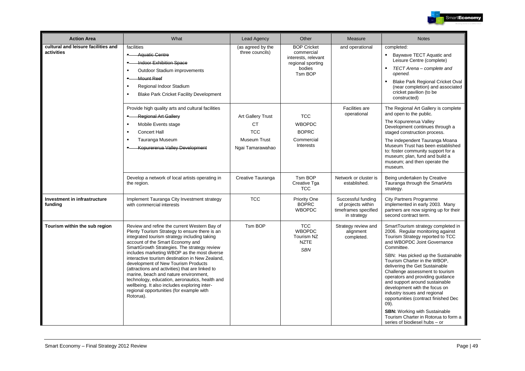

| <b>Action Area</b>                                | What                                                                                                                                                                                                                                                                                                                                                                                                                                                                                                                                                                                                                             | <b>Lead Agency</b>                                                                             | Other                                                                                             | Measure                                                                         | <b>Notes</b>                                                                                                                                                                                                                                                                                                                                                                                                                                                                                                                                                                                                   |
|---------------------------------------------------|----------------------------------------------------------------------------------------------------------------------------------------------------------------------------------------------------------------------------------------------------------------------------------------------------------------------------------------------------------------------------------------------------------------------------------------------------------------------------------------------------------------------------------------------------------------------------------------------------------------------------------|------------------------------------------------------------------------------------------------|---------------------------------------------------------------------------------------------------|---------------------------------------------------------------------------------|----------------------------------------------------------------------------------------------------------------------------------------------------------------------------------------------------------------------------------------------------------------------------------------------------------------------------------------------------------------------------------------------------------------------------------------------------------------------------------------------------------------------------------------------------------------------------------------------------------------|
| cultural and leisure facilities and<br>activities | facilities<br><b>Aquatic Centre</b><br>Indoor Exhibition Space<br>Outdoor Stadium improvements<br>٠<br><b>Mount Reef</b><br>Regional Indoor Stadium<br>$\blacksquare$<br><b>Blake Park Cricket Facility Development</b><br>$\blacksquare$                                                                                                                                                                                                                                                                                                                                                                                        | (as agreed by the<br>three councils)                                                           | <b>BOP Cricket</b><br>commercial<br>interests, relevant<br>regional sporting<br>bodies<br>Tsm BOP | and operational                                                                 | completed:<br>Baywave TECT Aquatic and<br>Leisure Centre (complete)<br>$\blacksquare$<br>TECT Arena - complete and<br>opened.<br>Blake Park Regional Cricket Oval<br>$\blacksquare$<br>(near completion) and associated<br>cricket pavilion (to be<br>constructed)                                                                                                                                                                                                                                                                                                                                             |
|                                                   | Provide high quality arts and cultural facilities<br><b>Regional Art Gallery</b><br>Mobile Events stage<br>$\blacksquare$<br><b>Concert Hall</b><br>Tauranga Museum<br>٠<br>Kopurererua Valley Development                                                                                                                                                                                                                                                                                                                                                                                                                       | <b>Art Gallery Trust</b><br><b>CT</b><br><b>TCC</b><br><b>Museum Trust</b><br>Ngai Tamarawahao | <b>TCC</b><br><b>WBOPDC</b><br><b>BOPRC</b><br>Commercial<br>Interests                            | Facilities are<br>operational                                                   | The Regional Art Gallery is complete<br>and open to the public.<br>The Kopurererua Valley<br>Development continues through a<br>staged construction process.<br>The independent Tauranga Moana<br>Museum Trust has been established<br>to: foster community support for a<br>museum; plan, fund and build a<br>museum; and then operate the<br>museum.                                                                                                                                                                                                                                                         |
|                                                   | Develop a network of local artists operating in<br>the region.                                                                                                                                                                                                                                                                                                                                                                                                                                                                                                                                                                   | Creative Tauranga                                                                              | Tsm BOP<br>Creative Tga<br><b>TCC</b>                                                             | Network or cluster is<br>established.                                           | Being undertaken by Creative<br>Tauranga through the SmartArts<br>strategy.                                                                                                                                                                                                                                                                                                                                                                                                                                                                                                                                    |
| Investment in infrastructure<br>funding           | Implement Tauranga City Investment strategy<br>with commercial interests                                                                                                                                                                                                                                                                                                                                                                                                                                                                                                                                                         | <b>TCC</b>                                                                                     | Priority One<br><b>BOPRC</b><br><b>WBOPDC</b>                                                     | Successful funding<br>of projects within<br>timeframes specified<br>in strategy | <b>City Partners Programme</b><br>implemented in early 2003. Many<br>partners are now signing up for their<br>second contract term.                                                                                                                                                                                                                                                                                                                                                                                                                                                                            |
| Tourism within the sub region                     | Review and refine the current Western Bay of<br>Plenty Tourism Strategy to ensure there is an<br>integrated tourism strategy including taking<br>account of the Smart Economy and<br>SmartGrowth Strategies. The strategy review<br>includes marketing WBOP as the most diverse<br>interactive tourism destination in New Zealand,<br>development of New Tourism Products<br>(attractions and activities) that are linked to<br>marine, beach and nature environment,<br>technology, education, aeronautics, health and<br>wellbeing. It also includes exploring inter-<br>regional opportunities (for example with<br>Rotorua). | Tsm BOP                                                                                        | <b>TCC</b><br><b>WBOPDC</b><br>Tourism NZ<br><b>NZTE</b><br><b>SBN</b>                            | Strategy review and<br>alignment<br>completed.                                  | SmartTourism strategy completed in<br>2006. Regular monitoring against<br>Tourism Strategy reported to TCC<br>and WBOPDC Joint Governance<br>Committee.<br>SBN: Has picked up the Sustainable<br>Tourism Charter in the WBOP,<br>delivering the Get Sustainable<br>Challenge assessment to tourism<br>operators and providing guidance<br>and support around sustainable<br>development with the focus on<br>industry issues and regional<br>opportunities (contract finished Dec<br>$(09)$ .<br><b>SBN:</b> Working with Sustainable<br>Tourism Charter in Rotorua to form a<br>series of biodiesel hubs - or |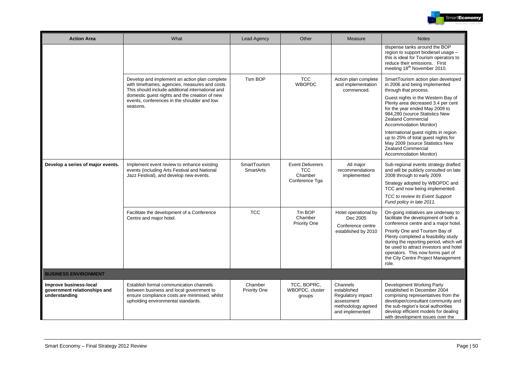

| <b>Action Area</b>                                                      | What                                                                                                                                                                                                 | <b>Lead Agency</b>        | Other                                                              | Measure                                                                                             | <b>Notes</b>                                                                                                                                                                                                                                             |
|-------------------------------------------------------------------------|------------------------------------------------------------------------------------------------------------------------------------------------------------------------------------------------------|---------------------------|--------------------------------------------------------------------|-----------------------------------------------------------------------------------------------------|----------------------------------------------------------------------------------------------------------------------------------------------------------------------------------------------------------------------------------------------------------|
|                                                                         |                                                                                                                                                                                                      |                           |                                                                    |                                                                                                     | dispense tanks around the BOP<br>region to support biodiesel usage -<br>this is ideal for Tourism operators to<br>reduce their emissions. First<br>meeting 18 <sup>th</sup> November 2010.                                                               |
|                                                                         | Develop and implement an action plan complete<br>with timeframes, agencies, measures and costs.<br>This should include additional international and<br>domestic guest nights and the creation of new | Tsm BOP                   | <b>TCC</b><br><b>WBOPDC</b>                                        | Action plan complete<br>and implementation<br>commenced.                                            | SmartTourism action plan developed<br>in 2006 and being implemented<br>through that process.<br>Guest nights in the Western Bay of                                                                                                                       |
|                                                                         | events, conferences in the shoulder and low<br>seasons.                                                                                                                                              |                           |                                                                    |                                                                                                     | Plenty area decreased 3.4 per cent<br>for the year ended May 2009 to<br>984,280 (source Statistics New<br><b>Zealand Commercial</b><br>Accommodation Monitor)                                                                                            |
|                                                                         |                                                                                                                                                                                                      |                           |                                                                    |                                                                                                     | International guest nights in region<br>up to 25% of total guest nights for<br>May 2009 (source Statistics New<br>Zealand Commercial<br>Accommodation Monitor)                                                                                           |
| Develop a series of major events.                                       | Implement event review to enhance existing<br>events (including Arts Festival and National<br>Jazz Festival), and develop new events.                                                                | SmartTourism<br>SmartArts | <b>Event Deliverers</b><br><b>TCC</b><br>Chamber<br>Conference Tga | All major<br>recommendations<br>implemented                                                         | Sub-regional events strategy drafted<br>and will be publicly consulted on late<br>2008 through to early 2009.                                                                                                                                            |
|                                                                         |                                                                                                                                                                                                      |                           |                                                                    |                                                                                                     | Strategy adopted by WBOPDC and<br>TCC and now being implemented.<br>TCC to review its Event Support<br>Fund policy in late 2011.                                                                                                                         |
|                                                                         | Facilitate the development of a Conference<br>Centre and major hotel.                                                                                                                                | <b>TCC</b>                | Tm BOP<br>Chamber<br>Priority One                                  | Hotel operational by<br>Dec 2005<br>Conference centre                                               | On-going initiatives are underway to<br>facilitate the development of both a<br>conference centre and a major hotel.                                                                                                                                     |
|                                                                         |                                                                                                                                                                                                      |                           |                                                                    | established by 2010                                                                                 | Priority One and Tourism Bay of<br>Plenty completed a feasibility study<br>during the reporting period, which will<br>be used to attract investors and hotel<br>operators. This now forms part of<br>the City Centre Project Management<br>role.         |
| <b>BUSINESS ENVIRONMENT</b>                                             |                                                                                                                                                                                                      |                           |                                                                    |                                                                                                     |                                                                                                                                                                                                                                                          |
| Improve business-local<br>government relationships and<br>understanding | Establish formal communication channels<br>between business and local government to<br>ensure compliance costs are minimised, whilst<br>upholding environmental standards.                           | Chamber<br>Priority One   | TCC, BOPRC,<br>WBOPDC, cluster<br>groups                           | Channels<br>established<br>Regulatory impact<br>assessment<br>methodology agreed<br>and implemented | Development Working Party<br>established in December 2004<br>comprising representatives from the<br>developer/consultant community and<br>the sub-region's local authorities<br>develop efficient models for dealing<br>with development issues over the |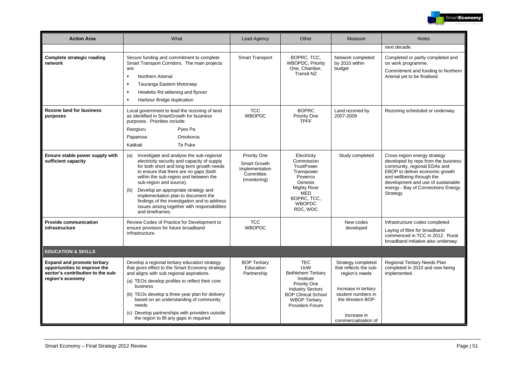

| <b>Action Area</b>                                                                                                          | What                                                                                                                                                                                                                                                                                                                                                                                                                                                               | <b>Lead Agency</b>                                                                 | Other                                                                                                                                                                                                | Measure                                                                                                                                                                | <b>Notes</b>                                                                                                                                                                                                                                                |
|-----------------------------------------------------------------------------------------------------------------------------|--------------------------------------------------------------------------------------------------------------------------------------------------------------------------------------------------------------------------------------------------------------------------------------------------------------------------------------------------------------------------------------------------------------------------------------------------------------------|------------------------------------------------------------------------------------|------------------------------------------------------------------------------------------------------------------------------------------------------------------------------------------------------|------------------------------------------------------------------------------------------------------------------------------------------------------------------------|-------------------------------------------------------------------------------------------------------------------------------------------------------------------------------------------------------------------------------------------------------------|
|                                                                                                                             |                                                                                                                                                                                                                                                                                                                                                                                                                                                                    |                                                                                    |                                                                                                                                                                                                      |                                                                                                                                                                        | next decade.                                                                                                                                                                                                                                                |
| Complete strategic roading<br>network                                                                                       | Secure funding and commitment to complete<br>Smart Transport Corridors. The main projects<br>are:<br>Northern Arterial<br>$\blacksquare$<br>Tauranga Eastern Motorway<br>$\blacksquare$<br>Hewletts Rd widening and flyover<br>$\blacksquare$<br>Harbour Bridge duplication<br>$\blacksquare$                                                                                                                                                                      | <b>Smart Transport</b>                                                             | BOPRC, TCC,<br><b>WBOPDC, Priority</b><br>One, Chamber,<br><b>Transit NZ</b>                                                                                                                         | Network completed<br>by 2010 within<br>budget                                                                                                                          | Completed or partly completed and<br>on work programme.<br>Commitment and funding to Northern<br>Arterial yet to be finalised.                                                                                                                              |
| <b>Rezone land for business</b><br>purposes                                                                                 | Local government to lead the rezoning of land<br>as identified in SmartGrowth for business<br>purposes. Priorities include:<br>Rangiuru<br>Pyes Pa<br>Omokoroa<br>Papamoa<br>Katikati<br>Te Puke                                                                                                                                                                                                                                                                   | <b>TCC</b><br><b>WBOPDC</b>                                                        | <b>BOPRC</b><br>Priority One<br><b>TPFF</b>                                                                                                                                                          | Land rezoned by<br>2007-2009                                                                                                                                           | Rezoning scheduled or underway.                                                                                                                                                                                                                             |
| Ensure stable power supply with<br>sufficient capacity                                                                      | Investigate and analyse the sub-regional<br>(a)<br>electricity security and capacity of supply<br>for both short and long term growth needs<br>to ensure that there are no gaps (both<br>within the sub-region and between the<br>sub-region and source).<br>Develop an appropriate strategy and<br>(b)<br>implementation plan to document the<br>findings of the investigation and to address<br>issues arising together with responsibilities<br>and timeframes. | <b>Priority One</b><br>Smart Growth<br>Implementation<br>Committee<br>(monitoring) | Electricity<br>Commission<br><b>TrustPower</b><br>Transpower<br>Powerco<br>Genesis<br><b>Mighty River</b><br><b>MED</b><br>BOPRC, TCC,<br><b>WBOPDC</b><br>RDC, WDC                                  | Study completed                                                                                                                                                        | Cross-region energy strategy<br>developed by reps from the business<br>community, regional EDAs and<br>EBOP to deliver economic growth<br>and wellbeing through the<br>development and use of sustainable<br>energy - Bay of Connections Energy<br>Strategy |
| <b>Provide communication</b><br>infrastructure                                                                              | Review Codes of Practice for Development to<br>ensure provision for future broadband<br>infrastructure.                                                                                                                                                                                                                                                                                                                                                            | <b>TCC</b><br><b>WBOPDC</b>                                                        |                                                                                                                                                                                                      | New codes<br>developed                                                                                                                                                 | Infrastructure codes completed<br>Laying of fibre for broadband<br>commenced in TCC in 2012. Rural<br>broadband initiative also underway.                                                                                                                   |
| <b>EDUCATION &amp; SKILLS</b>                                                                                               |                                                                                                                                                                                                                                                                                                                                                                                                                                                                    |                                                                                    |                                                                                                                                                                                                      |                                                                                                                                                                        |                                                                                                                                                                                                                                                             |
| <b>Expand and promote tertiary</b><br>opportunities to improve the<br>sector's contribution to the sub-<br>region's economy | Develop a regional tertiary education strategy<br>that gives effect to the Smart Economy strategy<br>and aligns with sub regional aspirations.<br>(a) TEOs develop profiles to reflect their core<br>business<br>(b) TEOs develop a three year plan for delivery<br>based on an understanding of community<br>needs<br>(c) Develop partnerships with providers outside<br>the region to fill any gaps in required                                                  | <b>BOP Tertiary</b><br>Education<br>Partnership                                    | <b>TEC</b><br><b>UoW</b><br><b>Bethlehem Tertiary</b><br>Institute<br><b>Priority One</b><br><b>Industry Sectors</b><br><b>BOP Clinical School</b><br><b>WBOP Tertiarv</b><br><b>Providers Forum</b> | Strategy completed<br>that reflects the sub-<br>region's needs<br>Increase in tertiary<br>student numbers in<br>the Western BOP<br>Increase in<br>commercialisation of | Regional Tertiary Needs Plan<br>completed in 2010 and now being<br>implemented.                                                                                                                                                                             |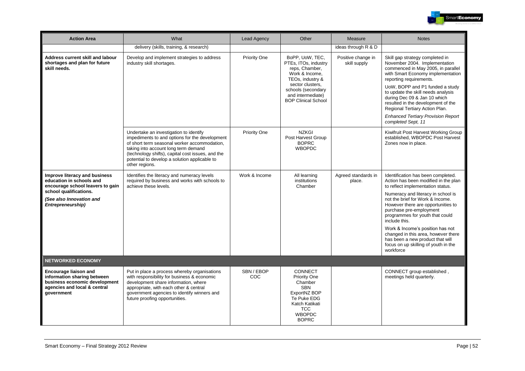

| <b>Action Area</b>                                                                                                                                                       | What                                                                                                                                                                                                                                                                                                     | Lead Agency       | Other                                                                                                                                                                                        | Measure                            | <b>Notes</b>                                                                                                                                                                                                                                                                                                                                                                                                                                                                       |
|--------------------------------------------------------------------------------------------------------------------------------------------------------------------------|----------------------------------------------------------------------------------------------------------------------------------------------------------------------------------------------------------------------------------------------------------------------------------------------------------|-------------------|----------------------------------------------------------------------------------------------------------------------------------------------------------------------------------------------|------------------------------------|------------------------------------------------------------------------------------------------------------------------------------------------------------------------------------------------------------------------------------------------------------------------------------------------------------------------------------------------------------------------------------------------------------------------------------------------------------------------------------|
|                                                                                                                                                                          | delivery (skills, training, & research)                                                                                                                                                                                                                                                                  |                   |                                                                                                                                                                                              | ideas through R & D                |                                                                                                                                                                                                                                                                                                                                                                                                                                                                                    |
| Address current skill and labour<br>shortages and plan for future<br>skill needs.                                                                                        | Develop and implement strategies to address<br>industry skill shortages.                                                                                                                                                                                                                                 | Priority One      | BoPP, UoW, TEC,<br>PTEs, ITOs, industry<br>reps, Chamber,<br>Work & Income,<br>TEOs, industry &<br>sector clusters.<br>schools (secondary<br>and intermediate)<br><b>BOP Clinical School</b> | Positive change in<br>skill supply | Skill gap strategy completed in<br>November 2004. Implementation<br>commenced in May 2005, in parallel<br>with Smart Economy implementation<br>reporting requirements.<br>UoW, BOPP and P1 funded a study<br>to update the skill needs analysis<br>during Dec 09 & Jan 10 which<br>resulted in the development of the<br>Regional Tertiary Action Plan.<br><b>Enhanced Tertiary Provision Report</b><br>completed Sept, 11                                                         |
|                                                                                                                                                                          | Undertake an investigation to identify<br>impediments to and options for the development<br>of short term seasonal worker accommodation,<br>taking into account long term demand<br>(technology shifts), capital cost issues, and the<br>potential to develop a solution applicable to<br>other regions. | Priority One      | <b>NZKGI</b><br>Post Harvest Group<br><b>BOPRC</b><br><b>WBOPDC</b>                                                                                                                          |                                    | Kiwifruit Post Harvest Working Group<br>established, WBOPDC Post Harvest<br>Zones now in place.                                                                                                                                                                                                                                                                                                                                                                                    |
| Improve literacy and business<br>education in schools and<br>encourage school leavers to gain<br>school qualifications.<br>(See also Innovation and<br>Entrepreneurship) | Identifies the literacy and numeracy levels<br>required by business and works with schools to<br>achieve these levels.                                                                                                                                                                                   | Work & Income     | All learning<br>institutions<br>Chamber                                                                                                                                                      | Agreed standards in<br>place.      | Identification has been completed.<br>Action has been modified in the plan<br>to reflect implementation status.<br>Numeracy and literacy in school is<br>not the brief for Work & Income.<br>However there are opportunities to<br>purchase pre-employment<br>programmes for youth that could<br>include this.<br>Work & Income's position has not<br>changed in this area, however there<br>has been a new product that will<br>focus on up skilling of youth in the<br>workforce |
| <b>NETWORKED ECONOMY</b>                                                                                                                                                 |                                                                                                                                                                                                                                                                                                          |                   |                                                                                                                                                                                              |                                    |                                                                                                                                                                                                                                                                                                                                                                                                                                                                                    |
| <b>Encourage liaison and</b><br>information sharing between<br>business economic development<br>agencies and local & central<br>government                               | Put in place a process whereby organisations<br>with responsibility for business & economic<br>development share information, where<br>appropriate, with each other & central<br>government agencies to identify winners and<br>future proofing opportunities.                                           | SBN / EBOP<br>COC | <b>CONNECT</b><br>Priority One<br>Chamber<br><b>SBN</b><br>ExportNZ BOP<br>Te Puke EDG<br>Katch Katikati<br><b>TCC</b><br><b>WBOPDC</b><br><b>BOPRC</b>                                      |                                    | CONNECT group established,<br>meetings held quarterly.                                                                                                                                                                                                                                                                                                                                                                                                                             |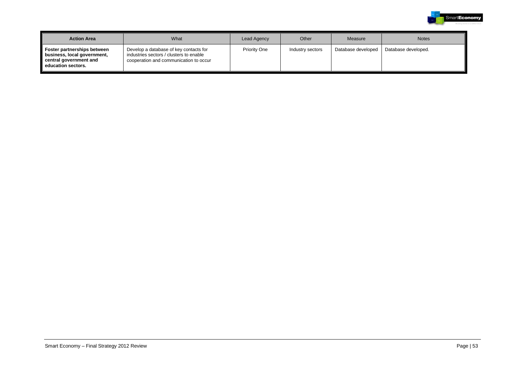

| <b>Action Area</b>                                                                                         | What                                                                                                                        | Lead Agency  | Other            | Measure            | <b>Notes</b>        |
|------------------------------------------------------------------------------------------------------------|-----------------------------------------------------------------------------------------------------------------------------|--------------|------------------|--------------------|---------------------|
| Foster partnerships between<br>business, local government,<br>central government and<br>education sectors. | Develop a database of key contacts for<br>industries sectors / clusters to enable<br>cooperation and communication to occur | Priority One | Industry sectors | Database developed | Database developed. |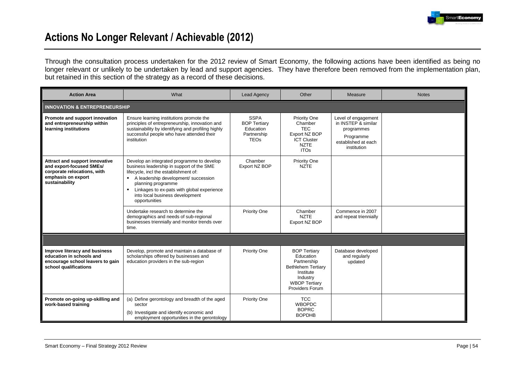

## **Actions No Longer Relevant / Achievable (2012)**

Through the consultation process undertaken for the 2012 review of Smart Economy, the following actions have been identified as being no longer relevant or unlikely to be undertaken by lead and support agencies. They have therefore been removed from the implementation plan, but retained in this section of the strategy as a record of these decisions.

| <b>Action Area</b>                                                                                                                | What                                                                                                                                                                                                                                                                                                               | <b>Lead Agency</b>                                                            | Other                                                                                                                                            | Measure                                                                                                     | <b>Notes</b> |  |  |  |  |
|-----------------------------------------------------------------------------------------------------------------------------------|--------------------------------------------------------------------------------------------------------------------------------------------------------------------------------------------------------------------------------------------------------------------------------------------------------------------|-------------------------------------------------------------------------------|--------------------------------------------------------------------------------------------------------------------------------------------------|-------------------------------------------------------------------------------------------------------------|--------------|--|--|--|--|
| <b>INNOVATION &amp; ENTREPRENEURSHIP</b>                                                                                          |                                                                                                                                                                                                                                                                                                                    |                                                                               |                                                                                                                                                  |                                                                                                             |              |  |  |  |  |
| Promote and support innovation<br>and entrepreneurship within<br>learning institutions                                            | Ensure learning institutions promote the<br>principles of entrepreneurship, innovation and<br>sustainability by identifying and profiling highly<br>successful people who have attended their<br>institution                                                                                                       | <b>SSPA</b><br><b>BOP Tertiary</b><br>Education<br>Partnership<br><b>TEOs</b> | Priority One<br>Chamber<br><b>TEC</b><br>Export NZ BOP<br><b>ICT Cluster</b><br><b>NZTE</b><br><b>ITOs</b>                                       | Level of engagement<br>in INSTEP & similar<br>programmes<br>Programme<br>established at each<br>institution |              |  |  |  |  |
| Attract and support innovative<br>and export-focused SMEs/<br>corporate relocations, with<br>emphasis on export<br>sustainability | Develop an integrated programme to develop<br>business leadership in support of the SME<br>lifecycle, incl the establishment of:<br>A leadership development/ succession<br>planning programme<br>Linkages to ex-pats with global experience<br>$\blacksquare$<br>into local business development<br>opportunities | Chamber<br>Export NZ BOP                                                      | Priority One<br><b>NZTE</b>                                                                                                                      |                                                                                                             |              |  |  |  |  |
|                                                                                                                                   | Undertake research to determine the<br>demographics and needs of sub-regional<br>businesses triennially and monitor trends over<br>time.                                                                                                                                                                           | Priority One                                                                  | Chamber<br><b>NZTE</b><br>Export NZ BOP                                                                                                          | Commence in 2007<br>and repeat triennially                                                                  |              |  |  |  |  |
|                                                                                                                                   |                                                                                                                                                                                                                                                                                                                    |                                                                               |                                                                                                                                                  |                                                                                                             |              |  |  |  |  |
| Improve literacy and business<br>education in schools and<br>encourage school leavers to gain<br>school qualifications            | Develop, promote and maintain a database of<br>scholarships offered by businesses and<br>education providers in the sub-region                                                                                                                                                                                     | Priority One                                                                  | <b>BOP Tertiary</b><br>Education<br>Partnership<br><b>Bethlehem Tertiary</b><br>Institute<br>Industry<br><b>WBOP Tertiary</b><br>Providers Forum | Database developed<br>and regularly<br>updated                                                              |              |  |  |  |  |
| Promote on-going up-skilling and<br>work-based training                                                                           | (a) Define gerontology and breadth of the aged<br>sector<br>(b) Investigate and identify economic and<br>employment opportunities in the gerontology                                                                                                                                                               | Priority One                                                                  | <b>TCC</b><br><b>WBOPDC</b><br><b>BOPRC</b><br><b>BOPDHB</b>                                                                                     |                                                                                                             |              |  |  |  |  |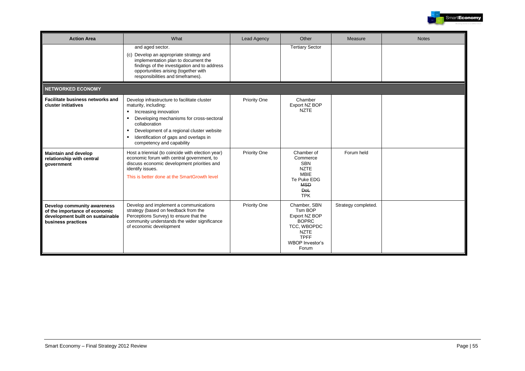

| <b>Action Area</b>                                                                                                     | What                                                                                                                                                                                                                                                                                               | <b>Lead Agency</b> | Other                                                                                                                                    | Measure             | <b>Notes</b> |
|------------------------------------------------------------------------------------------------------------------------|----------------------------------------------------------------------------------------------------------------------------------------------------------------------------------------------------------------------------------------------------------------------------------------------------|--------------------|------------------------------------------------------------------------------------------------------------------------------------------|---------------------|--------------|
|                                                                                                                        | and aged sector.<br>(c) Develop an appropriate strategy and<br>implementation plan to document the<br>findings of the investigation and to address<br>opportunities arising (together with<br>responsibilities and timeframes).                                                                    |                    | <b>Tertiary Sector</b>                                                                                                                   |                     |              |
| <b>NETWORKED ECONOMY</b>                                                                                               |                                                                                                                                                                                                                                                                                                    |                    |                                                                                                                                          |                     |              |
| Facilitate business networks and<br>cluster initiatives                                                                | Develop infrastructure to facilitate cluster<br>maturity, including:<br>Increasing innovation<br>٠<br>Developing mechanisms for cross-sectoral<br>٠<br>collaboration<br>Development of a regional cluster website<br>٠<br>Identification of gaps and overlaps in<br>٠<br>competency and capability | Priority One       | Chamber<br>Export NZ BOP<br><b>NZTE</b>                                                                                                  |                     |              |
| <b>Maintain and develop</b><br>relationship with central<br>government                                                 | Host a triennial (to coincide with election year)<br>economic forum with central government, to<br>discuss economic development priorities and<br>identify issues.<br>This is better done at the SmartGrowth level                                                                                 | Priority One       | Chamber of<br>Commerce<br><b>SBN</b><br><b>NZTE</b><br><b>MBIE</b><br>Te Puke EDG<br><b>MSD</b><br>DoL<br><b>TPK</b>                     | Forum held          |              |
| Develop community awareness<br>of the importance of economic<br>development built on sustainable<br>business practices | Develop and implement a communications<br>strategy (based on feedback from the<br>Perceptions Survey) to ensure that the<br>community understands the wider significance<br>of economic development                                                                                                | Priority One       | Chamber, SBN<br>Tsm BOP<br>Export NZ BOP<br><b>BOPRC</b><br>TCC. WBOPDC<br><b>NZTE</b><br><b>TPFF</b><br><b>WBOP Investor's</b><br>Forum | Strategy completed. |              |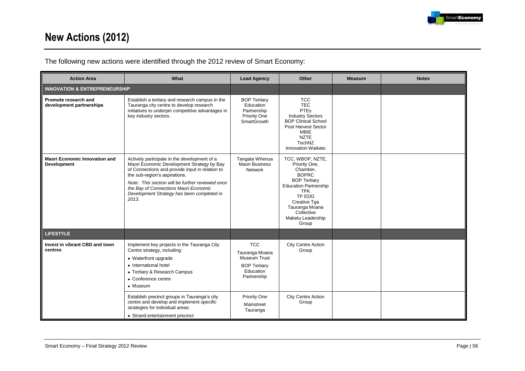

# **New Actions (2012)**

The following new actions were identified through the 2012 review of Smart Economy:

| <b>Action Area</b>                                         | What                                                                                                                                                                                                                                                                                                                               | <b>Lead Agency</b>                                                                              | Other                                                                                                                                                                                                                      | <b>Measure</b> | <b>Notes</b> |
|------------------------------------------------------------|------------------------------------------------------------------------------------------------------------------------------------------------------------------------------------------------------------------------------------------------------------------------------------------------------------------------------------|-------------------------------------------------------------------------------------------------|----------------------------------------------------------------------------------------------------------------------------------------------------------------------------------------------------------------------------|----------------|--------------|
| <b>INNOVATION &amp; ENTREPRENEURSHIP</b>                   |                                                                                                                                                                                                                                                                                                                                    |                                                                                                 |                                                                                                                                                                                                                            |                |              |
| Promote research and<br>development partnerships           | Establish a tertiary and research campus in the<br>Tauranga city centre to develop research<br>initiatives to underpin competitive advantages in<br>key industry sectors.                                                                                                                                                          | <b>BOP Tertiary</b><br>Education<br>Partnership<br>Priority One<br><b>SmartGrowth</b>           | <b>TCC</b><br><b>TEC</b><br><b>PTEs</b><br><b>Industry Sectors</b><br><b>BOP Clinical School</b><br>Post Harvest Sector<br><b>MBIE</b><br><b>NZTE</b><br>TechNZ<br>Innovation Waikato                                      |                |              |
| <b>Maori Economic Innovation and</b><br><b>Development</b> | Actively participate in the development of a<br>Maori Economic Development Strategy by Bay<br>of Connections and provide input in relation to<br>the sub-region's aspirations.<br>Note: This section will be further reviewed once<br>the Bay of Connections Maori Economic<br>Development Strategy has been completed in<br>2013. | Tangata Whenua<br>Maori Business<br>Network                                                     | TCC, WBOP, NZTE,<br>Priority One,<br>Chamber.<br><b>BOPRC</b><br><b>BOP Tertiary</b><br><b>Education Partnership</b><br><b>TPK</b><br>TP EDG<br>Creative Tga<br>Tauranga Moana<br>Collective<br>Maketu Leadership<br>Group |                |              |
| <b>LIFESTYLE</b>                                           |                                                                                                                                                                                                                                                                                                                                    |                                                                                                 |                                                                                                                                                                                                                            |                |              |
| Invest in vibrant CBD and town<br>centres                  | Implement key projects in the Tauranga City<br>Centre strategy, including:<br>• Waterfront upgrade<br>• International hotel<br>• Tertiary & Research Campus<br>• Conference centre<br>• Museum                                                                                                                                     | <b>TCC</b><br>Tauranga Moana<br>Museum Trust<br><b>BOP Tertiarv</b><br>Education<br>Partnership | <b>City Centre Action</b><br>Group                                                                                                                                                                                         |                |              |
|                                                            | Establish precinct groups in Tauranga's city<br>centre and develop and implement specific<br>strategies for individual areas:<br>• Strand entertainment precinct                                                                                                                                                                   | Priority One<br>Mainstreet<br>Tauranga                                                          | <b>City Centre Action</b><br>Group                                                                                                                                                                                         |                |              |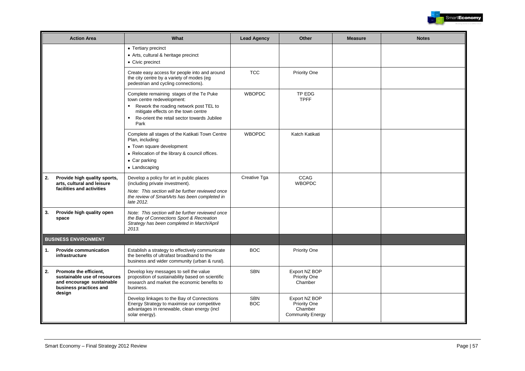

|    | <b>Action Area</b>                                                                                                      | What                                                                                                                                                                                                                                               | <b>Lead Agency</b>       | Other                                                               | <b>Measure</b> | <b>Notes</b> |
|----|-------------------------------------------------------------------------------------------------------------------------|----------------------------------------------------------------------------------------------------------------------------------------------------------------------------------------------------------------------------------------------------|--------------------------|---------------------------------------------------------------------|----------------|--------------|
|    |                                                                                                                         | • Tertiary precinct<br>• Arts, cultural & heritage precinct<br>• Civic precinct                                                                                                                                                                    |                          |                                                                     |                |              |
|    |                                                                                                                         | Create easy access for people into and around<br>the city centre by a variety of modes (eg<br>pedestrian and cycling connections).                                                                                                                 | <b>TCC</b>               | Priority One                                                        |                |              |
|    |                                                                                                                         | Complete remaining stages of the Te Puke<br>town centre redevelopment:<br>Rework the roading network post TEL to<br>$\blacksquare$<br>mitigate effects on the town centre<br>Re-orient the retail sector towards Jubilee<br>$\blacksquare$<br>Park | <b>WBOPDC</b>            | TP EDG<br><b>TPFF</b>                                               |                |              |
|    |                                                                                                                         | Complete all stages of the Katikati Town Centre<br>Plan, including:<br>• Town square development<br>• Relocation of the library & council offices.<br>$\bullet$ Car parking<br>• Landscaping                                                       | <b>WBOPDC</b>            | Katch Katikati                                                      |                |              |
| 2. | Provide high quality sports,<br>arts, cultural and leisure<br>facilities and activities                                 | Develop a policy for art in public places<br>(including private investment).<br>Note: This section will be further reviewed once<br>the review of SmartArts has been completed in<br>late 2012.                                                    | Creative Tga             | <b>CCAG</b><br><b>WBOPDC</b>                                        |                |              |
| 3. | Provide high quality open<br>space                                                                                      | Note: This section will be further reviewed once<br>the Bay of Connections Sport & Recreation<br>Strategy has been completed in March/April<br>2013.                                                                                               |                          |                                                                     |                |              |
|    | <b>BUSINESS ENVIRONMENT</b>                                                                                             |                                                                                                                                                                                                                                                    |                          |                                                                     |                |              |
| 1. | <b>Provide communication</b><br>infrastructure                                                                          | Establish a strategy to effectively communicate<br>the benefits of ultrafast broadband to the<br>business and wider community (urban & rural).                                                                                                     | <b>BOC</b>               | Priority One                                                        |                |              |
| 2. | Promote the efficient.<br>sustainable use of resources<br>and encourage sustainable<br>business practices and<br>design | Develop key messages to sell the value<br>proposition of sustainability based on scientific<br>research and market the economic benefits to<br>business.                                                                                           | <b>SBN</b>               | Export NZ BOP<br>Priority One<br>Chamber                            |                |              |
|    |                                                                                                                         | Develop linkages to the Bay of Connections<br>Energy Strategy to maximise our competitive<br>advantages in renewable, clean energy (incl<br>solar energy).                                                                                         | <b>SBN</b><br><b>BOC</b> | Export NZ BOP<br>Priority One<br>Chamber<br><b>Community Energy</b> |                |              |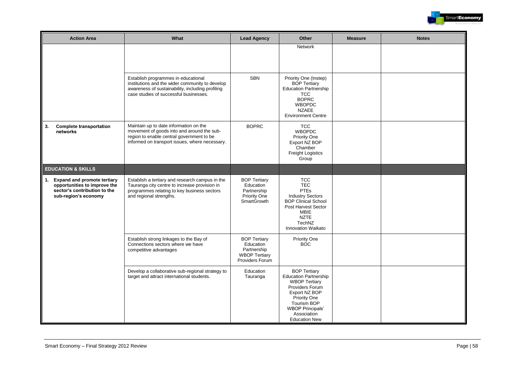

| <b>Action Area</b>                                                                                                     | What                                                                                                                                                                                 | <b>Lead Agency</b>                                                                         | Other                                                                                                                                                                                                                          | <b>Measure</b> | <b>Notes</b> |
|------------------------------------------------------------------------------------------------------------------------|--------------------------------------------------------------------------------------------------------------------------------------------------------------------------------------|--------------------------------------------------------------------------------------------|--------------------------------------------------------------------------------------------------------------------------------------------------------------------------------------------------------------------------------|----------------|--------------|
|                                                                                                                        |                                                                                                                                                                                      |                                                                                            | <b>Network</b>                                                                                                                                                                                                                 |                |              |
|                                                                                                                        | Establish programmes in educational<br>institutions and the wider community to develop<br>awareness of sustainability, including profiling<br>case studies of successful businesses. | <b>SBN</b>                                                                                 | Priority One (Instep)<br><b>BOP Tertiary</b><br><b>Education Partnership</b><br><b>TCC</b><br><b>BOPRC</b><br><b>WBOPDC</b><br><b>NZAEE</b><br><b>Environment Centre</b>                                                       |                |              |
| <b>Complete transportation</b><br>3.<br>networks                                                                       | Maintain up to date information on the<br>movement of goods into and around the sub-<br>region to enable central government to be<br>informed on transport issues, where necessary.  | <b>BOPRC</b>                                                                               | <b>TCC</b><br><b>WBOPDC</b><br>Priority One<br>Export NZ BOP<br>Chamber<br><b>Freight Logistics</b><br>Group                                                                                                                   |                |              |
| <b>EDUCATION &amp; SKILLS</b>                                                                                          |                                                                                                                                                                                      |                                                                                            |                                                                                                                                                                                                                                |                |              |
| 1. Expand and promote tertiary<br>opportunities to improve the<br>sector's contribution to the<br>sub-region's economy | Establish a tertiary and research campus in the<br>Tauranga city centre to increase provision in<br>programmes relating to key business sectors<br>and regional strengths.           | <b>BOP Tertiary</b><br>Education<br>Partnership<br>Priority One<br><b>SmartGrowth</b>      | <b>TCC</b><br><b>TEC</b><br><b>PTEs</b><br><b>Industry Sectors</b><br><b>BOP Clinical School</b><br><b>Post Harvest Sector</b><br><b>MBIE</b><br><b>NZTE</b><br>TechNZ<br>Innovation Waikato                                   |                |              |
|                                                                                                                        | Establish strong linkages to the Bay of<br>Connections sectors where we have<br>competitive advantages                                                                               | <b>BOP Tertiarv</b><br>Education<br>Partnership<br><b>WBOP Tertiary</b><br>Providers Forum | Priority One<br><b>BOC</b>                                                                                                                                                                                                     |                |              |
|                                                                                                                        | Develop a collaborative sub-regional strategy to<br>target and attract international students.                                                                                       | Education<br>Tauranga                                                                      | <b>BOP Tertiary</b><br><b>Education Partnership</b><br><b>WBOP Tertiary</b><br>Providers Forum<br>Export NZ BOP<br><b>Priority One</b><br><b>Tourism BOP</b><br><b>WBOP Principals'</b><br>Association<br><b>Education New</b> |                |              |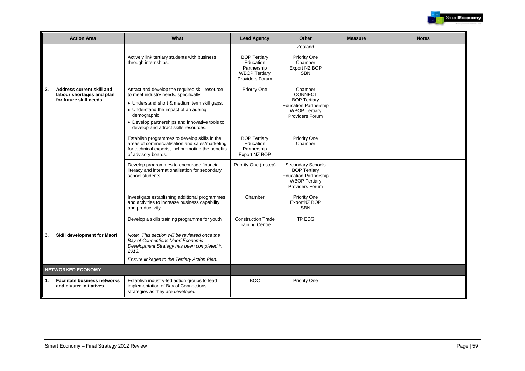

|    | <b>Action Area</b>                                                                | What                                                                                                                                                                                                                                                                                        | <b>Lead Agency</b>                                                                         | Other                                                                                                                      | <b>Measure</b> | <b>Notes</b> |
|----|-----------------------------------------------------------------------------------|---------------------------------------------------------------------------------------------------------------------------------------------------------------------------------------------------------------------------------------------------------------------------------------------|--------------------------------------------------------------------------------------------|----------------------------------------------------------------------------------------------------------------------------|----------------|--------------|
|    |                                                                                   |                                                                                                                                                                                                                                                                                             |                                                                                            | Zealand                                                                                                                    |                |              |
|    |                                                                                   | Actively link tertiary students with business<br>through internships.                                                                                                                                                                                                                       | <b>BOP Tertiary</b><br>Education<br>Partnership<br><b>WBOP Tertiary</b><br>Providers Forum | Priority One<br>Chamber<br>Export NZ BOP<br><b>SBN</b>                                                                     |                |              |
| 2. | Address current skill and<br>labour shortages and plan<br>for future skill needs. | Attract and develop the required skill resource<br>to meet industry needs, specifically:<br>• Understand short & medium term skill gaps.<br>• Understand the impact of an ageing<br>demographic.<br>• Develop partnerships and innovative tools to<br>develop and attract skills resources. | Priority One                                                                               | Chamber<br>CONNECT<br><b>BOP Tertiary</b><br><b>Education Partnership</b><br><b>WBOP Tertiary</b><br>Providers Forum       |                |              |
|    |                                                                                   | Establish programmes to develop skills in the<br>areas of commercialisation and sales/marketing<br>for technical experts, incl promoting the benefits<br>of advisory boards.                                                                                                                | <b>BOP Tertiary</b><br>Education<br>Partnership<br>Export NZ BOP                           | Priority One<br>Chamber                                                                                                    |                |              |
|    |                                                                                   | Develop programmes to encourage financial<br>literacy and internationalisation for secondary<br>school students.                                                                                                                                                                            | Priority One (Instep)                                                                      | Secondary Schools<br><b>BOP Tertiary</b><br><b>Education Partnership</b><br><b>WBOP Tertiary</b><br><b>Providers Forum</b> |                |              |
|    |                                                                                   | Investigate establishing additional programmes<br>and activities to increase business capability<br>and productivity.                                                                                                                                                                       | Chamber                                                                                    | Priority One<br>ExportNZ BOP<br><b>SBN</b>                                                                                 |                |              |
|    |                                                                                   | Develop a skills training programme for youth                                                                                                                                                                                                                                               | <b>Construction Trade</b><br><b>Training Centre</b>                                        | TP EDG                                                                                                                     |                |              |
| 3. | Skill development for Maori                                                       | Note: This section will be reviewed once the<br>Bay of Connections Maori Economic<br>Development Strategy has been completed in<br>2013.<br>Ensure linkages to the Tertiary Action Plan.                                                                                                    |                                                                                            |                                                                                                                            |                |              |
|    | <b>NETWORKED ECONOMY</b>                                                          |                                                                                                                                                                                                                                                                                             |                                                                                            |                                                                                                                            |                |              |
|    |                                                                                   |                                                                                                                                                                                                                                                                                             |                                                                                            |                                                                                                                            |                |              |
| 1. | <b>Facilitate business networks</b><br>and cluster initiatives.                   | Establish industry-led action groups to lead<br>implementation of Bay of Connections<br>strategies as they are developed.                                                                                                                                                                   | <b>BOC</b>                                                                                 | Priority One                                                                                                               |                |              |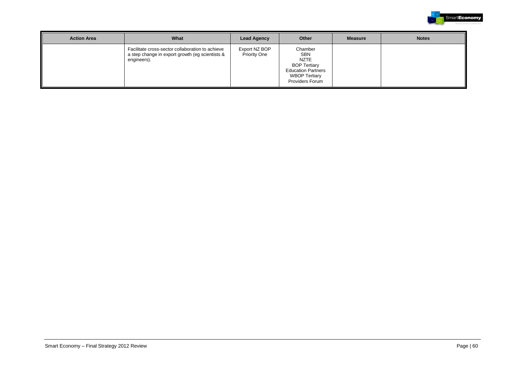

| <b>Action Area</b> | What                                                                                                               | <b>Lead Agency</b>                   | Other                                                                                                                               | <b>Measure</b> | <b>Notes</b> |
|--------------------|--------------------------------------------------------------------------------------------------------------------|--------------------------------------|-------------------------------------------------------------------------------------------------------------------------------------|----------------|--------------|
|                    | Facilitate cross-sector collaboration to achieve<br>a step change in export growth (eg scientists &<br>engineers). | Export NZ BOP<br><b>Priority One</b> | Chamber<br>SBN<br><b>NZTE</b><br><b>BOP Tertiary</b><br><b>Education Partners</b><br><b>WBOP Tertiary</b><br><b>Providers Forum</b> |                |              |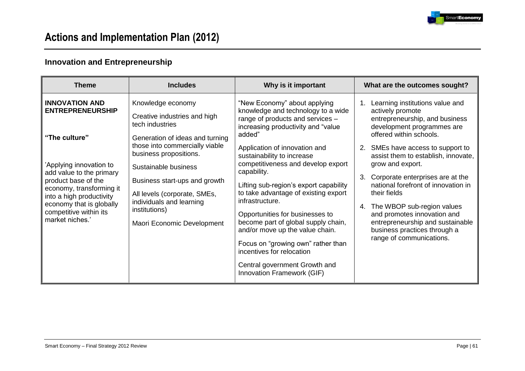

## **Innovation and Entrepreneurship**

| <b>Theme</b>                                                                                                                                                                                                                                                                     | <b>Includes</b>                                                                                                                                                                                                                                                                                                                         | Why is it important                                                                                                                                                                                                                                                                                                                                                                                                                                                                                                                                                                                                            | What are the outcomes sought?                                                                                                                                                                                                                                                                                                                                                                                                                                                                                         |
|----------------------------------------------------------------------------------------------------------------------------------------------------------------------------------------------------------------------------------------------------------------------------------|-----------------------------------------------------------------------------------------------------------------------------------------------------------------------------------------------------------------------------------------------------------------------------------------------------------------------------------------|--------------------------------------------------------------------------------------------------------------------------------------------------------------------------------------------------------------------------------------------------------------------------------------------------------------------------------------------------------------------------------------------------------------------------------------------------------------------------------------------------------------------------------------------------------------------------------------------------------------------------------|-----------------------------------------------------------------------------------------------------------------------------------------------------------------------------------------------------------------------------------------------------------------------------------------------------------------------------------------------------------------------------------------------------------------------------------------------------------------------------------------------------------------------|
| <b>INNOVATION AND</b><br><b>ENTREPRENEURSHIP</b><br>"The culture"<br>'Applying innovation to<br>add value to the primary<br>product base of the<br>economy, transforming it<br>into a high productivity<br>economy that is globally<br>competitive within its<br>market niches.' | Knowledge economy<br>Creative industries and high<br>tech industries<br>Generation of ideas and turning<br>those into commercially viable<br>business propositions.<br>Sustainable business<br>Business start-ups and growth<br>All levels (corporate, SMEs,<br>individuals and learning<br>institutions)<br>Maori Economic Development | "New Economy" about applying<br>knowledge and technology to a wide<br>range of products and services -<br>increasing productivity and "value<br>added"<br>Application of innovation and<br>sustainability to increase<br>competitiveness and develop export<br>capability.<br>Lifting sub-region's export capability<br>to take advantage of existing export<br>infrastructure.<br>Opportunities for businesses to<br>become part of global supply chain,<br>and/or move up the value chain.<br>Focus on "growing own" rather than<br>incentives for relocation<br>Central government Growth and<br>Innovation Framework (GIF) | Learning institutions value and<br>actively promote<br>entrepreneurship, and business<br>development programmes are<br>offered within schools.<br>SMEs have access to support to<br>2.<br>assist them to establish, innovate,<br>grow and export.<br>Corporate enterprises are at the<br>3.<br>national forefront of innovation in<br>their fields<br>The WBOP sub-region values<br>4.<br>and promotes innovation and<br>entrepreneurship and sustainable<br>business practices through a<br>range of communications. |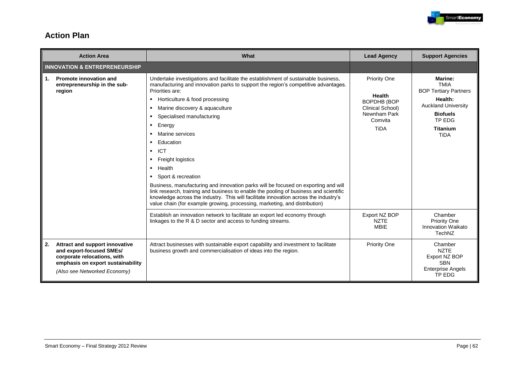

### **Action Plan**

|    | <b>Action Area</b>                                                                                                                                             | What                                                                                                                                                                                                                                                                                                                                                                                                                                                                                                                                                                                                                                                                                                                                                                      | <b>Lead Agency</b>                                                                                                       | <b>Support Agencies</b>                                                                                                                                               |
|----|----------------------------------------------------------------------------------------------------------------------------------------------------------------|---------------------------------------------------------------------------------------------------------------------------------------------------------------------------------------------------------------------------------------------------------------------------------------------------------------------------------------------------------------------------------------------------------------------------------------------------------------------------------------------------------------------------------------------------------------------------------------------------------------------------------------------------------------------------------------------------------------------------------------------------------------------------|--------------------------------------------------------------------------------------------------------------------------|-----------------------------------------------------------------------------------------------------------------------------------------------------------------------|
|    | <b>INNOVATION &amp; ENTREPRENEURSHIP</b>                                                                                                                       |                                                                                                                                                                                                                                                                                                                                                                                                                                                                                                                                                                                                                                                                                                                                                                           |                                                                                                                          |                                                                                                                                                                       |
| 1. | <b>Promote innovation and</b><br>entrepreneurship in the sub-<br>region                                                                                        | Undertake investigations and facilitate the establishment of sustainable business,<br>manufacturing and innovation parks to support the region's competitive advantages.<br>Priorities are:<br>Horticulture & food processing<br>Marine discovery & aquaculture<br>Specialised manufacturing<br>Energy<br>٠<br>Marine services<br>Education<br><b>ICT</b><br>Freight logistics<br>Health<br>٠.<br>Sport & recreation<br>Business, manufacturing and innovation parks will be focused on exporting and will<br>link research, training and business to enable the pooling of business and scientific<br>knowledge across the industry. This will facilitate innovation across the industry's<br>value chain (for example growing, processing, marketing, and distribution) | <b>Priority One</b><br><b>Health</b><br><b>BOPDHB (BOP</b><br>Clinical School)<br>Newnham Park<br>Comvita<br><b>TiDA</b> | <b>Marine:</b><br><b>TMIA</b><br><b>BOP Tertiary Partners</b><br>Health:<br><b>Auckland University</b><br><b>Biofuels</b><br>TP EDG<br><b>Titanium</b><br><b>TiDA</b> |
|    |                                                                                                                                                                | Establish an innovation network to facilitate an export led economy through<br>linkages to the R & D sector and access to funding streams.                                                                                                                                                                                                                                                                                                                                                                                                                                                                                                                                                                                                                                | Export NZ BOP<br><b>NZTE</b><br><b>MBIE</b>                                                                              | Chamber<br><b>Priority One</b><br>Innovation Waikato<br>TechNZ                                                                                                        |
| 2. | Attract and support innovative<br>and export-focused SMEs/<br>corporate relocations, with<br>emphasis on export sustainability<br>(Also see Networked Economy) | Attract businesses with sustainable export capability and investment to facilitate<br>business growth and commercialisation of ideas into the region.                                                                                                                                                                                                                                                                                                                                                                                                                                                                                                                                                                                                                     | <b>Priority One</b>                                                                                                      | Chamber<br><b>NZTE</b><br>Export NZ BOP<br><b>SBN</b><br><b>Enterprise Angels</b><br>TP EDG                                                                           |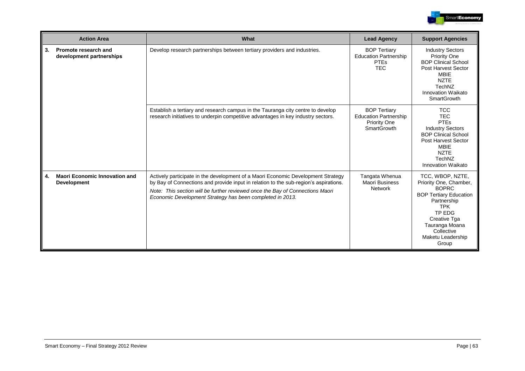

|    | <b>Action Area</b>                                         | What                                                                                                                                                                                                                                                                                                                   | <b>Lead Agency</b>                                                                               | <b>Support Agencies</b>                                                                                                                                                                                          |
|----|------------------------------------------------------------|------------------------------------------------------------------------------------------------------------------------------------------------------------------------------------------------------------------------------------------------------------------------------------------------------------------------|--------------------------------------------------------------------------------------------------|------------------------------------------------------------------------------------------------------------------------------------------------------------------------------------------------------------------|
| 3. | Promote research and<br>development partnerships           | Develop research partnerships between tertiary providers and industries.                                                                                                                                                                                                                                               | <b>BOP Tertiary</b><br><b>Education Partnership</b><br><b>PTEs</b><br><b>TEC</b>                 | <b>Industry Sectors</b><br><b>Priority One</b><br><b>BOP Clinical School</b><br><b>Post Harvest Sector</b><br><b>MBIE</b><br><b>NZTE</b><br>TechNZ<br>Innovation Waikato<br><b>SmartGrowth</b>                   |
|    |                                                            | Establish a tertiary and research campus in the Tauranga city centre to develop<br>research initiatives to underpin competitive advantages in key industry sectors.                                                                                                                                                    | <b>BOP Tertiary</b><br><b>Education Partnership</b><br><b>Priority One</b><br><b>SmartGrowth</b> | <b>TCC</b><br><b>TEC</b><br><b>PTEs</b><br><b>Industry Sectors</b><br><b>BOP Clinical School</b><br><b>Post Harvest Sector</b><br><b>MBIE</b><br><b>NZTE</b><br>TechNZ<br><b>Innovation Waikato</b>              |
| 4. | <b>Maori Economic Innovation and</b><br><b>Development</b> | Actively participate in the development of a Maori Economic Development Strategy<br>by Bay of Connections and provide input in relation to the sub-region's aspirations.<br>Note: This section will be further reviewed once the Bay of Connections Maori<br>Economic Development Strategy has been completed in 2013. | Tangata Whenua<br><b>Maori Business</b><br><b>Network</b>                                        | TCC, WBOP, NZTE,<br>Priority One, Chamber,<br><b>BOPRC</b><br><b>BOP Tertiary Education</b><br>Partnership<br><b>TPK</b><br>TP EDG<br>Creative Tga<br>Tauranga Moana<br>Collective<br>Maketu Leadership<br>Group |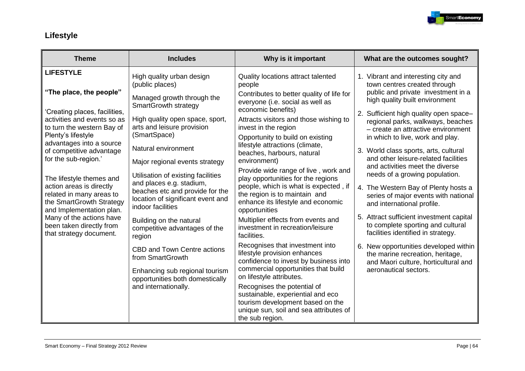

## **Lifestyle**

| <b>Theme</b>                                                                                                                                                                                                                                                                                                                                                    | <b>Includes</b>                                                                                                                                                                                                                                                                                                                                                                                             | Why is it important                                                                                                                                                                                                                                                                                                                                                                                                                                                                                                                      | What are the outcomes sought?                                                                                                                                                                                                                                                                                                                                                                                                                                                                                                                                            |
|-----------------------------------------------------------------------------------------------------------------------------------------------------------------------------------------------------------------------------------------------------------------------------------------------------------------------------------------------------------------|-------------------------------------------------------------------------------------------------------------------------------------------------------------------------------------------------------------------------------------------------------------------------------------------------------------------------------------------------------------------------------------------------------------|------------------------------------------------------------------------------------------------------------------------------------------------------------------------------------------------------------------------------------------------------------------------------------------------------------------------------------------------------------------------------------------------------------------------------------------------------------------------------------------------------------------------------------------|--------------------------------------------------------------------------------------------------------------------------------------------------------------------------------------------------------------------------------------------------------------------------------------------------------------------------------------------------------------------------------------------------------------------------------------------------------------------------------------------------------------------------------------------------------------------------|
| <b>LIFESTYLE</b><br>"The place, the people"<br>'Creating places, facilities,<br>activities and events so as<br>to turn the western Bay of<br>Plenty's lifestyle<br>advantages into a source<br>of competitive advantage<br>for the sub-region.'<br>The lifestyle themes and<br>action areas is directly<br>related in many areas to<br>the SmartGrowth Strategy | High quality urban design<br>(public places)<br>Managed growth through the<br>SmartGrowth strategy<br>High quality open space, sport,<br>arts and leisure provision<br>(SmartSpace)<br>Natural environment<br>Major regional events strategy<br>Utilisation of existing facilities<br>and places e.g. stadium,<br>beaches etc and provide for the<br>location of significant event and<br>indoor facilities | Quality locations attract talented<br>people<br>Contributes to better quality of life for<br>everyone (i.e. social as well as<br>economic benefits)<br>Attracts visitors and those wishing to<br>invest in the region<br>Opportunity to build on existing<br>lifestyle attractions (climate,<br>beaches, harbours, natural<br>environment)<br>Provide wide range of live, work and<br>play opportunities for the regions<br>people, which is what is expected, if<br>the region is to maintain and<br>enhance its lifestyle and economic | 1. Vibrant and interesting city and<br>town centres created through<br>public and private investment in a<br>high quality built environment<br>2. Sufficient high quality open space-<br>regional parks, walkways, beaches<br>- create an attractive environment<br>in which to live, work and play.<br>3. World class sports, arts, cultural<br>and other leisure-related facilities<br>and activities meet the diverse<br>needs of a growing population.<br>4. The Western Bay of Plenty hosts a<br>series of major events with national<br>and international profile. |
| and Implementation plan.<br>Many of the actions have<br>been taken directly from<br>that strategy document.                                                                                                                                                                                                                                                     | Building on the natural<br>competitive advantages of the                                                                                                                                                                                                                                                                                                                                                    | opportunities<br>Multiplier effects from events and<br>investment in recreation/leisure<br>facilities.                                                                                                                                                                                                                                                                                                                                                                                                                                   | 5. Attract sufficient investment capital<br>to complete sporting and cultural<br>facilities identified in strategy.                                                                                                                                                                                                                                                                                                                                                                                                                                                      |
|                                                                                                                                                                                                                                                                                                                                                                 | region<br><b>CBD and Town Centre actions</b><br>from SmartGrowth<br>Enhancing sub regional tourism<br>opportunities both domestically<br>and internationally.                                                                                                                                                                                                                                               | Recognises that investment into<br>lifestyle provision enhances<br>confidence to invest by business into<br>commercial opportunities that build<br>on lifestyle attributes.<br>Recognises the potential of<br>sustainable, experiential and eco<br>tourism development based on the<br>unique sun, soil and sea attributes of<br>the sub region.                                                                                                                                                                                         | 6. New opportunities developed within<br>the marine recreation, heritage,<br>and Maori culture, horticultural and<br>aeronautical sectors.                                                                                                                                                                                                                                                                                                                                                                                                                               |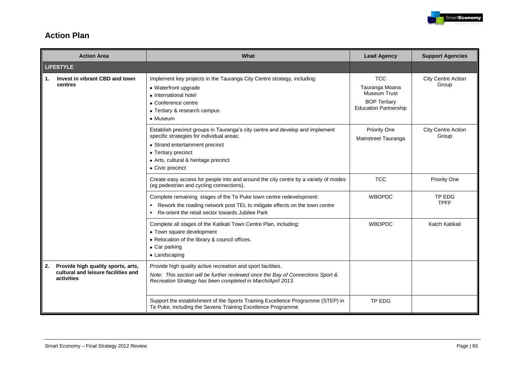

### **Action Plan**

|    | <b>Action Area</b>                                                                      | What                                                                                                                                                                                                                                             | <b>Lead Agency</b>                                                                                         | <b>Support Agencies</b>            |
|----|-----------------------------------------------------------------------------------------|--------------------------------------------------------------------------------------------------------------------------------------------------------------------------------------------------------------------------------------------------|------------------------------------------------------------------------------------------------------------|------------------------------------|
|    | <b>LIFESTYLE</b>                                                                        |                                                                                                                                                                                                                                                  |                                                                                                            |                                    |
| 1. | Invest in vibrant CBD and town<br>centres                                               | Implement key projects in the Tauranga City Centre strategy, including:<br>• Waterfront upgrade<br>• International hotel<br>• Conference centre<br>• Tertiary & research campus<br>• Museum                                                      | <b>TCC</b><br>Tauranga Moana<br><b>Museum Trust</b><br><b>BOP Tertiary</b><br><b>Education Partnership</b> | <b>City Centre Action</b><br>Group |
|    |                                                                                         | Establish precinct groups in Tauranga's city centre and develop and implement<br>specific strategies for individual areas:<br>• Strand entertainment precinct<br>• Tertiary precinct<br>• Arts, cultural & heritage precinct<br>• Civic precinct | <b>Priority One</b><br>Mainstreet Tauranga                                                                 | <b>City Centre Action</b><br>Group |
|    |                                                                                         | Create easy access for people into and around the city centre by a variety of modes<br>(eg pedestrian and cycling connections).                                                                                                                  | <b>TCC</b>                                                                                                 | <b>Priority One</b>                |
|    |                                                                                         | Complete remaining stages of the Te Puke town centre redevelopment:<br>Rework the roading network post TEL to mitigate effects on the town centre<br>٠<br>Re-orient the retail sector towards Jubilee Park                                       | <b>WBOPDC</b>                                                                                              | TP EDG<br><b>TPFF</b>              |
|    |                                                                                         | Complete all stages of the Katikati Town Centre Plan, including:<br>• Town square development<br>• Relocation of the library & council offices.<br>• Car parking<br>• Landscaping                                                                | <b>WBOPDC</b>                                                                                              | Katch Katikati                     |
| 2. | Provide high quality sports, arts,<br>cultural and leisure facilities and<br>activities | Provide high quality active recreation and sport facilities.<br>Note: This section will be further reviewed once the Bay of Connections Sport &<br>Recreation Strategy has been completed in March/April 2013.                                   |                                                                                                            |                                    |
|    |                                                                                         | Support the establishment of the Sports Training Excellence Programme (STEP) in<br>Te Puke, including the Sevens Training Excellence Programme                                                                                                   | TP EDG                                                                                                     |                                    |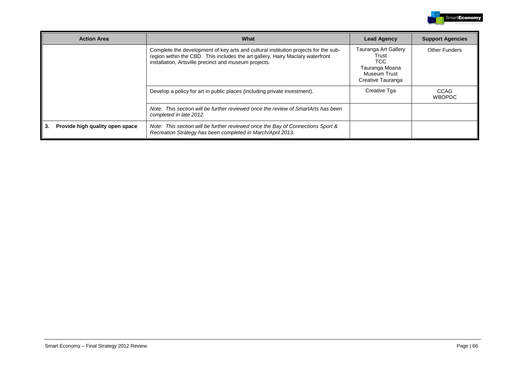

| <b>Action Area</b>                    | What                                                                                                                                                                                                                           | <b>Lead Agency</b>                                                                                  | <b>Support Agencies</b> |
|---------------------------------------|--------------------------------------------------------------------------------------------------------------------------------------------------------------------------------------------------------------------------------|-----------------------------------------------------------------------------------------------------|-------------------------|
|                                       | Complete the development of key arts and cultural institution projects for the sub-<br>region within the CBD. This includes the art gallery, Hairy Maclary waterfront<br>installation, Artsville precinct and museum projects. | Tauranga Art Gallery<br>Trust<br>TCC.<br>Tauranga Moana<br><b>Museum Trust</b><br>Creative Tauranga | <b>Other Funders</b>    |
|                                       | Develop a policy for art in public places (including private investment).                                                                                                                                                      | Creative Tga                                                                                        | CCAG<br><b>WBOPDC</b>   |
|                                       | Note: This section will be further reviewed once the review of SmartArts has been<br>completed in late 2012.                                                                                                                   |                                                                                                     |                         |
| Provide high quality open space<br>3. | Note: This section will be further reviewed once the Bay of Connections Sport &<br>Recreation Strategy has been completed in March/April 2013.                                                                                 |                                                                                                     |                         |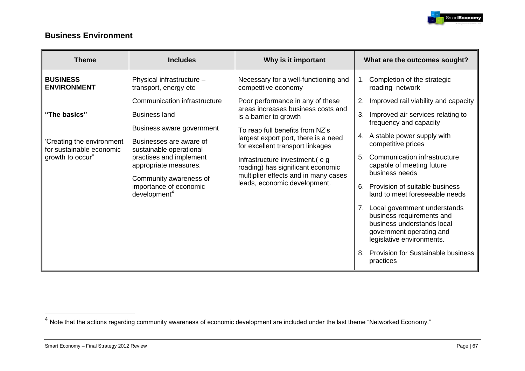

### **Business Environment**

| <b>Theme</b>                                                                              | <b>Includes</b>                                                                                                                                                                                                                                                             | Why is it important                                                                                                                                                                                                                                                                                                                                           | What are the outcomes sought?                                                                                                                                                                                                                                                                                                                                                                                                                                                                                                                |
|-------------------------------------------------------------------------------------------|-----------------------------------------------------------------------------------------------------------------------------------------------------------------------------------------------------------------------------------------------------------------------------|---------------------------------------------------------------------------------------------------------------------------------------------------------------------------------------------------------------------------------------------------------------------------------------------------------------------------------------------------------------|----------------------------------------------------------------------------------------------------------------------------------------------------------------------------------------------------------------------------------------------------------------------------------------------------------------------------------------------------------------------------------------------------------------------------------------------------------------------------------------------------------------------------------------------|
| <b>BUSINESS</b><br><b>ENVIRONMENT</b>                                                     | Physical infrastructure -<br>transport, energy etc                                                                                                                                                                                                                          | Necessary for a well-functioning and<br>competitive economy                                                                                                                                                                                                                                                                                                   | Completion of the strategic<br>roading network                                                                                                                                                                                                                                                                                                                                                                                                                                                                                               |
| "The basics"<br>'Creating the environment<br>for sustainable economic<br>growth to occur" | Communication infrastructure<br><b>Business land</b><br>Business aware government<br>Businesses are aware of<br>sustainable operational<br>practises and implement<br>appropriate measures.<br>Community awareness of<br>importance of economic<br>development <sup>4</sup> | Poor performance in any of these<br>areas increases business costs and<br>is a barrier to growth<br>To reap full benefits from NZ's<br>largest export port, there is a need<br>for excellent transport linkages<br>Infrastructure investment.(eg<br>roading) has significant economic<br>multiplier effects and in many cases<br>leads, economic development. | Improved rail viability and capacity<br>2.<br>3.<br>Improved air services relating to<br>frequency and capacity<br>A stable power supply with<br>4.<br>competitive prices<br>Communication infrastructure<br>5.<br>capable of meeting future<br>business needs<br>Provision of suitable business<br>6.<br>land to meet foreseeable needs<br>7. Local government understands<br>business requirements and<br>business understands local<br>government operating and<br>legislative environments.<br><b>Provision for Sustainable business</b> |
|                                                                                           |                                                                                                                                                                                                                                                                             |                                                                                                                                                                                                                                                                                                                                                               | practices                                                                                                                                                                                                                                                                                                                                                                                                                                                                                                                                    |

 4 Note that the actions regarding community awareness of economic development are included under the last theme "Networked Economy."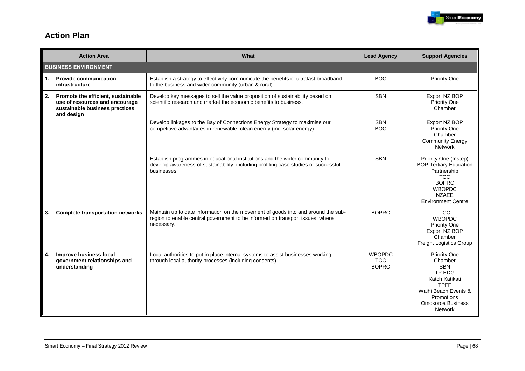

### **Action Plan**

|    | <b>Action Area</b>                                                                                                   | What                                                                                                                                                                              | <b>Lead Agency</b>                          | <b>Support Agencies</b>                                                                                                                                              |
|----|----------------------------------------------------------------------------------------------------------------------|-----------------------------------------------------------------------------------------------------------------------------------------------------------------------------------|---------------------------------------------|----------------------------------------------------------------------------------------------------------------------------------------------------------------------|
|    | <b>BUSINESS ENVIRONMENT</b>                                                                                          |                                                                                                                                                                                   |                                             |                                                                                                                                                                      |
| 1. | <b>Provide communication</b><br>infrastructure                                                                       | Establish a strategy to effectively communicate the benefits of ultrafast broadband<br>to the business and wider community (urban & rural).                                       | <b>BOC</b>                                  | Priority One                                                                                                                                                         |
| 2. | Promote the efficient, sustainable<br>use of resources and encourage<br>sustainable business practices<br>and design | Develop key messages to sell the value proposition of sustainability based on<br>scientific research and market the economic benefits to business.                                | <b>SBN</b>                                  | Export NZ BOP<br>Priority One<br>Chamber                                                                                                                             |
|    |                                                                                                                      | Develop linkages to the Bay of Connections Energy Strategy to maximise our<br>competitive advantages in renewable, clean energy (incl solar energy).                              | <b>SBN</b><br><b>BOC</b>                    | Export NZ BOP<br><b>Priority One</b><br>Chamber<br><b>Community Energy</b><br><b>Network</b>                                                                         |
|    |                                                                                                                      | Establish programmes in educational institutions and the wider community to<br>develop awareness of sustainability, including profiling case studies of successful<br>businesses. | <b>SBN</b>                                  | Priority One (Instep)<br><b>BOP Tertiary Education</b><br>Partnership<br><b>TCC</b><br><b>BOPRC</b><br><b>WBOPDC</b><br><b>NZAEE</b><br><b>Environment Centre</b>    |
| 3. | <b>Complete transportation networks</b>                                                                              | Maintain up to date information on the movement of goods into and around the sub-<br>region to enable central government to be informed on transport issues, where<br>necessary.  | <b>BOPRC</b>                                | <b>TCC</b><br><b>WBOPDC</b><br>Priority One<br>Export NZ BOP<br>Chamber<br>Freight Logistics Group                                                                   |
| 4. | Improve business-local<br>government relationships and<br>understanding                                              | Local authorities to put in place internal systems to assist businesses working<br>through local authority processes (including consents).                                        | <b>WBOPDC</b><br><b>TCC</b><br><b>BOPRC</b> | <b>Priority One</b><br>Chamber<br><b>SBN</b><br>TP EDG<br>Katch Katikati<br><b>TPFF</b><br>Waihi Beach Events &<br>Promotions<br>Omokoroa Business<br><b>Network</b> |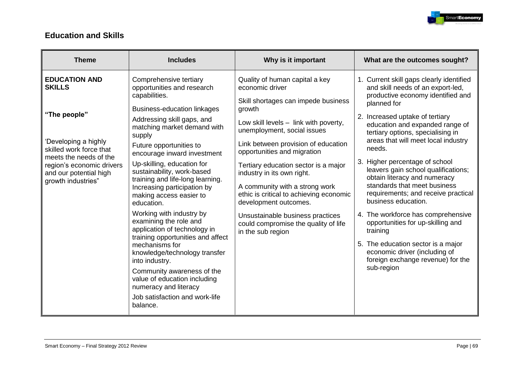

### **Education and Skills**

| <b>Theme</b>                                                                                        | <b>Includes</b>                                                                                                                                                      | Why is it important                                                                                                                                                      | What are the outcomes sought?                                                                                                                                                                       |
|-----------------------------------------------------------------------------------------------------|----------------------------------------------------------------------------------------------------------------------------------------------------------------------|--------------------------------------------------------------------------------------------------------------------------------------------------------------------------|-----------------------------------------------------------------------------------------------------------------------------------------------------------------------------------------------------|
| <b>EDUCATION AND</b><br><b>SKILLS</b>                                                               | Comprehensive tertiary<br>opportunities and research<br>capabilities.                                                                                                | Quality of human capital a key<br>economic driver<br>Skill shortages can impede business                                                                                 | 1. Current skill gaps clearly identified<br>and skill needs of an export-led,<br>productive economy identified and<br>planned for                                                                   |
| "The people"                                                                                        | <b>Business-education linkages</b><br>Addressing skill gaps, and                                                                                                     | growth                                                                                                                                                                   | 2. Increased uptake of tertiary                                                                                                                                                                     |
| 'Developing a highly<br>skilled work force that                                                     | matching market demand with<br>supply<br>Future opportunities to<br>encourage inward investment                                                                      | Low skill levels - link with poverty,<br>unemployment, social issues<br>Link between provision of education<br>opportunities and migration                               | education and expanded range of<br>tertiary options, specialising in<br>areas that will meet local industry<br>needs.                                                                               |
| meets the needs of the<br>region's economic drivers<br>and our potential high<br>growth industries" | Up-skilling, education for<br>sustainability, work-based<br>training and life-long learning.<br>Increasing participation by<br>making access easier to<br>education. | Tertiary education sector is a major<br>industry in its own right.<br>A community with a strong work<br>ethic is critical to achieving economic<br>development outcomes. | 3. Higher percentage of school<br>leavers gain school qualifications;<br>obtain literacy and numeracy<br>standards that meet business<br>requirements; and receive practical<br>business education. |
|                                                                                                     | Working with industry by<br>examining the role and<br>application of technology in<br>training opportunities and affect                                              | Unsustainable business practices<br>could compromise the quality of life<br>in the sub region                                                                            | 4. The workforce has comprehensive<br>opportunities for up-skilling and<br>training                                                                                                                 |
|                                                                                                     | mechanisms for<br>knowledge/technology transfer<br>into industry.                                                                                                    |                                                                                                                                                                          | 5. The education sector is a major<br>economic driver (including of<br>foreign exchange revenue) for the                                                                                            |
|                                                                                                     | Community awareness of the<br>value of education including<br>numeracy and literacy                                                                                  |                                                                                                                                                                          | sub-region                                                                                                                                                                                          |
|                                                                                                     | Job satisfaction and work-life<br>balance.                                                                                                                           |                                                                                                                                                                          |                                                                                                                                                                                                     |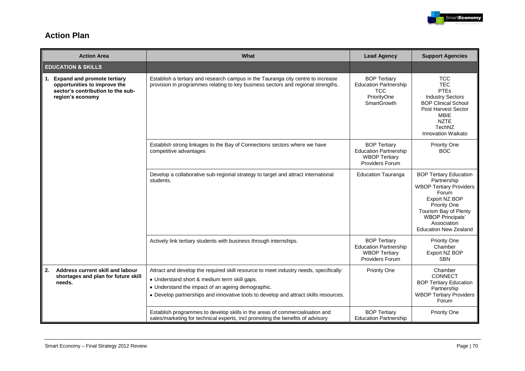

### **Action Plan**

|                               | <b>Action Area</b>                                                                                                          | What                                                                                                                                                                                                                                                                               | <b>Lead Agency</b>                                                                                     | <b>Support Agencies</b>                                                                                                                                                                                                     |
|-------------------------------|-----------------------------------------------------------------------------------------------------------------------------|------------------------------------------------------------------------------------------------------------------------------------------------------------------------------------------------------------------------------------------------------------------------------------|--------------------------------------------------------------------------------------------------------|-----------------------------------------------------------------------------------------------------------------------------------------------------------------------------------------------------------------------------|
| <b>EDUCATION &amp; SKILLS</b> |                                                                                                                             |                                                                                                                                                                                                                                                                                    |                                                                                                        |                                                                                                                                                                                                                             |
| $\mathbf{1}$ .                | <b>Expand and promote tertiary</b><br>opportunities to improve the<br>sector's contribution to the sub-<br>region's economy | Establish a tertiary and research campus in the Tauranga city centre to increase<br>provision in programmes relating to key business sectors and regional strengths.                                                                                                               | <b>BOP Tertiary</b><br><b>Education Partnership</b><br><b>TCC</b><br>PriorityOne<br><b>SmartGrowth</b> | <b>TCC</b><br><b>TEC</b><br><b>PTEs</b><br><b>Industry Sectors</b><br><b>BOP Clinical School</b><br><b>Post Harvest Sector</b><br><b>MBIE</b><br><b>NZTE</b><br>TechNZ<br><b>Innovation Waikato</b>                         |
|                               |                                                                                                                             | Establish strong linkages to the Bay of Connections sectors where we have<br>competitive advantages                                                                                                                                                                                | <b>BOP Tertiary</b><br><b>Education Partnership</b><br><b>WBOP Tertiary</b><br>Providers Forum         | <b>Priority One</b><br><b>BOC</b>                                                                                                                                                                                           |
|                               |                                                                                                                             | Develop a collaborative sub-regional strategy to target and attract international<br>students.                                                                                                                                                                                     | <b>Education Tauranga</b>                                                                              | <b>BOP Tertiary Education</b><br>Partnership<br><b>WBOP Tertiary Providers</b><br>Forum<br>Export NZ BOP<br>Priority One<br>Tourism Bay of Plenty<br><b>WBOP Principals'</b><br>Association<br><b>Education New Zealand</b> |
|                               |                                                                                                                             | Actively link tertiary students with business through internships.                                                                                                                                                                                                                 | <b>BOP Tertiary</b><br><b>Education Partnership</b><br><b>WBOP Tertiary</b><br><b>Providers Forum</b>  | <b>Priority One</b><br>Chamber<br>Export NZ BOP<br><b>SBN</b>                                                                                                                                                               |
| 2.                            | Address current skill and labour<br>shortages and plan for future skill<br>needs.                                           | Attract and develop the required skill resource to meet industry needs, specifically:<br>• Understand short & medium term skill gaps.<br>• Understand the impact of an ageing demographic.<br>• Develop partnerships and innovative tools to develop and attract skills resources. | <b>Priority One</b>                                                                                    | Chamber<br><b>CONNECT</b><br><b>BOP Tertiary Education</b><br>Partnership<br><b>WBOP Tertiary Providers</b><br>Forum                                                                                                        |
|                               |                                                                                                                             | Establish programmes to develop skills in the areas of commercialisation and<br>sales/marketing for technical experts, incl promoting the benefits of advisory                                                                                                                     | <b>BOP Tertiary</b><br><b>Education Partnership</b>                                                    | <b>Priority One</b>                                                                                                                                                                                                         |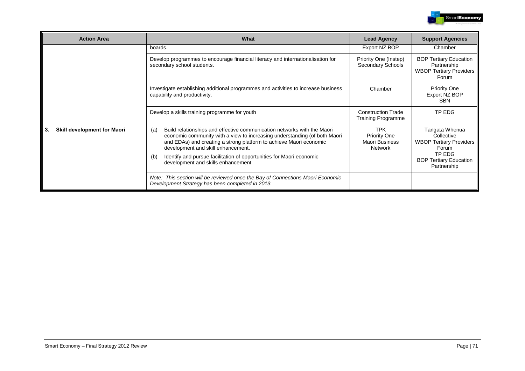

| <b>Action Area</b>                            | What                                                                                                                                                                                                                                                                                                                                                   | <b>Lead Agency</b>                                                           | <b>Support Agencies</b>                                                                                            |
|-----------------------------------------------|--------------------------------------------------------------------------------------------------------------------------------------------------------------------------------------------------------------------------------------------------------------------------------------------------------------------------------------------------------|------------------------------------------------------------------------------|--------------------------------------------------------------------------------------------------------------------|
|                                               | boards.                                                                                                                                                                                                                                                                                                                                                | Export NZ BOP                                                                | Chamber                                                                                                            |
|                                               | Develop programmes to encourage financial literacy and internationalisation for<br>secondary school students.                                                                                                                                                                                                                                          | Priority One (Instep)<br>Secondary Schools                                   | <b>BOP Tertiary Education</b><br>Partnership<br><b>WBOP Tertiary Providers</b><br>Forum                            |
|                                               | Investigate establishing additional programmes and activities to increase business<br>capability and productivity.                                                                                                                                                                                                                                     | Chamber                                                                      | <b>Priority One</b><br>Export NZ BOP<br><b>SBN</b>                                                                 |
| Develop a skills training programme for youth |                                                                                                                                                                                                                                                                                                                                                        | <b>Construction Trade</b><br><b>Training Programme</b>                       | TP EDG                                                                                                             |
| <b>Skill development for Maori</b><br>3.      | Build relationships and effective communication networks with the Maori<br>(a)<br>economic community with a view to increasing understanding (of both Maori<br>and EDAs) and creating a strong platform to achieve Maori economic<br>development and skill enhancement.<br>Identify and pursue facilitation of opportunities for Maori economic<br>(b) | <b>TPK</b><br><b>Priority One</b><br><b>Maori Business</b><br><b>Network</b> | Tangata Whenua<br>Collective<br><b>WBOP Tertiary Providers</b><br>Forum<br>TP EDG<br><b>BOP Tertiary Education</b> |
|                                               | development and skills enhancement<br>Note: This section will be reviewed once the Bay of Connections Maori Economic<br>Development Strategy has been completed in 2013.                                                                                                                                                                               |                                                                              | Partnership                                                                                                        |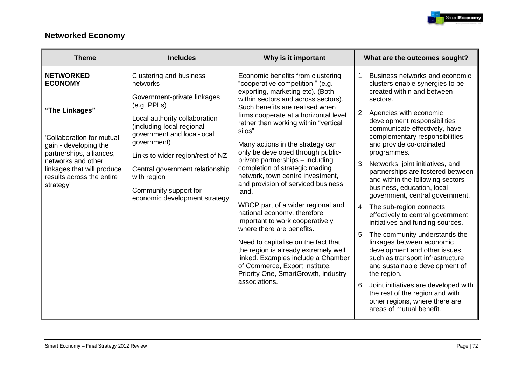

## **Networked Economy**

| <b>Theme</b>                                                                                                                                                                                                                        | <b>Includes</b>                                                                                                                                                                                                                                                                                                                                     | Why is it important                                                                                                                                                                                                                                                                                                                                                                                                                                                                                                                                                                                                                                                                                                                                                                                                                                                   | What are the outcomes sought?                                                                                                                                                                                                                                                                                                                                                                                                                                                                                                                                                                                                                                                                                                                                                                                                                                                                                                       |
|-------------------------------------------------------------------------------------------------------------------------------------------------------------------------------------------------------------------------------------|-----------------------------------------------------------------------------------------------------------------------------------------------------------------------------------------------------------------------------------------------------------------------------------------------------------------------------------------------------|-----------------------------------------------------------------------------------------------------------------------------------------------------------------------------------------------------------------------------------------------------------------------------------------------------------------------------------------------------------------------------------------------------------------------------------------------------------------------------------------------------------------------------------------------------------------------------------------------------------------------------------------------------------------------------------------------------------------------------------------------------------------------------------------------------------------------------------------------------------------------|-------------------------------------------------------------------------------------------------------------------------------------------------------------------------------------------------------------------------------------------------------------------------------------------------------------------------------------------------------------------------------------------------------------------------------------------------------------------------------------------------------------------------------------------------------------------------------------------------------------------------------------------------------------------------------------------------------------------------------------------------------------------------------------------------------------------------------------------------------------------------------------------------------------------------------------|
| <b>NETWORKED</b><br><b>ECONOMY</b><br>"The Linkages"<br>Collaboration for mutual<br>gain - developing the<br>partnerships, alliances,<br>networks and other<br>linkages that will produce<br>results across the entire<br>strategy' | <b>Clustering and business</b><br>networks<br>Government-private linkages<br>(e.g. PPLs)<br>Local authority collaboration<br>(including local-regional<br>government and local-local<br>government)<br>Links to wider region/rest of NZ<br>Central government relationship<br>with region<br>Community support for<br>economic development strategy | Economic benefits from clustering<br>"cooperative competition." (e.g.<br>exporting, marketing etc). (Both<br>within sectors and across sectors).<br>Such benefits are realised when<br>firms cooperate at a horizontal level<br>rather than working within "vertical<br>silos".<br>Many actions in the strategy can<br>only be developed through public-<br>private partnerships - including<br>completion of strategic roading<br>network, town centre investment,<br>and provision of serviced business<br>land.<br>WBOP part of a wider regional and<br>national economy, therefore<br>important to work cooperatively<br>where there are benefits.<br>Need to capitalise on the fact that<br>the region is already extremely well<br>linked. Examples include a Chamber<br>of Commerce, Export Institute,<br>Priority One, SmartGrowth, industry<br>associations. | Business networks and economic<br>$1_{-}$<br>clusters enable synergies to be<br>created within and between<br>sectors.<br>2. Agencies with economic<br>development responsibilities<br>communicate effectively, have<br>complementary responsibilities<br>and provide co-ordinated<br>programmes.<br>Networks, joint initiatives, and<br>3.<br>partnerships are fostered between<br>and within the following sectors -<br>business, education, local<br>government, central government.<br>4. The sub-region connects<br>effectively to central government<br>initiatives and funding sources.<br>The community understands the<br>5.<br>linkages between economic<br>development and other issues<br>such as transport infrastructure<br>and sustainable development of<br>the region.<br>6. Joint initiatives are developed with<br>the rest of the region and with<br>other regions, where there are<br>areas of mutual benefit. |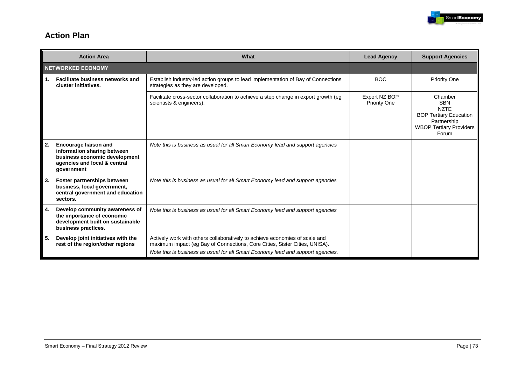

# **Action Plan**

| <b>Action Area</b> |                                                                                                                                            | What                                                                                                                                                      | <b>Lead Agency</b>                   | <b>Support Agencies</b>                                                                                                         |
|--------------------|--------------------------------------------------------------------------------------------------------------------------------------------|-----------------------------------------------------------------------------------------------------------------------------------------------------------|--------------------------------------|---------------------------------------------------------------------------------------------------------------------------------|
|                    | <b>NETWORKED ECONOMY</b>                                                                                                                   |                                                                                                                                                           |                                      |                                                                                                                                 |
| 1.                 | <b>Facilitate business networks and</b><br>cluster initiatives.                                                                            | Establish industry-led action groups to lead implementation of Bay of Connections<br>strategies as they are developed.                                    | <b>BOC</b>                           | <b>Priority One</b>                                                                                                             |
|                    |                                                                                                                                            | Facilitate cross-sector collaboration to achieve a step change in export growth (eg<br>scientists & engineers).                                           | Export NZ BOP<br><b>Priority One</b> | Chamber<br><b>SBN</b><br><b>NZTE</b><br><b>BOP Tertiary Education</b><br>Partnership<br><b>WBOP Tertiary Providers</b><br>Forum |
| 2.                 | <b>Encourage liaison and</b><br>information sharing between<br>business economic development<br>agencies and local & central<br>government | Note this is business as usual for all Smart Economy lead and support agencies                                                                            |                                      |                                                                                                                                 |
| 3.                 | Foster partnerships between<br>business, local government,<br>central government and education<br>sectors.                                 | Note this is business as usual for all Smart Economy lead and support agencies                                                                            |                                      |                                                                                                                                 |
| 4.                 | Develop community awareness of<br>the importance of economic<br>development built on sustainable<br>business practices.                    | Note this is business as usual for all Smart Economy lead and support agencies                                                                            |                                      |                                                                                                                                 |
| 5.                 | Develop joint initiatives with the<br>rest of the region/other regions                                                                     | Actively work with others collaboratively to achieve economies of scale and<br>maximum impact (eg Bay of Connections, Core Cities, Sister Cities, UNISA). |                                      |                                                                                                                                 |
|                    |                                                                                                                                            | Note this is business as usual for all Smart Economy lead and support agencies.                                                                           |                                      |                                                                                                                                 |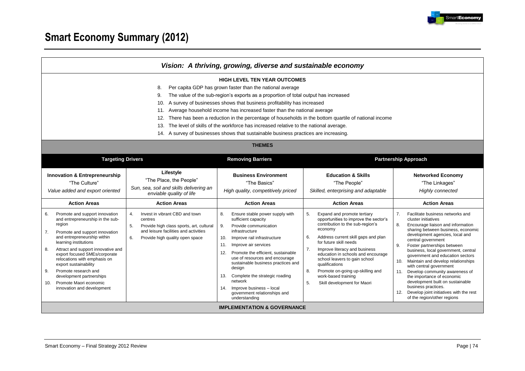

# **Smart Economy Summary (2012)**

| <b>HIGH LEVEL TEN YEAR OUTCOMES</b><br>Per capita GDP has grown faster than the national average<br>8.<br>The value of the sub-region's exports as a proportion of total output has increased<br>9.<br>A survey of businesses shows that business profitability has increased<br>10.<br>Average household income has increased faster than the national average<br>11.<br>12.<br>There has been a reduction in the percentage of households in the bottom quartile of national income<br>13.<br>The level of skills of the workforce has increased relative to the national average.<br>14. A survey of businesses shows that sustainable business practices are increasing.<br><b>THEMES</b><br><b>Targeting Drivers</b><br><b>Removing Barriers</b><br><b>Partnership Approach</b><br>Lifestyle<br><b>Innovation &amp; Entrepreneurship</b><br><b>Business Environment</b><br><b>Education &amp; Skills</b><br><b>Networked Economy</b><br>"The Place, the People"<br>"The Culture"<br>"The Basics"<br>"The People"<br>"The Linkages"<br>Sun, sea, soil and skills delivering an<br>Value added and export oriented<br>High quality, competitively priced<br>Skilled, enterprising and adaptable<br>Highly connected<br>enviable quality of life<br><b>Action Areas</b><br><b>Action Areas</b><br><b>Action Areas</b><br><b>Action Areas</b><br><b>Action Areas</b>                                                                                                                                                                                                                                                                                                                                                                                                                                                                   | Vision: A thriving, growing, diverse and sustainable economy |  |  |  |                                                                                                                                                                                                                                                                                                                                                                                  |  |  |
|-----------------------------------------------------------------------------------------------------------------------------------------------------------------------------------------------------------------------------------------------------------------------------------------------------------------------------------------------------------------------------------------------------------------------------------------------------------------------------------------------------------------------------------------------------------------------------------------------------------------------------------------------------------------------------------------------------------------------------------------------------------------------------------------------------------------------------------------------------------------------------------------------------------------------------------------------------------------------------------------------------------------------------------------------------------------------------------------------------------------------------------------------------------------------------------------------------------------------------------------------------------------------------------------------------------------------------------------------------------------------------------------------------------------------------------------------------------------------------------------------------------------------------------------------------------------------------------------------------------------------------------------------------------------------------------------------------------------------------------------------------------------------------------------------------------------------------------------|--------------------------------------------------------------|--|--|--|----------------------------------------------------------------------------------------------------------------------------------------------------------------------------------------------------------------------------------------------------------------------------------------------------------------------------------------------------------------------------------|--|--|
|                                                                                                                                                                                                                                                                                                                                                                                                                                                                                                                                                                                                                                                                                                                                                                                                                                                                                                                                                                                                                                                                                                                                                                                                                                                                                                                                                                                                                                                                                                                                                                                                                                                                                                                                                                                                                                         |                                                              |  |  |  |                                                                                                                                                                                                                                                                                                                                                                                  |  |  |
|                                                                                                                                                                                                                                                                                                                                                                                                                                                                                                                                                                                                                                                                                                                                                                                                                                                                                                                                                                                                                                                                                                                                                                                                                                                                                                                                                                                                                                                                                                                                                                                                                                                                                                                                                                                                                                         |                                                              |  |  |  |                                                                                                                                                                                                                                                                                                                                                                                  |  |  |
|                                                                                                                                                                                                                                                                                                                                                                                                                                                                                                                                                                                                                                                                                                                                                                                                                                                                                                                                                                                                                                                                                                                                                                                                                                                                                                                                                                                                                                                                                                                                                                                                                                                                                                                                                                                                                                         |                                                              |  |  |  |                                                                                                                                                                                                                                                                                                                                                                                  |  |  |
| Promote and support innovation<br>Invest in vibrant CBD and town<br>8.<br>Ensure stable power supply with<br>5.<br>Expand and promote tertiary<br>7 <sub>1</sub><br>6.<br>4.<br>opportunities to improve the sector's<br>and entrepreneurship in the sub-<br>sufficient capacity<br>cluster initiatives<br>centres<br>contribution to the sub-region's<br>region<br>8.<br>5.<br>Provide high class sports, art, cultural<br>9.<br>Provide communication<br>economy<br>and leisure facilities and activities<br>infrastructure<br>7.<br>Promote and support innovation<br>Address current skill gaps and plan<br>and entrepreneurship within<br>6.<br>Improve rail infrastructure<br>6.<br>Provide high quality open space<br>10.<br>central government<br>for future skill needs<br>learning institutions<br>Improve air services<br>11.<br>Foster partnerships between<br>9.<br>8.<br>Attract and support innovative and<br>7.<br>Improve literacy and business<br>Promote the efficient, sustainable<br>12.<br>export focused SMEs/corporate<br>education in schools and encourage<br>use of resources and encourage<br>relocations with emphasis on<br>school leavers to gain school<br>10.<br>sustainable business practices and<br>export sustainability<br>qualifications<br>with central government<br>design<br>8.<br>Promote on-going up-skilling and<br>9.<br>Promote research and<br>11.<br>Complete the strategic roading<br>work-based training<br>development partnerships<br>13.<br>the importance of economic<br>network<br>5.<br>Promote Maori economic<br>Skill development for Maori<br>10.<br>business practices.<br>Improve business - local<br>innovation and development<br>14.<br>12.<br>government relationships and<br>of the region/other regions<br>understanding<br><b>IMPLEMENTATION &amp; GOVERNANCE</b> |                                                              |  |  |  | Facilitate business networks and<br>Encourage liaison and information<br>sharing between business, economic<br>development agencies, local and<br>business, local government, central<br>government and education sectors<br>Maintain and develop relationships<br>Develop community awareness of<br>development built on sustainable<br>Develop joint initiatives with the rest |  |  |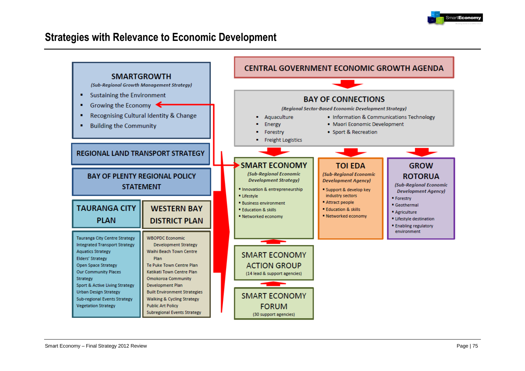

# **Strategies with Relevance to Economic Development**

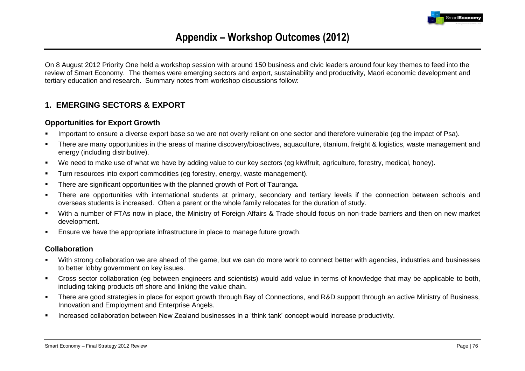

# **Appendix – Workshop Outcomes (2012)**

On 8 August 2012 Priority One held a workshop session with around 150 business and civic leaders around four key themes to feed into the review of Smart Economy. The themes were emerging sectors and export, sustainability and productivity, Maori economic development and tertiary education and research. Summary notes from workshop discussions follow:

# **1. EMERGING SECTORS & EXPORT**

#### **Opportunities for Export Growth**

- Important to ensure a diverse export base so we are not overly reliant on one sector and therefore vulnerable (eg the impact of Psa).
- There are many opportunities in the areas of marine discovery/bioactives, aquaculture, titanium, freight & logistics, waste management and energy (including distributive).
- We need to make use of what we have by adding value to our key sectors (eg kiwifruit, agriculture, forestry, medical, honey).
- **Turn resources into export commodities (eg forestry, energy, waste management).**
- There are significant opportunities with the planned growth of Port of Tauranga.
- There are opportunities with international students at primary, secondary and tertiary levels if the connection between schools and overseas students is increased. Often a parent or the whole family relocates for the duration of study.
- With a number of FTAs now in place, the Ministry of Foreign Affairs & Trade should focus on non-trade barriers and then on new market development.
- Ensure we have the appropriate infrastructure in place to manage future growth.

#### **Collaboration**

- With strong collaboration we are ahead of the game, but we can do more work to connect better with agencies, industries and businesses to better lobby government on key issues.
- Cross sector collaboration (eg between engineers and scientists) would add value in terms of knowledge that may be applicable to both, including taking products off shore and linking the value chain.
- There are good strategies in place for export growth through Bay of Connections, and R&D support through an active Ministry of Business, Innovation and Employment and Enterprise Angels.
- Increased collaboration between New Zealand businesses in a "think tank" concept would increase productivity.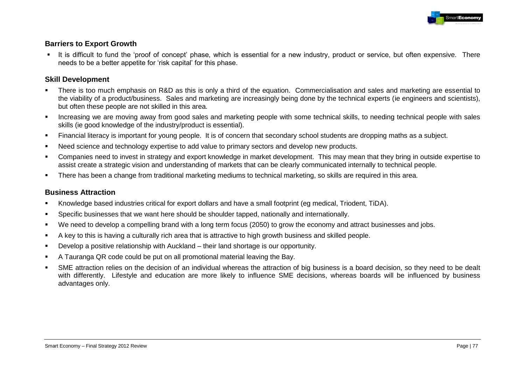

### **Barriers to Export Growth**

It is difficult to fund the 'proof of concept' phase, which is essential for a new industry, product or service, but often expensive. There needs to be a better appetite for "risk capital" for this phase.

#### **Skill Development**

- There is too much emphasis on R&D as this is only a third of the equation. Commercialisation and sales and marketing are essential to the viability of a product/business. Sales and marketing are increasingly being done by the technical experts (ie engineers and scientists), but often these people are not skilled in this area.
- Increasing we are moving away from good sales and marketing people with some technical skills, to needing technical people with sales skills (ie good knowledge of the industry/product is essential).
- Financial literacy is important for young people. It is of concern that secondary school students are dropping maths as a subject.
- Need science and technology expertise to add value to primary sectors and develop new products.
- Companies need to invest in strategy and export knowledge in market development. This may mean that they bring in outside expertise to assist create a strategic vision and understanding of markets that can be clearly communicated internally to technical people.
- There has been a change from traditional marketing mediums to technical marketing, so skills are required in this area.

### **Business Attraction**

- Knowledge based industries critical for export dollars and have a small footprint (eg medical, Triodent, TiDA).
- Specific businesses that we want here should be shoulder tapped, nationally and internationally.
- We need to develop a compelling brand with a long term focus (2050) to grow the economy and attract businesses and jobs.
- A key to this is having a culturally rich area that is attractive to high growth business and skilled people.
- Develop a positive relationship with Auckland their land shortage is our opportunity.
- A Tauranga QR code could be put on all promotional material leaving the Bay.
- SME attraction relies on the decision of an individual whereas the attraction of big business is a board decision, so they need to be dealt with differently. Lifestyle and education are more likely to influence SME decisions, whereas boards will be influenced by business advantages only.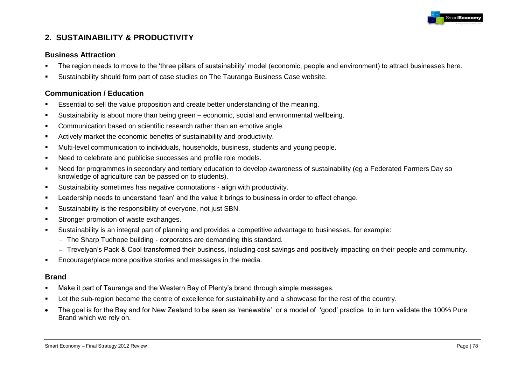

# **2. SUSTAINABILITY & PRODUCTIVITY**

#### **Business Attraction**

- The region needs to move to the "three pillars of sustainability" model (economic, people and environment) to attract businesses here.
- Sustainability should form part of case studies on The Tauranga Business Case website.

### **Communication / Education**

- Essential to sell the value proposition and create better understanding of the meaning.
- Sustainability is about more than being green economic, social and environmental wellbeing.
- Communication based on scientific research rather than an emotive angle.
- Actively market the economic benefits of sustainability and productivity.
- Multi-level communication to individuals, households, business, students and young people.
- Need to celebrate and publicise successes and profile role models.
- Need for programmes in secondary and tertiary education to develop awareness of sustainability (eg a Federated Farmers Day so knowledge of agriculture can be passed on to students).
- Sustainability sometimes has negative connotations align with productivity.
- Leadership needs to understand "lean" and the value it brings to business in order to effect change.
- Sustainability is the responsibility of everyone, not just SBN.
- **Stronger promotion of waste exchanges.**
- Sustainability is an integral part of planning and provides a competitive advantage to businesses, for example:
	- The Sharp Tudhope building corporates are demanding this standard.
	- Trevelyan's Pack & Cool transformed their business, including cost savings and positively impacting on their people and community.
- **Encourage/place more positive stories and messages in the media.**

#### **Brand**

- Make it part of Tauranga and the Western Bay of Plenty"s brand through simple messages.
- **EXECT Let the sub-region become the centre of excellence for sustainability and a showcase for the rest of the country.**
- The goal is for the Bay and for New Zealand to be seen as "renewable" or a model of "good" practice to in turn validate the 100% Pure  $\bullet$ Brand which we rely on.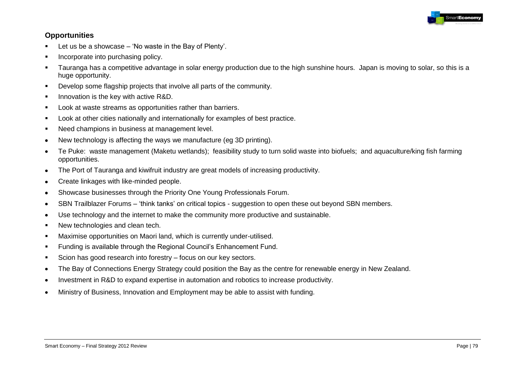

### **Opportunities**

- $\blacksquare$  Let us be a showcase 'No waste in the Bay of Plenty'.
- **Incorporate into purchasing policy.**
- Tauranga has a competitive advantage in solar energy production due to the high sunshine hours. Japan is moving to solar, so this is a huge opportunity.
- Develop some flagship projects that involve all parts of the community.
- **Innovation is the key with active R&D.**
- **Look at waste streams as opportunities rather than barriers.**
- **Look at other cities nationally and internationally for examples of best practice.**
- **Need champions in business at management level.**
- New technology is affecting the ways we manufacture (eg 3D printing).  $\bullet$
- Te Puke: waste management (Maketu wetlands); feasibility study to turn solid waste into biofuels; and aquaculture/king fish farming  $\bullet$ opportunities.
- The Port of Tauranga and kiwifruit industry are great models of increasing productivity.  $\bullet$
- Create linkages with like-minded people.  $\bullet$
- Showcase businesses through the Priority One Young Professionals Forum.  $\bullet$
- SBN Trailblazer Forums "think tanks" on critical topics suggestion to open these out beyond SBN members.  $\bullet$
- Use technology and the internet to make the community more productive and sustainable.  $\bullet$
- New technologies and clean tech.
- Maximise opportunities on Maori land, which is currently under-utilised.
- Funding is available through the Regional Council"s Enhancement Fund.
- Scion has good research into forestry focus on our key sectors.
- The Bay of Connections Energy Strategy could position the Bay as the centre for renewable energy in New Zealand.  $\bullet$
- Investment in R&D to expand expertise in automation and robotics to increase productivity.  $\bullet$
- Ministry of Business, Innovation and Employment may be able to assist with funding. $\bullet$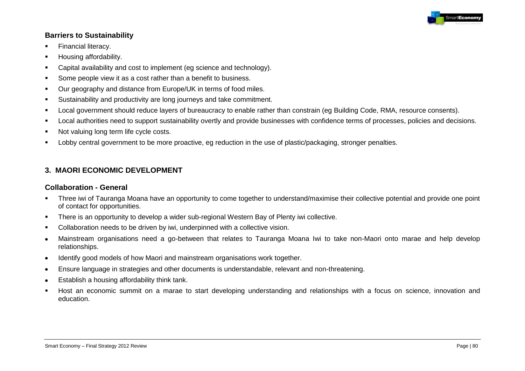

#### **Barriers to Sustainability**

- **Financial literacy.**
- Housing affordability.
- **Capital availability and cost to implement (eg science and technology).**
- Some people view it as a cost rather than a benefit to business.
- **Our geography and distance from Europe/UK in terms of food miles.**
- Sustainability and productivity are long journeys and take commitment.
- Local government should reduce layers of bureaucracy to enable rather than constrain (eg Building Code, RMA, resource consents).
- Local authorities need to support sustainability overtly and provide businesses with confidence terms of processes, policies and decisions.
- Not valuing long term life cycle costs.
- Lobby central government to be more proactive, eg reduction in the use of plastic/packaging, stronger penalties.

# **3. MAORI ECONOMIC DEVELOPMENT**

#### **Collaboration - General**

- Three iwi of Tauranga Moana have an opportunity to come together to understand/maximise their collective potential and provide one point of contact for opportunities.
- There is an opportunity to develop a wider sub-regional Western Bay of Plenty iwi collective.
- Collaboration needs to be driven by iwi, underpinned with a collective vision.
- Mainstream organisations need a go-between that relates to Tauranga Moana Iwi to take non-Maori onto marae and help develop  $\bullet$ relationships.
- Identify good models of how Maori and mainstream organisations work together.  $\bullet$
- Ensure language in strategies and other documents is understandable, relevant and non-threatening.  $\bullet$
- Establish a housing affordability think tank.  $\bullet$
- Host an economic summit on a marae to start developing understanding and relationships with a focus on science, innovation and education.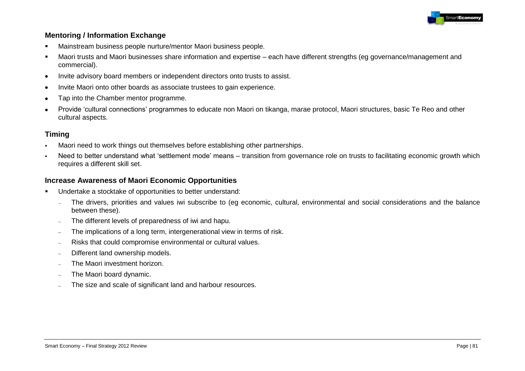

### **Mentoring / Information Exchange**

- Mainstream business people nurture/mentor Maori business people.
- Maori trusts and Maori businesses share information and expertise each have different strengths (eg governance/management and commercial).
- Invite advisory board members or independent directors onto trusts to assist.  $\bullet$
- Invite Maori onto other boards as associate trustees to gain experience.  $\bullet$
- Tap into the Chamber mentor programme.  $\bullet$
- Provide "cultural connections" programmes to educate non Maori on tikanga, marae protocol, Maori structures, basic Te Reo and other cultural aspects.

# **Timing**

- Maori need to work things out themselves before establishing other partnerships.
- Need to better understand what "settlement mode" means transition from governance role on trusts to facilitating economic growth which requires a different skill set.

## **Increase Awareness of Maori Economic Opportunities**

- Undertake a stocktake of opportunities to better understand:
	- The drivers, priorities and values iwi subscribe to (eg economic, cultural, environmental and social considerations and the balance  $\frac{1}{2}$ between these).
	- The different levels of preparedness of iwi and hapu.  $\equiv$
	- The implications of a long term, intergenerational view in terms of risk.  $\equiv$
	- Risks that could compromise environmental or cultural values.  $\sim$
	- Different land ownership models.  $\overline{a}$
	- The Maori investment horizon.  $\overline{\phantom{a}}$
	- The Maori board dynamic.  $\overline{\phantom{a}}$
	- The size and scale of significant land and harbour resources.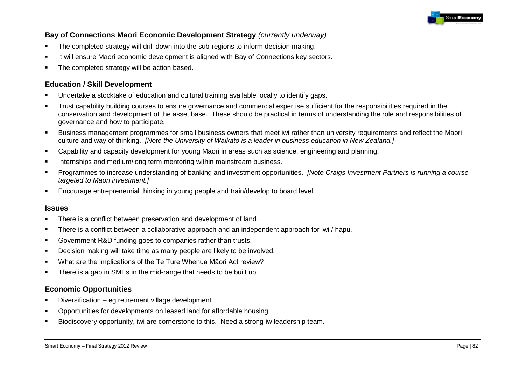

### **Bay of Connections Maori Economic Development Strategy** *(currently underway)*

- The completed strategy will drill down into the sub-regions to inform decision making.
- It will ensure Maori economic development is aligned with Bay of Connections key sectors.
- The completed strategy will be action based.

#### **Education / Skill Development**

- Undertake a stocktake of education and cultural training available locally to identify gaps.
- Trust capability building courses to ensure governance and commercial expertise sufficient for the responsibilities required in the conservation and development of the asset base. These should be practical in terms of understanding the role and responsibilities of governance and how to participate.
- Business management programmes for small business owners that meet iwi rather than university requirements and reflect the Maori culture and way of thinking. *[Note the University of Waikato is a leader in business education in New Zealand.]*
- Capability and capacity development for young Maori in areas such as science, engineering and planning.
- **Internships and medium/long term mentoring within mainstream business.**
- Programmes to increase understanding of banking and investment opportunities. *[Note Craigs Investment Partners is running a course targeted to Maori investment.]*
- Encourage entrepreneurial thinking in young people and train/develop to board level.

#### **Issues**

- There is a conflict between preservation and development of land.
- There is a conflict between a collaborative approach and an independent approach for iwi / hapu.
- Government R&D funding goes to companies rather than trusts.
- Decision making will take time as many people are likely to be involved.
- What are the implications of the Te Ture Whenua Māori Act review?
- **There is a gap in SMEs in the mid-range that needs to be built up.**

#### **Economic Opportunities**

- Diversification eg retirement village development.
- Opportunities for developments on leased land for affordable housing.
- Biodiscovery opportunity, iwi are cornerstone to this. Need a strong iw leadership team.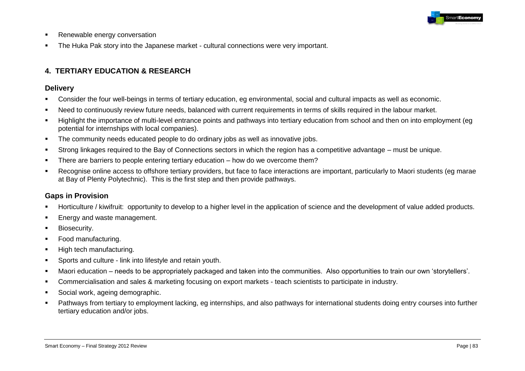

- **Renewable energy conversation**
- The Huka Pak story into the Japanese market cultural connections were very important.

# **4. TERTIARY EDUCATION & RESEARCH**

#### **Delivery**

- Consider the four well-beings in terms of tertiary education, eg environmental, social and cultural impacts as well as economic.
- Need to continuously review future needs, balanced with current requirements in terms of skills required in the labour market.
- Highlight the importance of multi-level entrance points and pathways into tertiary education from school and then on into employment (eg potential for internships with local companies).
- The community needs educated people to do ordinary jobs as well as innovative jobs.
- Strong linkages required to the Bay of Connections sectors in which the region has a competitive advantage must be unique.
- There are barriers to people entering tertiary education how do we overcome them?
- Recognise online access to offshore tertiary providers, but face to face interactions are important, particularly to Maori students (eg marae at Bay of Plenty Polytechnic). This is the first step and then provide pathways.

### **Gaps in Provision**

- Horticulture / kiwifruit: opportunity to develop to a higher level in the application of science and the development of value added products.
- Energy and waste management.
- Biosecurity.
- Food manufacturing.
- High tech manufacturing.
- **Sports and culture link into lifestyle and retain youth.**
- Maori education needs to be appropriately packaged and taken into the communities. Also opportunities to train our own "storytellers".
- **Commercialisation and sales & marketing focusing on export markets teach scientists to participate in industry.**
- Social work, ageing demographic.
- Pathways from tertiary to employment lacking, eg internships, and also pathways for international students doing entry courses into further tertiary education and/or jobs.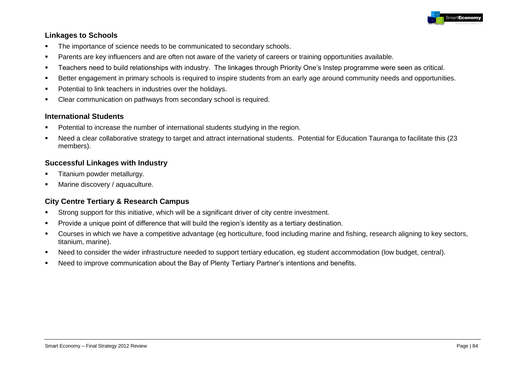

### **Linkages to Schools**

- **The importance of science needs to be communicated to secondary schools.**
- Parents are key influencers and are often not aware of the variety of careers or training opportunities available.
- Teachers need to build relationships with industry. The linkages through Priority One"s Instep programme were seen as critical.
- Better engagement in primary schools is required to inspire students from an early age around community needs and opportunities.
- **•** Potential to link teachers in industries over the holidays.
- Clear communication on pathways from secondary school is required.

#### **International Students**

- Potential to increase the number of international students studying in the region.
- Need a clear collaborative strategy to target and attract international students. Potential for Education Tauranga to facilitate this (23 members).

### **Successful Linkages with Industry**

- Titanium powder metallurgy.
- **Marine discovery / aquaculture.**

# **City Centre Tertiary & Research Campus**

- Strong support for this initiative, which will be a significant driver of city centre investment.
- **Provide a unique point of difference that will build the region's identity as a tertiary destination.**
- Courses in which we have a competitive advantage (eg horticulture, food including marine and fishing, research aligning to key sectors, titanium, marine).
- Need to consider the wider infrastructure needed to support tertiary education, eg student accommodation (low budget, central).
- Need to improve communication about the Bay of Plenty Tertiary Partner"s intentions and benefits.